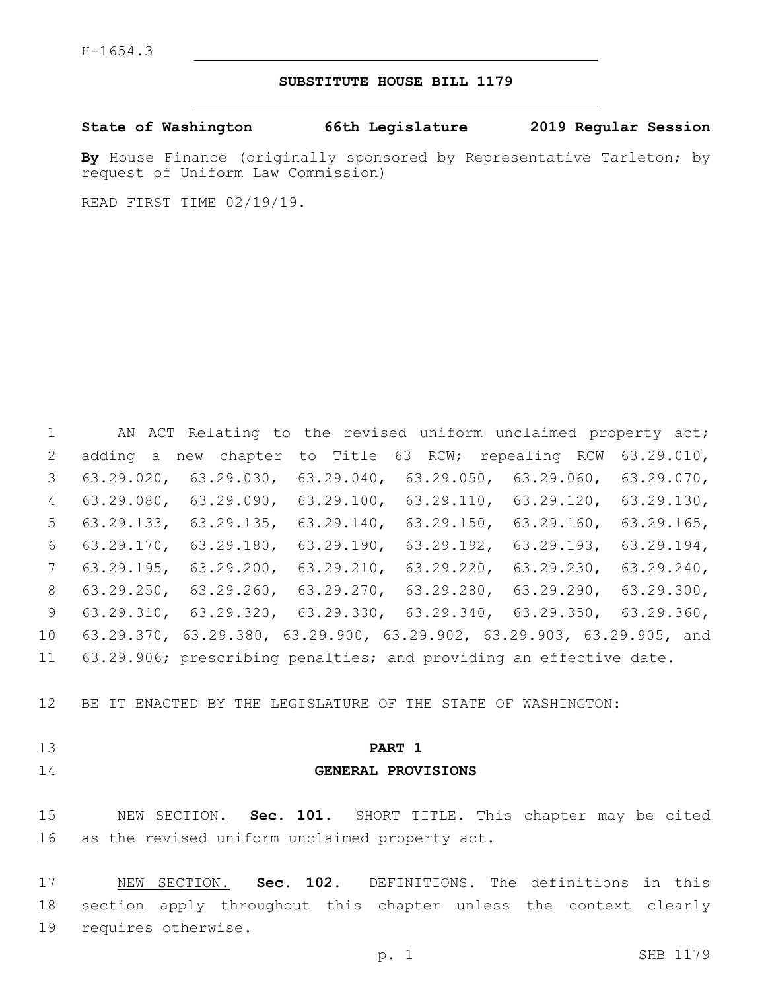#### **SUBSTITUTE HOUSE BILL 1179**

#### **State of Washington 66th Legislature 2019 Regular Session**

**By** House Finance (originally sponsored by Representative Tarleton; by request of Uniform Law Commission)

READ FIRST TIME 02/19/19.

1 AN ACT Relating to the revised uniform unclaimed property act; adding a new chapter to Title 63 RCW; repealing RCW 63.29.010, 63.29.020, 63.29.030, 63.29.040, 63.29.050, 63.29.060, 63.29.070, 63.29.080, 63.29.090, 63.29.100, 63.29.110, 63.29.120, 63.29.130, 63.29.133, 63.29.135, 63.29.140, 63.29.150, 63.29.160, 63.29.165, 63.29.170, 63.29.180, 63.29.190, 63.29.192, 63.29.193, 63.29.194, 63.29.195, 63.29.200, 63.29.210, 63.29.220, 63.29.230, 63.29.240, 63.29.250, 63.29.260, 63.29.270, 63.29.280, 63.29.290, 63.29.300, 63.29.310, 63.29.320, 63.29.330, 63.29.340, 63.29.350, 63.29.360, 63.29.370, 63.29.380, 63.29.900, 63.29.902, 63.29.903, 63.29.905, and 63.29.906; prescribing penalties; and providing an effective date.

BE IT ENACTED BY THE LEGISLATURE OF THE STATE OF WASHINGTON:

- 
- 

**PART 1**

#### **GENERAL PROVISIONS**

 NEW SECTION. **Sec. 101.** SHORT TITLE. This chapter may be cited as the revised uniform unclaimed property act.

 NEW SECTION. **Sec. 102.** DEFINITIONS. The definitions in this section apply throughout this chapter unless the context clearly requires otherwise.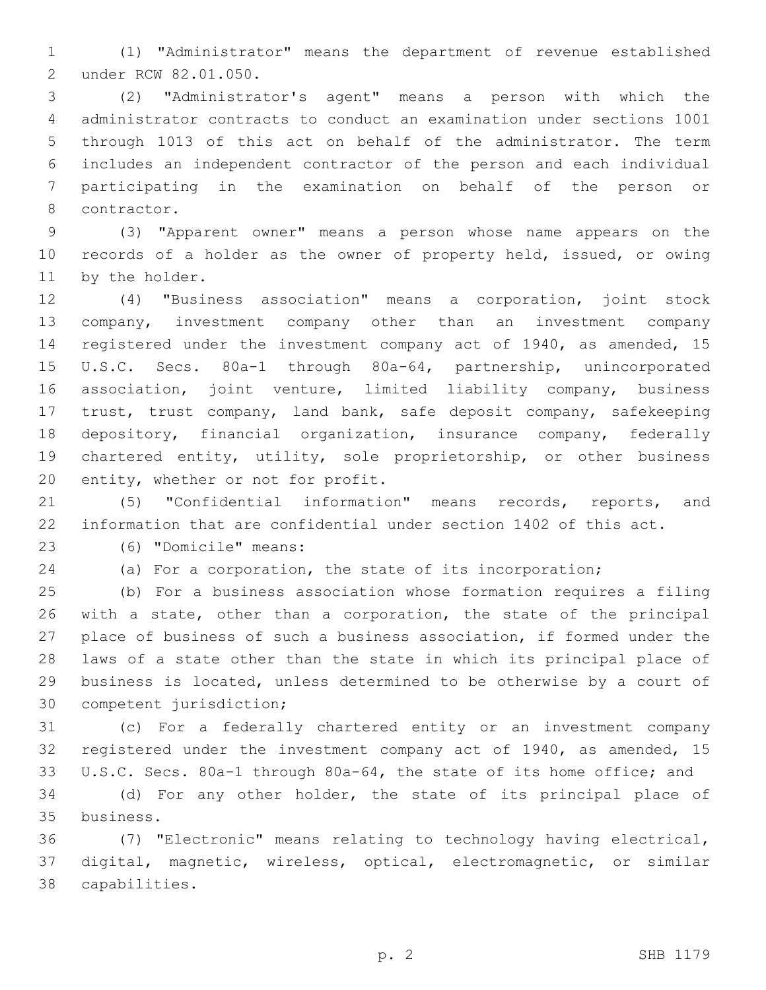(1) "Administrator" means the department of revenue established under RCW 82.01.050.2

 (2) "Administrator's agent" means a person with which the administrator contracts to conduct an examination under sections 1001 through 1013 of this act on behalf of the administrator. The term includes an independent contractor of the person and each individual participating in the examination on behalf of the person or 8 contractor.

 (3) "Apparent owner" means a person whose name appears on the records of a holder as the owner of property held, issued, or owing 11 by the holder.

 (4) "Business association" means a corporation, joint stock company, investment company other than an investment company registered under the investment company act of 1940, as amended, 15 U.S.C. Secs. 80a-1 through 80a-64, partnership, unincorporated association, joint venture, limited liability company, business trust, trust company, land bank, safe deposit company, safekeeping depository, financial organization, insurance company, federally chartered entity, utility, sole proprietorship, or other business 20 entity, whether or not for profit.

 (5) "Confidential information" means records, reports, and information that are confidential under section 1402 of this act.

(6) "Domicile" means:23

(a) For a corporation, the state of its incorporation;

 (b) For a business association whose formation requires a filing with a state, other than a corporation, the state of the principal place of business of such a business association, if formed under the laws of a state other than the state in which its principal place of business is located, unless determined to be otherwise by a court of 30 competent jurisdiction;

 (c) For a federally chartered entity or an investment company registered under the investment company act of 1940, as amended, 15 U.S.C. Secs. 80a-1 through 80a-64, the state of its home office; and

 (d) For any other holder, the state of its principal place of business.35

 (7) "Electronic" means relating to technology having electrical, digital, magnetic, wireless, optical, electromagnetic, or similar capabilities.38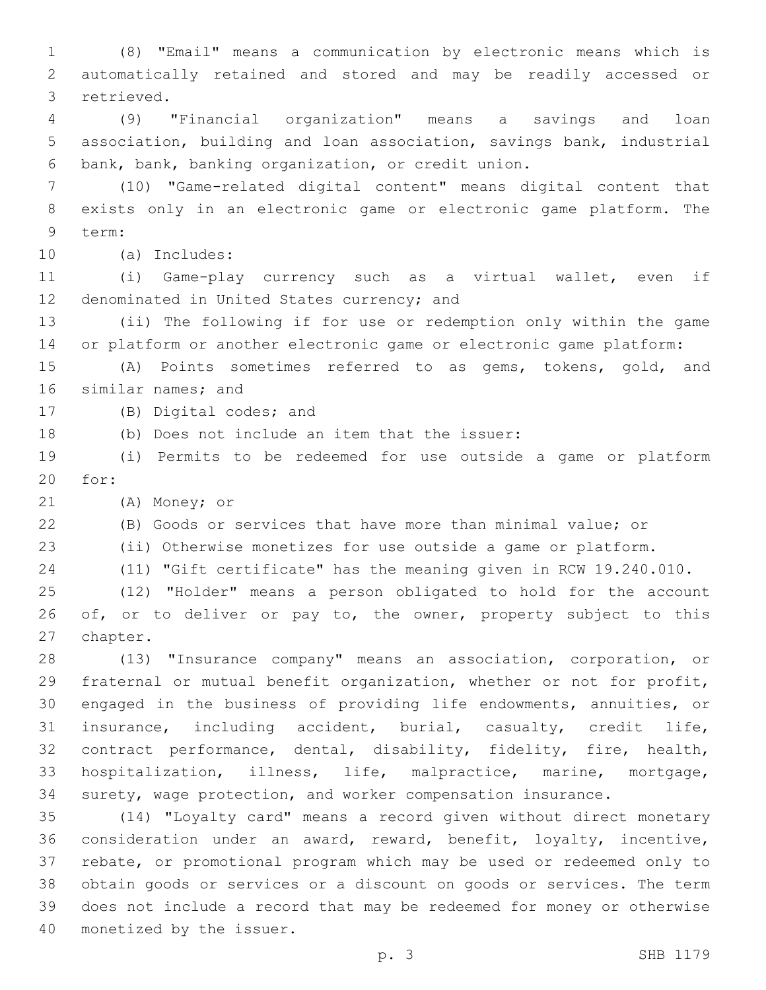(8) "Email" means a communication by electronic means which is automatically retained and stored and may be readily accessed or 3 retrieved.

 (9) "Financial organization" means a savings and loan association, building and loan association, savings bank, industrial 6 bank, bank, banking organization, or credit union.

 (10) "Game-related digital content" means digital content that exists only in an electronic game or electronic game platform. The 9 term:

(a) Includes:10

 (i) Game-play currency such as a virtual wallet, even if 12 denominated in United States currency; and

 (ii) The following if for use or redemption only within the game or platform or another electronic game or electronic game platform:

 (A) Points sometimes referred to as gems, tokens, gold, and 16 similar names; and

17 (B) Digital codes; and

18 (b) Does not include an item that the issuer:

 (i) Permits to be redeemed for use outside a game or platform 20 for:

21 (A) Money; or

(B) Goods or services that have more than minimal value; or

(ii) Otherwise monetizes for use outside a game or platform.

(11) "Gift certificate" has the meaning given in RCW 19.240.010.

 (12) "Holder" means a person obligated to hold for the account 26 of, or to deliver or pay to, the owner, property subject to this 27 chapter.

 (13) "Insurance company" means an association, corporation, or fraternal or mutual benefit organization, whether or not for profit, engaged in the business of providing life endowments, annuities, or insurance, including accident, burial, casualty, credit life, contract performance, dental, disability, fidelity, fire, health, hospitalization, illness, life, malpractice, marine, mortgage, surety, wage protection, and worker compensation insurance.

 (14) "Loyalty card" means a record given without direct monetary consideration under an award, reward, benefit, loyalty, incentive, rebate, or promotional program which may be used or redeemed only to obtain goods or services or a discount on goods or services. The term does not include a record that may be redeemed for money or otherwise 40 monetized by the issuer.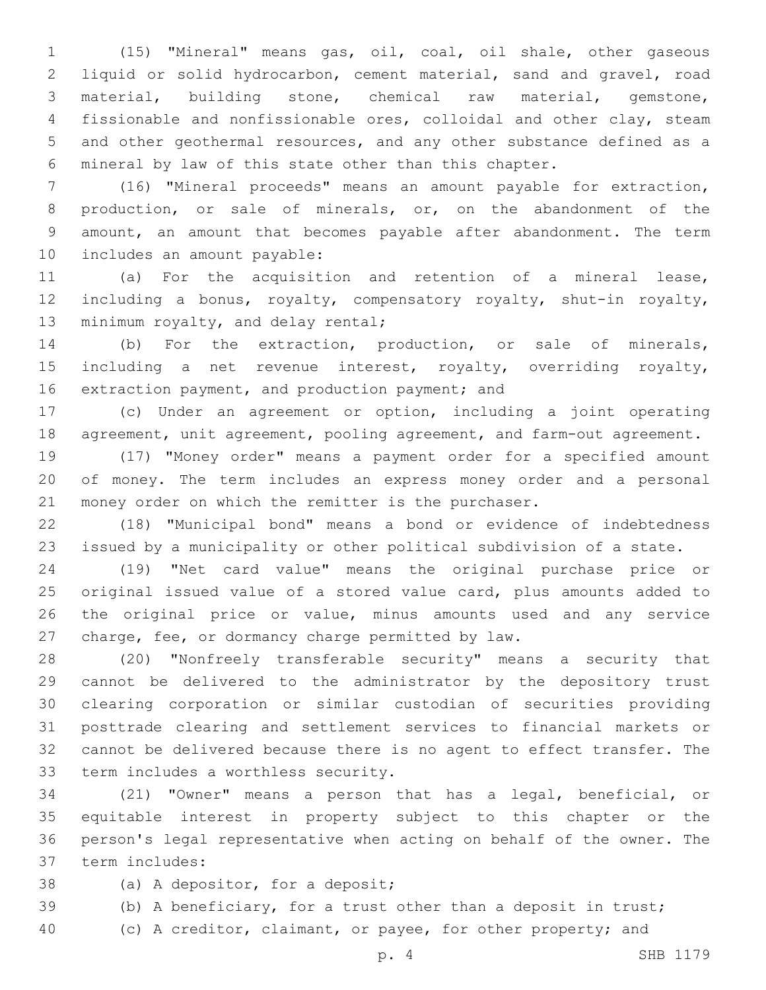(15) "Mineral" means gas, oil, coal, oil shale, other gaseous liquid or solid hydrocarbon, cement material, sand and gravel, road material, building stone, chemical raw material, gemstone, fissionable and nonfissionable ores, colloidal and other clay, steam and other geothermal resources, and any other substance defined as a mineral by law of this state other than this chapter.

 (16) "Mineral proceeds" means an amount payable for extraction, production, or sale of minerals, or, on the abandonment of the amount, an amount that becomes payable after abandonment. The term 10 includes an amount payable:

 (a) For the acquisition and retention of a mineral lease, including a bonus, royalty, compensatory royalty, shut-in royalty, 13 minimum royalty, and delay rental;

 (b) For the extraction, production, or sale of minerals, including a net revenue interest, royalty, overriding royalty, 16 extraction payment, and production payment; and

 (c) Under an agreement or option, including a joint operating agreement, unit agreement, pooling agreement, and farm-out agreement.

 (17) "Money order" means a payment order for a specified amount of money. The term includes an express money order and a personal money order on which the remitter is the purchaser.

 (18) "Municipal bond" means a bond or evidence of indebtedness issued by a municipality or other political subdivision of a state.

 (19) "Net card value" means the original purchase price or original issued value of a stored value card, plus amounts added to the original price or value, minus amounts used and any service 27 charge, fee, or dormancy charge permitted by law.

 (20) "Nonfreely transferable security" means a security that cannot be delivered to the administrator by the depository trust clearing corporation or similar custodian of securities providing posttrade clearing and settlement services to financial markets or cannot be delivered because there is no agent to effect transfer. The 33 term includes a worthless security.

 (21) "Owner" means a person that has a legal, beneficial, or equitable interest in property subject to this chapter or the person's legal representative when acting on behalf of the owner. The term includes:37

38 (a) A depositor, for a deposit;

(b) A beneficiary, for a trust other than a deposit in trust;

(c) A creditor, claimant, or payee, for other property; and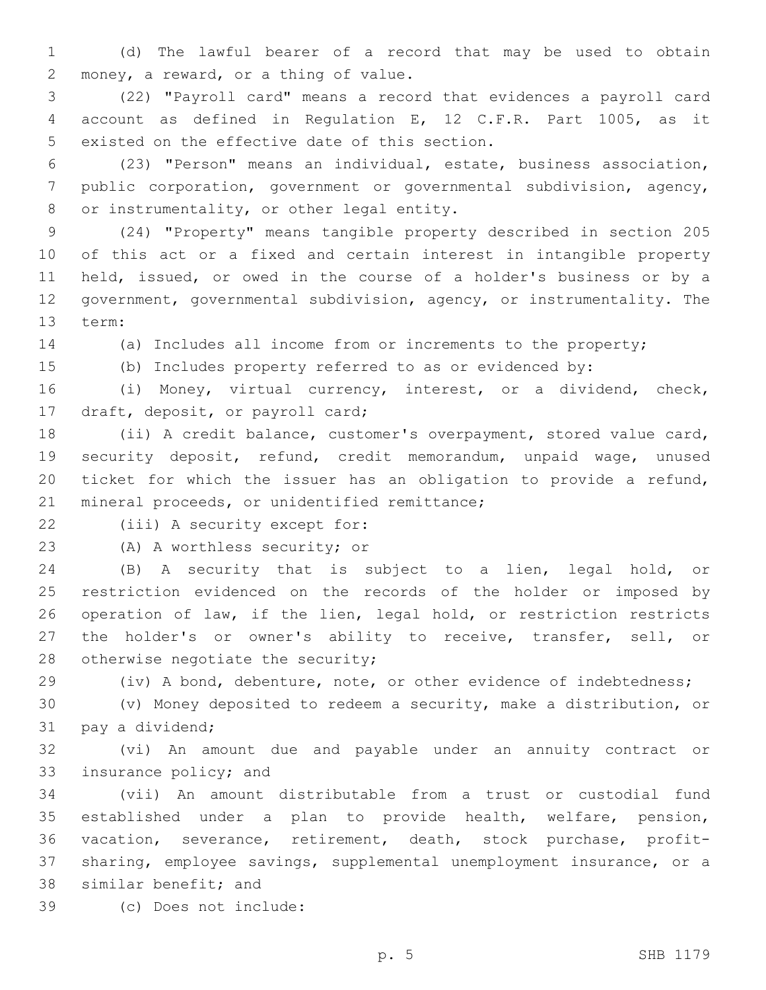(d) The lawful bearer of a record that may be used to obtain 2 money, a reward, or a thing of value.

 (22) "Payroll card" means a record that evidences a payroll card account as defined in Regulation E, 12 C.F.R. Part 1005, as it 5 existed on the effective date of this section.

 (23) "Person" means an individual, estate, business association, public corporation, government or governmental subdivision, agency, 8 or instrumentality, or other legal entity.

 (24) "Property" means tangible property described in section 205 of this act or a fixed and certain interest in intangible property held, issued, or owed in the course of a holder's business or by a government, governmental subdivision, agency, or instrumentality. The 13 term:

(a) Includes all income from or increments to the property;

(b) Includes property referred to as or evidenced by:

 (i) Money, virtual currency, interest, or a dividend, check, 17 draft, deposit, or payroll card;

 (ii) A credit balance, customer's overpayment, stored value card, security deposit, refund, credit memorandum, unpaid wage, unused ticket for which the issuer has an obligation to provide a refund, 21 mineral proceeds, or unidentified remittance;

22 (iii) A security except for:

23 (A) A worthless security; or

 (B) A security that is subject to a lien, legal hold, or restriction evidenced on the records of the holder or imposed by operation of law, if the lien, legal hold, or restriction restricts the holder's or owner's ability to receive, transfer, sell, or 28 otherwise negotiate the security;

(iv) A bond, debenture, note, or other evidence of indebtedness;

 (v) Money deposited to redeem a security, make a distribution, or 31 pay a dividend;

 (vi) An amount due and payable under an annuity contract or 33 insurance policy; and

 (vii) An amount distributable from a trust or custodial fund established under a plan to provide health, welfare, pension, vacation, severance, retirement, death, stock purchase, profit- sharing, employee savings, supplemental unemployment insurance, or a 38 similar benefit; and

(c) Does not include:39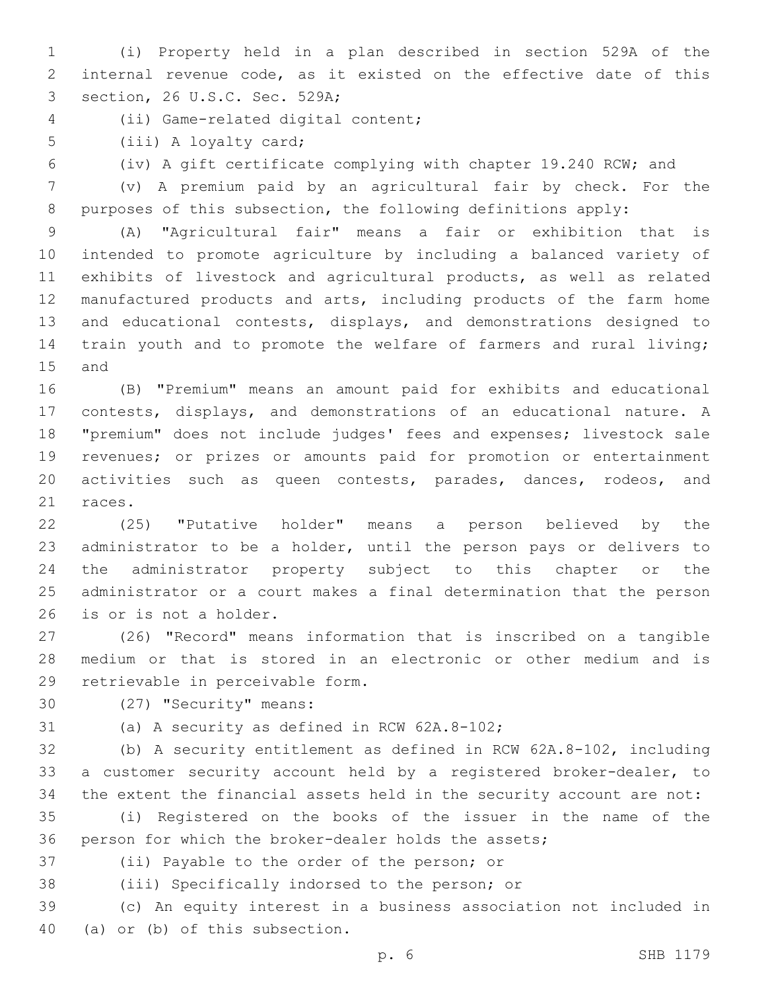(i) Property held in a plan described in section 529A of the internal revenue code, as it existed on the effective date of this 3 section, 26 U.S.C. Sec. 529A;

- (ii) Game-related digital content;4
- 5 (iii) A loyalty card;
- 

(iv) A gift certificate complying with chapter 19.240 RCW; and

 (v) A premium paid by an agricultural fair by check. For the purposes of this subsection, the following definitions apply:

 (A) "Agricultural fair" means a fair or exhibition that is intended to promote agriculture by including a balanced variety of exhibits of livestock and agricultural products, as well as related manufactured products and arts, including products of the farm home and educational contests, displays, and demonstrations designed to train youth and to promote the welfare of farmers and rural living; 15 and

 (B) "Premium" means an amount paid for exhibits and educational contests, displays, and demonstrations of an educational nature. A "premium" does not include judges' fees and expenses; livestock sale revenues; or prizes or amounts paid for promotion or entertainment activities such as queen contests, parades, dances, rodeos, and 21 races.

 (25) "Putative holder" means a person believed by the administrator to be a holder, until the person pays or delivers to the administrator property subject to this chapter or the administrator or a court makes a final determination that the person 26 is or is not a holder.

 (26) "Record" means information that is inscribed on a tangible medium or that is stored in an electronic or other medium and is 29 retrievable in perceivable form.

30 (27) "Security" means:

31 (a) A security as defined in RCW 62A.8-102;

 (b) A security entitlement as defined in RCW 62A.8-102, including a customer security account held by a registered broker-dealer, to the extent the financial assets held in the security account are not:

 (i) Registered on the books of the issuer in the name of the person for which the broker-dealer holds the assets;

37 (ii) Payable to the order of the person; or

38 (iii) Specifically indorsed to the person; or

 (c) An equity interest in a business association not included in 40 (a) or (b) of this subsection.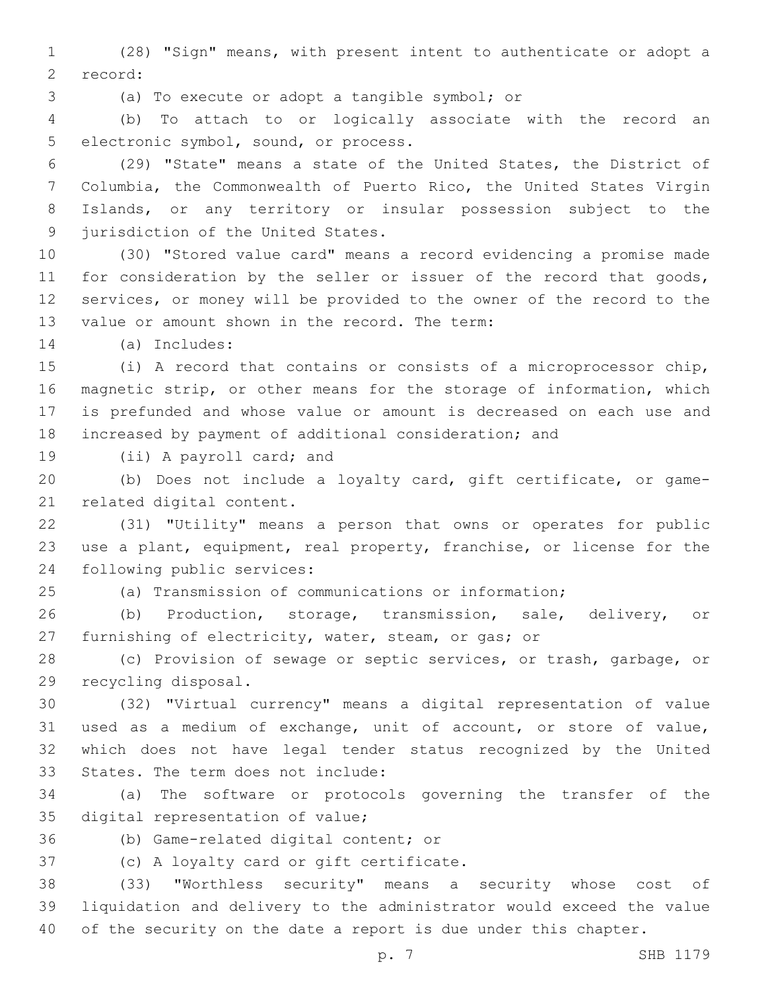(28) "Sign" means, with present intent to authenticate or adopt a 2 record:

(a) To execute or adopt a tangible symbol; or3

 (b) To attach to or logically associate with the record an 5 electronic symbol, sound, or process.

 (29) "State" means a state of the United States, the District of Columbia, the Commonwealth of Puerto Rico, the United States Virgin Islands, or any territory or insular possession subject to the 9 jurisdiction of the United States.

 (30) "Stored value card" means a record evidencing a promise made 11 for consideration by the seller or issuer of the record that goods, services, or money will be provided to the owner of the record to the 13 value or amount shown in the record. The term:

(a) Includes:14

 (i) A record that contains or consists of a microprocessor chip, magnetic strip, or other means for the storage of information, which is prefunded and whose value or amount is decreased on each use and increased by payment of additional consideration; and

19 (ii) A payroll card; and

 (b) Does not include a loyalty card, gift certificate, or game-21 related digital content.

 (31) "Utility" means a person that owns or operates for public use a plant, equipment, real property, franchise, or license for the 24 following public services:

(a) Transmission of communications or information;

 (b) Production, storage, transmission, sale, delivery, or furnishing of electricity, water, steam, or gas; or

 (c) Provision of sewage or septic services, or trash, garbage, or 29 recycling disposal.

 (32) "Virtual currency" means a digital representation of value used as a medium of exchange, unit of account, or store of value, which does not have legal tender status recognized by the United 33 States. The term does not include:

 (a) The software or protocols governing the transfer of the 35 digital representation of value;

36 (b) Game-related digital content; or

37 (c) A loyalty card or gift certificate.

 (33) "Worthless security" means a security whose cost of liquidation and delivery to the administrator would exceed the value of the security on the date a report is due under this chapter.

p. 7 SHB 1179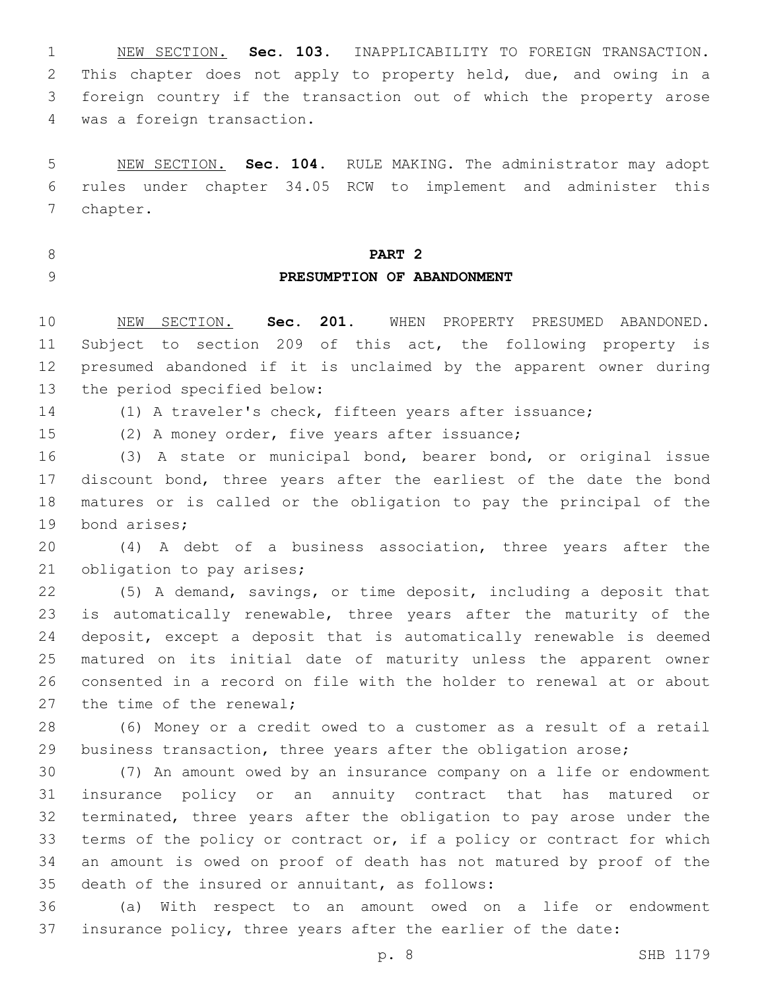NEW SECTION. **Sec. 103.** INAPPLICABILITY TO FOREIGN TRANSACTION. This chapter does not apply to property held, due, and owing in a foreign country if the transaction out of which the property arose was a foreign transaction.

 NEW SECTION. **Sec. 104.** RULE MAKING. The administrator may adopt rules under chapter 34.05 RCW to implement and administer this chapter.

**PART 2**

# **PRESUMPTION OF ABANDONMENT**

 NEW SECTION. **Sec. 201.** WHEN PROPERTY PRESUMED ABANDONED. Subject to section 209 of this act, the following property is presumed abandoned if it is unclaimed by the apparent owner during the period specified below:

(1) A traveler's check, fifteen years after issuance;

15 (2) A money order, five years after issuance;

 (3) A state or municipal bond, bearer bond, or original issue discount bond, three years after the earliest of the date the bond matures or is called or the obligation to pay the principal of the 19 bond arises;

 (4) A debt of a business association, three years after the 21 obligation to pay arises;

 (5) A demand, savings, or time deposit, including a deposit that is automatically renewable, three years after the maturity of the deposit, except a deposit that is automatically renewable is deemed matured on its initial date of maturity unless the apparent owner consented in a record on file with the holder to renewal at or about 27 the time of the renewal;

 (6) Money or a credit owed to a customer as a result of a retail business transaction, three years after the obligation arose;

 (7) An amount owed by an insurance company on a life or endowment insurance policy or an annuity contract that has matured or terminated, three years after the obligation to pay arose under the terms of the policy or contract or, if a policy or contract for which an amount is owed on proof of death has not matured by proof of the 35 death of the insured or annuitant, as follows:

 (a) With respect to an amount owed on a life or endowment insurance policy, three years after the earlier of the date: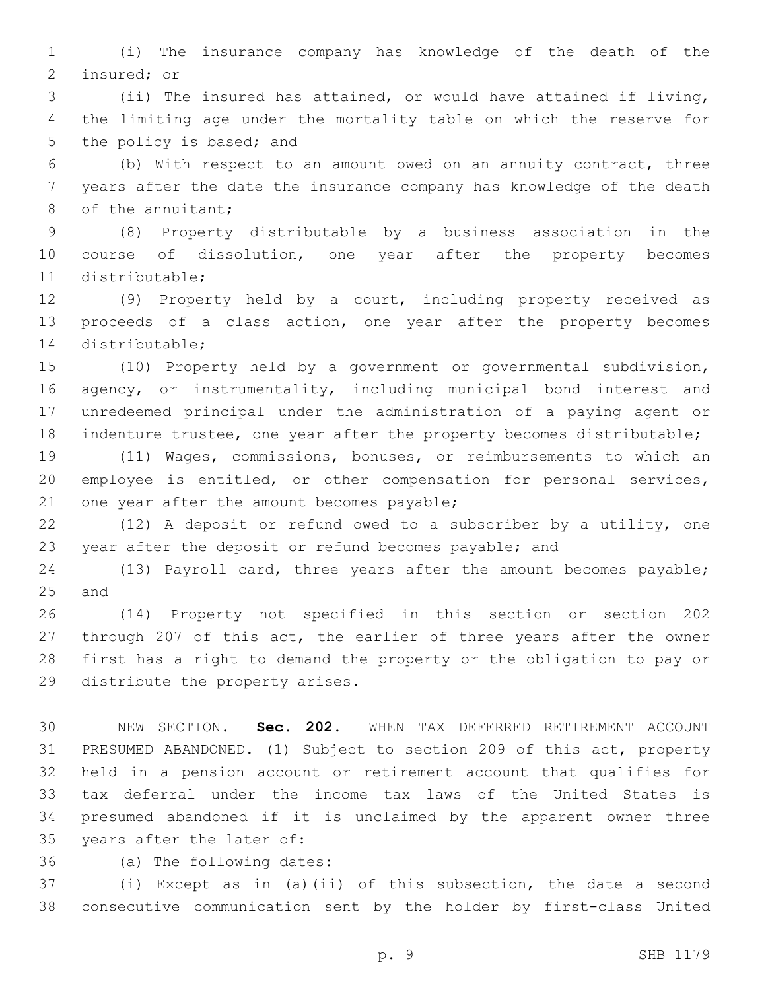(i) The insurance company has knowledge of the death of the 2 insured; or

 (ii) The insured has attained, or would have attained if living, the limiting age under the mortality table on which the reserve for 5 the policy is based; and

 (b) With respect to an amount owed on an annuity contract, three years after the date the insurance company has knowledge of the death 8 of the annuitant;

 (8) Property distributable by a business association in the course of dissolution, one year after the property becomes 11 distributable;

 (9) Property held by a court, including property received as proceeds of a class action, one year after the property becomes 14 distributable;

 (10) Property held by a government or governmental subdivision, 16 agency, or instrumentality, including municipal bond interest and unredeemed principal under the administration of a paying agent or indenture trustee, one year after the property becomes distributable;

 (11) Wages, commissions, bonuses, or reimbursements to which an employee is entitled, or other compensation for personal services, 21 one year after the amount becomes payable;

 (12) A deposit or refund owed to a subscriber by a utility, one year after the deposit or refund becomes payable; and

 (13) Payroll card, three years after the amount becomes payable; 25 and

 (14) Property not specified in this section or section 202 through 207 of this act, the earlier of three years after the owner first has a right to demand the property or the obligation to pay or 29 distribute the property arises.

 NEW SECTION. **Sec. 202.** WHEN TAX DEFERRED RETIREMENT ACCOUNT PRESUMED ABANDONED. (1) Subject to section 209 of this act, property held in a pension account or retirement account that qualifies for tax deferral under the income tax laws of the United States is presumed abandoned if it is unclaimed by the apparent owner three years after the later of:

36 (a) The following dates:

 (i) Except as in (a)(ii) of this subsection, the date a second consecutive communication sent by the holder by first-class United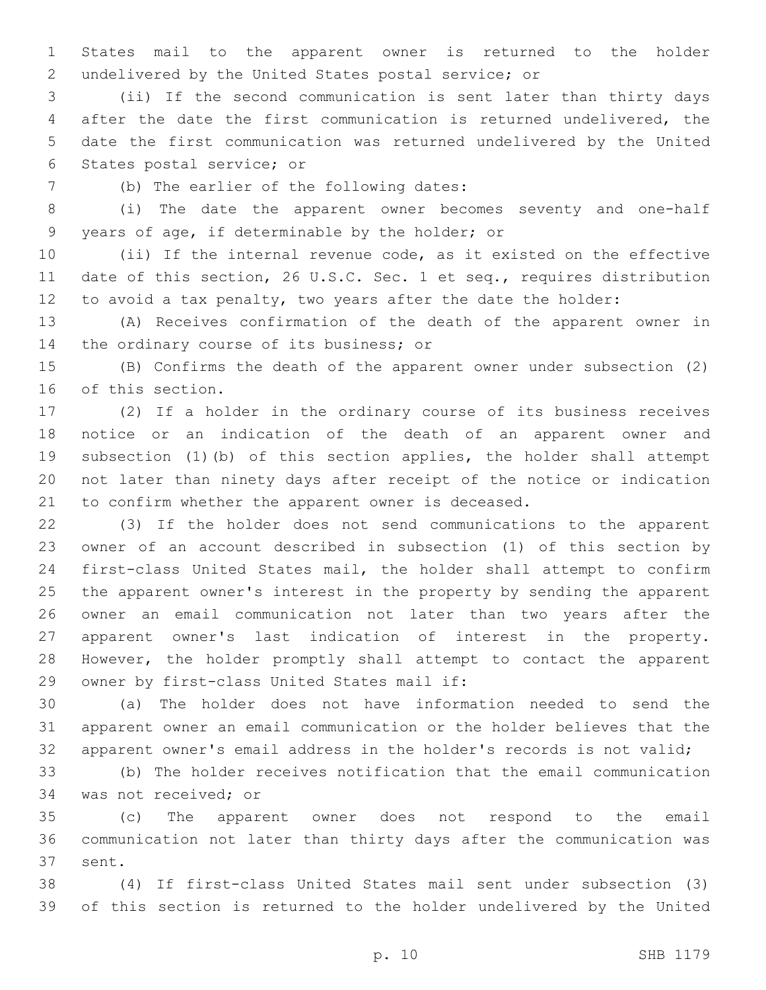States mail to the apparent owner is returned to the holder undelivered by the United States postal service; or

 (ii) If the second communication is sent later than thirty days after the date the first communication is returned undelivered, the date the first communication was returned undelivered by the United 6 States postal service; or

(b) The earlier of the following dates:

 (i) The date the apparent owner becomes seventy and one-half 9 years of age, if determinable by the holder; or

 (ii) If the internal revenue code, as it existed on the effective date of this section, 26 U.S.C. Sec. 1 et seq., requires distribution to avoid a tax penalty, two years after the date the holder:

 (A) Receives confirmation of the death of the apparent owner in 14 the ordinary course of its business; or

 (B) Confirms the death of the apparent owner under subsection (2) 16 of this section.

 (2) If a holder in the ordinary course of its business receives notice or an indication of the death of an apparent owner and subsection (1)(b) of this section applies, the holder shall attempt not later than ninety days after receipt of the notice or indication to confirm whether the apparent owner is deceased.

 (3) If the holder does not send communications to the apparent owner of an account described in subsection (1) of this section by first-class United States mail, the holder shall attempt to confirm the apparent owner's interest in the property by sending the apparent owner an email communication not later than two years after the apparent owner's last indication of interest in the property. However, the holder promptly shall attempt to contact the apparent 29 owner by first-class United States mail if:

 (a) The holder does not have information needed to send the apparent owner an email communication or the holder believes that the apparent owner's email address in the holder's records is not valid;

 (b) The holder receives notification that the email communication 34 was not received; or

 (c) The apparent owner does not respond to the email communication not later than thirty days after the communication was 37 sent.

 (4) If first-class United States mail sent under subsection (3) of this section is returned to the holder undelivered by the United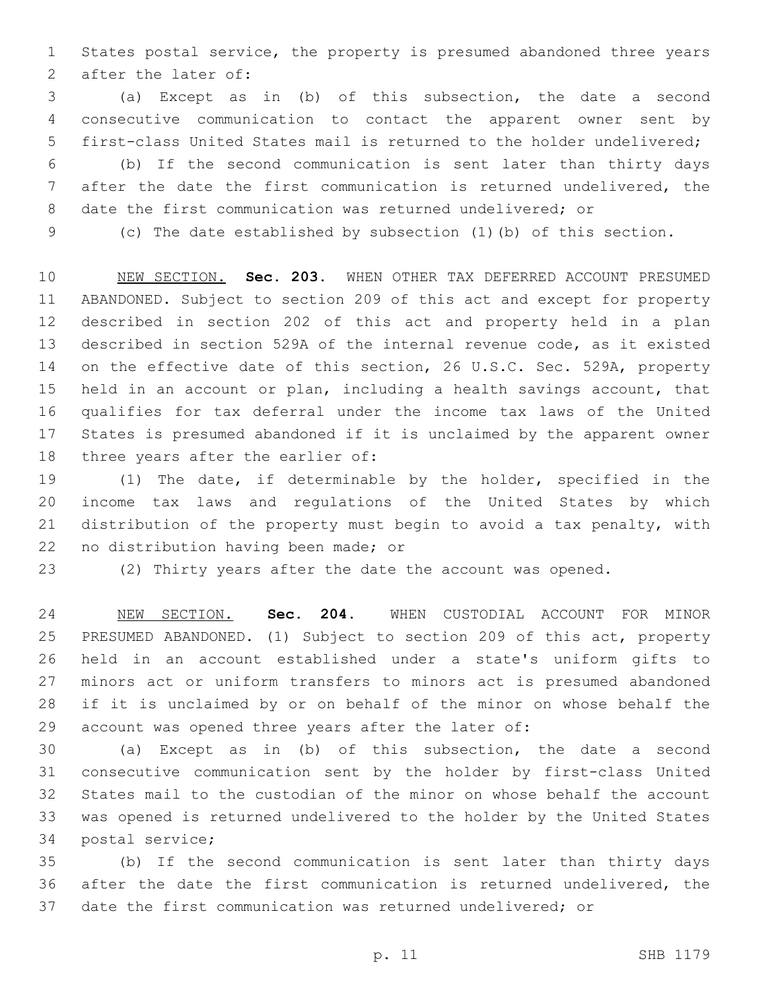States postal service, the property is presumed abandoned three years 2 after the later of:

 (a) Except as in (b) of this subsection, the date a second consecutive communication to contact the apparent owner sent by first-class United States mail is returned to the holder undelivered;

 (b) If the second communication is sent later than thirty days after the date the first communication is returned undelivered, the date the first communication was returned undelivered; or

(c) The date established by subsection (1)(b) of this section.

 NEW SECTION. **Sec. 203.** WHEN OTHER TAX DEFERRED ACCOUNT PRESUMED ABANDONED. Subject to section 209 of this act and except for property described in section 202 of this act and property held in a plan described in section 529A of the internal revenue code, as it existed on the effective date of this section, 26 U.S.C. Sec. 529A, property held in an account or plan, including a health savings account, that qualifies for tax deferral under the income tax laws of the United States is presumed abandoned if it is unclaimed by the apparent owner three years after the earlier of:

 (1) The date, if determinable by the holder, specified in the income tax laws and regulations of the United States by which distribution of the property must begin to avoid a tax penalty, with 22 no distribution having been made; or

(2) Thirty years after the date the account was opened.

 NEW SECTION. **Sec. 204.** WHEN CUSTODIAL ACCOUNT FOR MINOR PRESUMED ABANDONED. (1) Subject to section 209 of this act, property held in an account established under a state's uniform gifts to minors act or uniform transfers to minors act is presumed abandoned if it is unclaimed by or on behalf of the minor on whose behalf the account was opened three years after the later of:

 (a) Except as in (b) of this subsection, the date a second consecutive communication sent by the holder by first-class United States mail to the custodian of the minor on whose behalf the account was opened is returned undelivered to the holder by the United States 34 postal service;

 (b) If the second communication is sent later than thirty days after the date the first communication is returned undelivered, the date the first communication was returned undelivered; or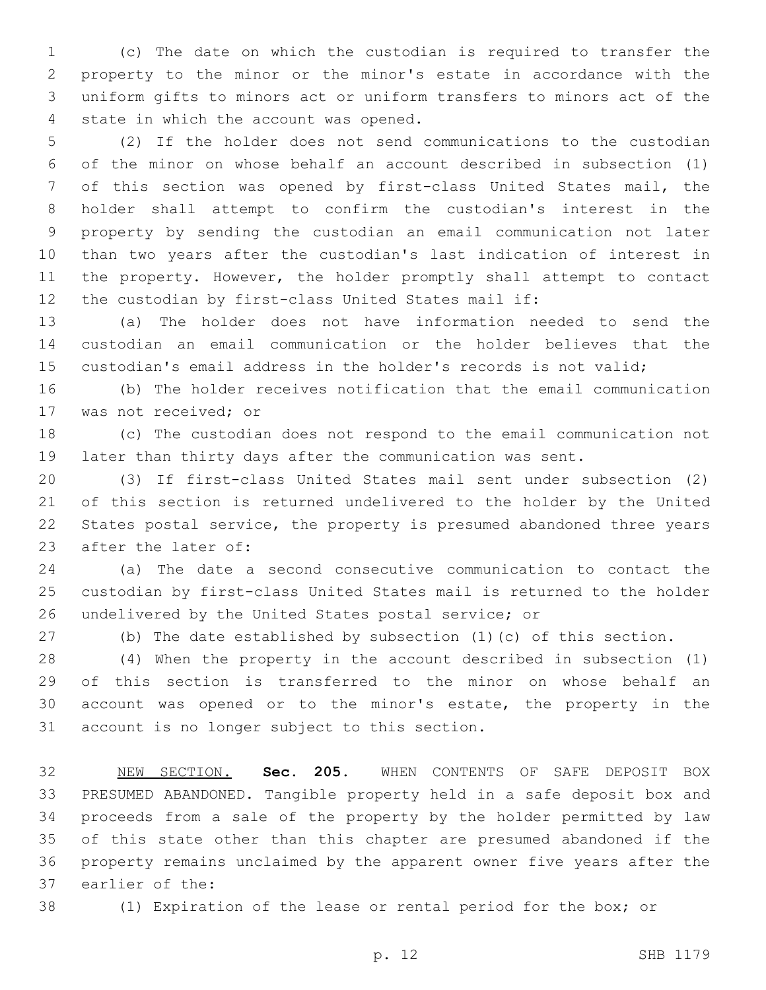(c) The date on which the custodian is required to transfer the property to the minor or the minor's estate in accordance with the uniform gifts to minors act or uniform transfers to minors act of the 4 state in which the account was opened.

 (2) If the holder does not send communications to the custodian of the minor on whose behalf an account described in subsection (1) of this section was opened by first-class United States mail, the holder shall attempt to confirm the custodian's interest in the property by sending the custodian an email communication not later than two years after the custodian's last indication of interest in the property. However, the holder promptly shall attempt to contact the custodian by first-class United States mail if:

 (a) The holder does not have information needed to send the custodian an email communication or the holder believes that the custodian's email address in the holder's records is not valid;

 (b) The holder receives notification that the email communication 17 was not received; or

 (c) The custodian does not respond to the email communication not later than thirty days after the communication was sent.

 (3) If first-class United States mail sent under subsection (2) of this section is returned undelivered to the holder by the United States postal service, the property is presumed abandoned three years 23 after the later of:

 (a) The date a second consecutive communication to contact the custodian by first-class United States mail is returned to the holder undelivered by the United States postal service; or

(b) The date established by subsection (1)(c) of this section.

 (4) When the property in the account described in subsection (1) of this section is transferred to the minor on whose behalf an account was opened or to the minor's estate, the property in the 31 account is no longer subject to this section.

 NEW SECTION. **Sec. 205.** WHEN CONTENTS OF SAFE DEPOSIT BOX PRESUMED ABANDONED. Tangible property held in a safe deposit box and proceeds from a sale of the property by the holder permitted by law of this state other than this chapter are presumed abandoned if the property remains unclaimed by the apparent owner five years after the earlier of the:

(1) Expiration of the lease or rental period for the box; or

p. 12 SHB 1179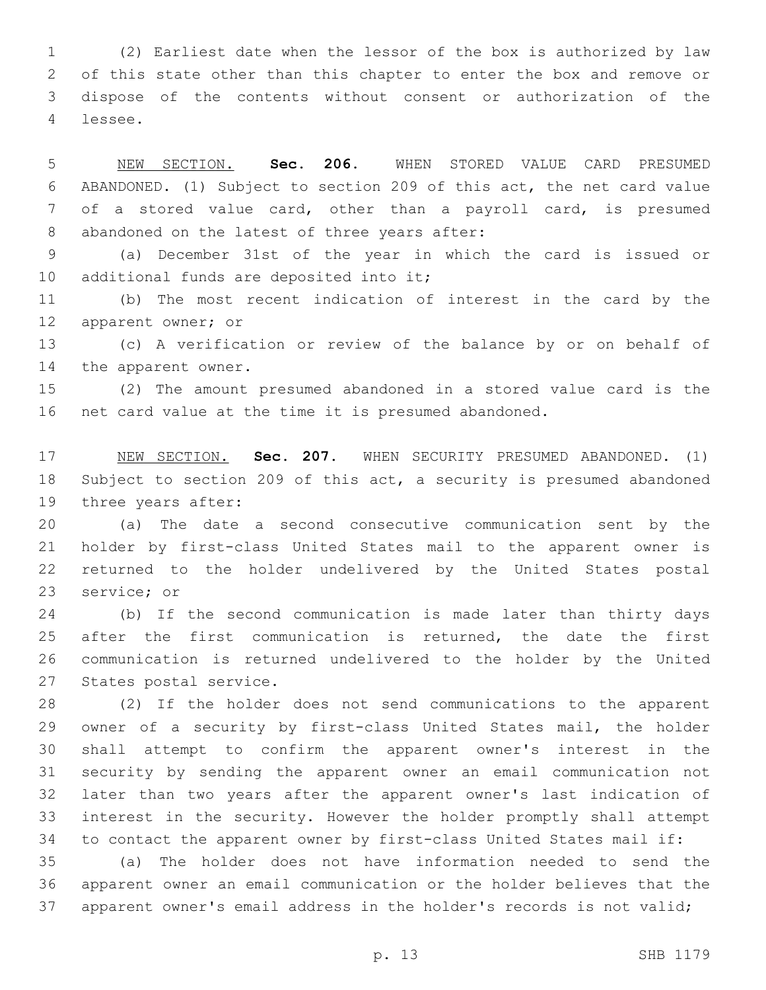(2) Earliest date when the lessor of the box is authorized by law of this state other than this chapter to enter the box and remove or dispose of the contents without consent or authorization of the lessee.4

 NEW SECTION. **Sec. 206.** WHEN STORED VALUE CARD PRESUMED ABANDONED. (1) Subject to section 209 of this act, the net card value of a stored value card, other than a payroll card, is presumed abandoned on the latest of three years after:

 (a) December 31st of the year in which the card is issued or 10 additional funds are deposited into it;

 (b) The most recent indication of interest in the card by the 12 apparent owner; or

 (c) A verification or review of the balance by or on behalf of 14 the apparent owner.

 (2) The amount presumed abandoned in a stored value card is the net card value at the time it is presumed abandoned.

 NEW SECTION. **Sec. 207.** WHEN SECURITY PRESUMED ABANDONED. (1) Subject to section 209 of this act, a security is presumed abandoned three years after:

 (a) The date a second consecutive communication sent by the holder by first-class United States mail to the apparent owner is returned to the holder undelivered by the United States postal 23 service; or

 (b) If the second communication is made later than thirty days after the first communication is returned, the date the first communication is returned undelivered to the holder by the United 27 States postal service.

 (2) If the holder does not send communications to the apparent owner of a security by first-class United States mail, the holder shall attempt to confirm the apparent owner's interest in the security by sending the apparent owner an email communication not later than two years after the apparent owner's last indication of interest in the security. However the holder promptly shall attempt to contact the apparent owner by first-class United States mail if:

 (a) The holder does not have information needed to send the apparent owner an email communication or the holder believes that the apparent owner's email address in the holder's records is not valid;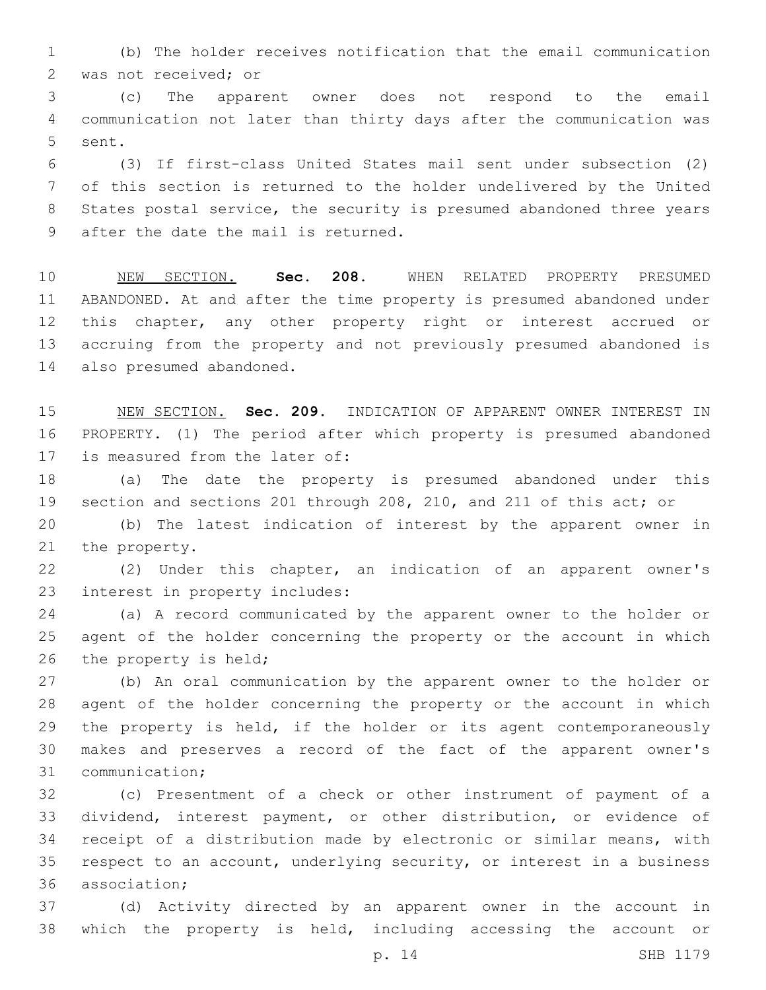(b) The holder receives notification that the email communication 2 was not received; or

 (c) The apparent owner does not respond to the email communication not later than thirty days after the communication was 5 sent.

 (3) If first-class United States mail sent under subsection (2) of this section is returned to the holder undelivered by the United States postal service, the security is presumed abandoned three years 9 after the date the mail is returned.

 NEW SECTION. **Sec. 208.** WHEN RELATED PROPERTY PRESUMED ABANDONED. At and after the time property is presumed abandoned under this chapter, any other property right or interest accrued or accruing from the property and not previously presumed abandoned is also presumed abandoned.

 NEW SECTION. **Sec. 209.** INDICATION OF APPARENT OWNER INTEREST IN PROPERTY. (1) The period after which property is presumed abandoned is measured from the later of:

 (a) The date the property is presumed abandoned under this section and sections 201 through 208, 210, and 211 of this act; or

 (b) The latest indication of interest by the apparent owner in 21 the property.

 (2) Under this chapter, an indication of an apparent owner's 23 interest in property includes:

 (a) A record communicated by the apparent owner to the holder or agent of the holder concerning the property or the account in which 26 the property is held;

 (b) An oral communication by the apparent owner to the holder or agent of the holder concerning the property or the account in which the property is held, if the holder or its agent contemporaneously makes and preserves a record of the fact of the apparent owner's 31 communication;

 (c) Presentment of a check or other instrument of payment of a dividend, interest payment, or other distribution, or evidence of receipt of a distribution made by electronic or similar means, with respect to an account, underlying security, or interest in a business 36 association;

 (d) Activity directed by an apparent owner in the account in which the property is held, including accessing the account or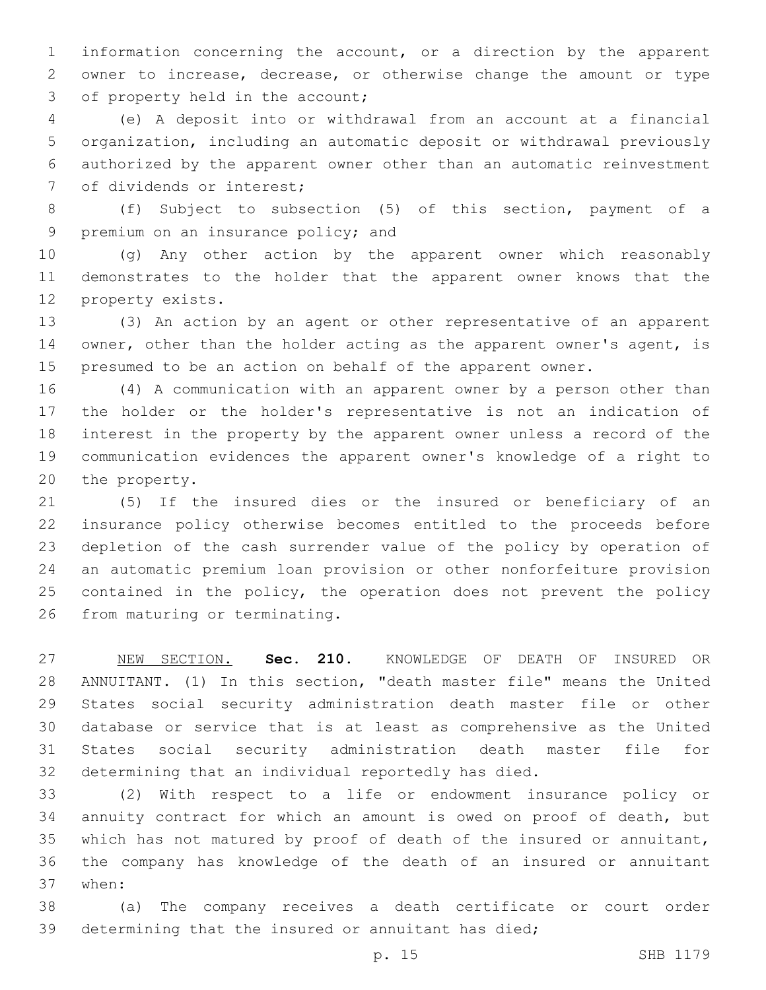information concerning the account, or a direction by the apparent owner to increase, decrease, or otherwise change the amount or type 3 of property held in the account;

 (e) A deposit into or withdrawal from an account at a financial organization, including an automatic deposit or withdrawal previously authorized by the apparent owner other than an automatic reinvestment 7 of dividends or interest;

 (f) Subject to subsection (5) of this section, payment of a 9 premium on an insurance policy; and

 (g) Any other action by the apparent owner which reasonably demonstrates to the holder that the apparent owner knows that the 12 property exists.

 (3) An action by an agent or other representative of an apparent owner, other than the holder acting as the apparent owner's agent, is presumed to be an action on behalf of the apparent owner.

 (4) A communication with an apparent owner by a person other than the holder or the holder's representative is not an indication of interest in the property by the apparent owner unless a record of the communication evidences the apparent owner's knowledge of a right to 20 the property.

 (5) If the insured dies or the insured or beneficiary of an insurance policy otherwise becomes entitled to the proceeds before depletion of the cash surrender value of the policy by operation of an automatic premium loan provision or other nonforfeiture provision 25 contained in the policy, the operation does not prevent the policy 26 from maturing or terminating.

 NEW SECTION. **Sec. 210.** KNOWLEDGE OF DEATH OF INSURED OR ANNUITANT. (1) In this section, "death master file" means the United States social security administration death master file or other database or service that is at least as comprehensive as the United States social security administration death master file for determining that an individual reportedly has died.

 (2) With respect to a life or endowment insurance policy or annuity contract for which an amount is owed on proof of death, but which has not matured by proof of death of the insured or annuitant, the company has knowledge of the death of an insured or annuitant 37 when:

 (a) The company receives a death certificate or court order determining that the insured or annuitant has died;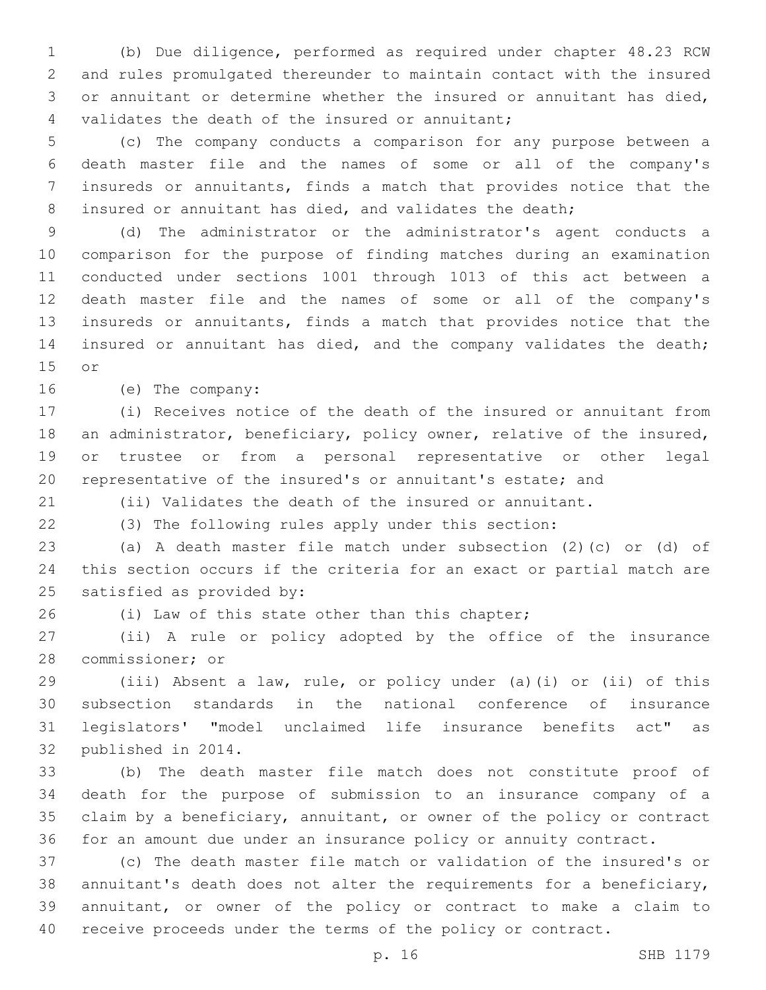(b) Due diligence, performed as required under chapter 48.23 RCW and rules promulgated thereunder to maintain contact with the insured or annuitant or determine whether the insured or annuitant has died, 4 validates the death of the insured or annuitant;

 (c) The company conducts a comparison for any purpose between a death master file and the names of some or all of the company's insureds or annuitants, finds a match that provides notice that the 8 insured or annuitant has died, and validates the death;

 (d) The administrator or the administrator's agent conducts a comparison for the purpose of finding matches during an examination conducted under sections 1001 through 1013 of this act between a death master file and the names of some or all of the company's insureds or annuitants, finds a match that provides notice that the insured or annuitant has died, and the company validates the death; 15 or

16 (e) The company:

 (i) Receives notice of the death of the insured or annuitant from an administrator, beneficiary, policy owner, relative of the insured, or trustee or from a personal representative or other legal representative of the insured's or annuitant's estate; and

(ii) Validates the death of the insured or annuitant.

(3) The following rules apply under this section:

 (a) A death master file match under subsection (2)(c) or (d) of this section occurs if the criteria for an exact or partial match are 25 satisfied as provided by:

(i) Law of this state other than this chapter;

 (ii) A rule or policy adopted by the office of the insurance 28 commissioner; or

 (iii) Absent a law, rule, or policy under (a)(i) or (ii) of this subsection standards in the national conference of insurance legislators' "model unclaimed life insurance benefits act" as 32 published in 2014.

 (b) The death master file match does not constitute proof of death for the purpose of submission to an insurance company of a claim by a beneficiary, annuitant, or owner of the policy or contract for an amount due under an insurance policy or annuity contract.

 (c) The death master file match or validation of the insured's or annuitant's death does not alter the requirements for a beneficiary, annuitant, or owner of the policy or contract to make a claim to 40 receive proceeds under the terms of the policy or contract.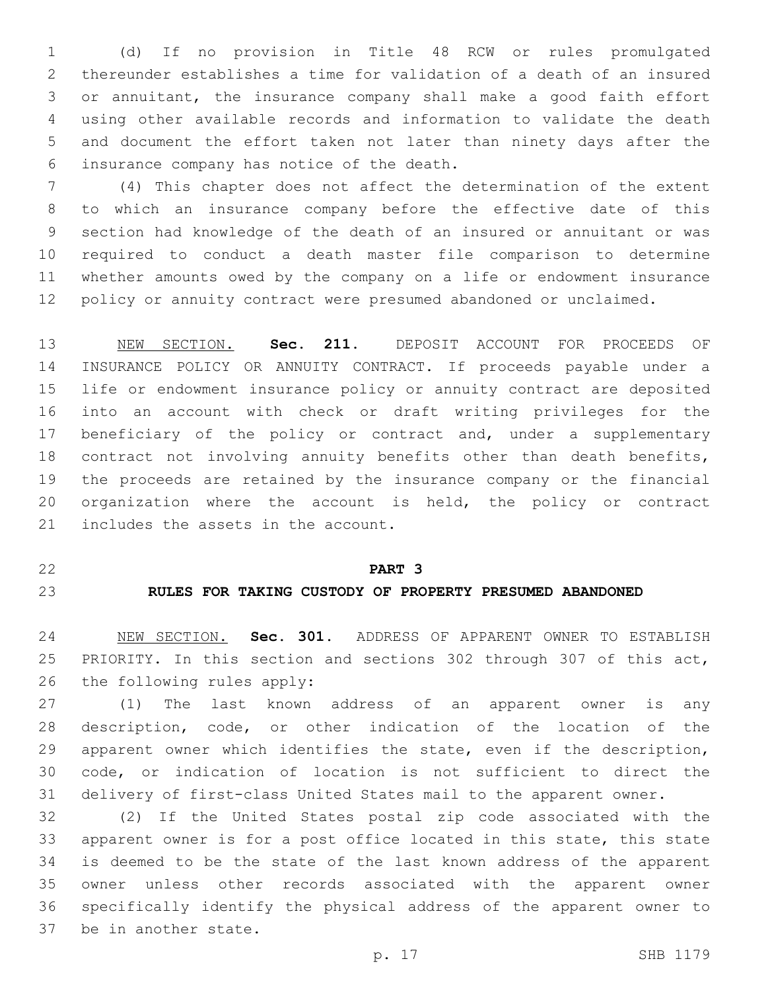(d) If no provision in Title 48 RCW or rules promulgated thereunder establishes a time for validation of a death of an insured or annuitant, the insurance company shall make a good faith effort using other available records and information to validate the death and document the effort taken not later than ninety days after the 6 insurance company has notice of the death.

 (4) This chapter does not affect the determination of the extent to which an insurance company before the effective date of this section had knowledge of the death of an insured or annuitant or was required to conduct a death master file comparison to determine whether amounts owed by the company on a life or endowment insurance policy or annuity contract were presumed abandoned or unclaimed.

 NEW SECTION. **Sec. 211.** DEPOSIT ACCOUNT FOR PROCEEDS OF INSURANCE POLICY OR ANNUITY CONTRACT. If proceeds payable under a life or endowment insurance policy or annuity contract are deposited into an account with check or draft writing privileges for the 17 beneficiary of the policy or contract and, under a supplementary contract not involving annuity benefits other than death benefits, the proceeds are retained by the insurance company or the financial organization where the account is held, the policy or contract includes the assets in the account.

## **PART 3**

# **RULES FOR TAKING CUSTODY OF PROPERTY PRESUMED ABANDONED**

 NEW SECTION. **Sec. 301.** ADDRESS OF APPARENT OWNER TO ESTABLISH PRIORITY. In this section and sections 302 through 307 of this act, the following rules apply:

 (1) The last known address of an apparent owner is any description, code, or other indication of the location of the apparent owner which identifies the state, even if the description, code, or indication of location is not sufficient to direct the delivery of first-class United States mail to the apparent owner.

 (2) If the United States postal zip code associated with the apparent owner is for a post office located in this state, this state is deemed to be the state of the last known address of the apparent owner unless other records associated with the apparent owner specifically identify the physical address of the apparent owner to 37 be in another state.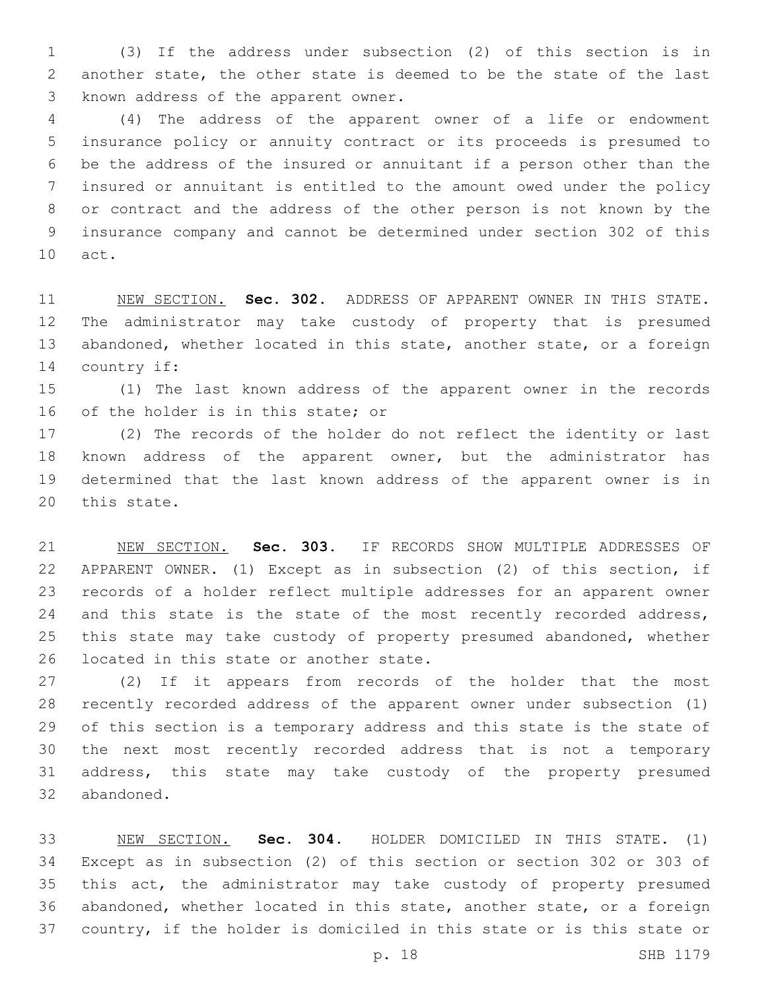(3) If the address under subsection (2) of this section is in another state, the other state is deemed to be the state of the last 3 known address of the apparent owner.

 (4) The address of the apparent owner of a life or endowment insurance policy or annuity contract or its proceeds is presumed to be the address of the insured or annuitant if a person other than the insured or annuitant is entitled to the amount owed under the policy or contract and the address of the other person is not known by the insurance company and cannot be determined under section 302 of this 10 act.

 NEW SECTION. **Sec. 302.** ADDRESS OF APPARENT OWNER IN THIS STATE. The administrator may take custody of property that is presumed abandoned, whether located in this state, another state, or a foreign country if:

 (1) The last known address of the apparent owner in the records 16 of the holder is in this state; or

 (2) The records of the holder do not reflect the identity or last known address of the apparent owner, but the administrator has determined that the last known address of the apparent owner is in 20 this state.

 NEW SECTION. **Sec. 303.** IF RECORDS SHOW MULTIPLE ADDRESSES OF APPARENT OWNER. (1) Except as in subsection (2) of this section, if records of a holder reflect multiple addresses for an apparent owner 24 and this state is the state of the most recently recorded address, this state may take custody of property presumed abandoned, whether located in this state or another state.

 (2) If it appears from records of the holder that the most recently recorded address of the apparent owner under subsection (1) of this section is a temporary address and this state is the state of the next most recently recorded address that is not a temporary address, this state may take custody of the property presumed 32 abandoned.

 NEW SECTION. **Sec. 304.** HOLDER DOMICILED IN THIS STATE. (1) Except as in subsection (2) of this section or section 302 or 303 of this act, the administrator may take custody of property presumed abandoned, whether located in this state, another state, or a foreign country, if the holder is domiciled in this state or is this state or

p. 18 SHB 1179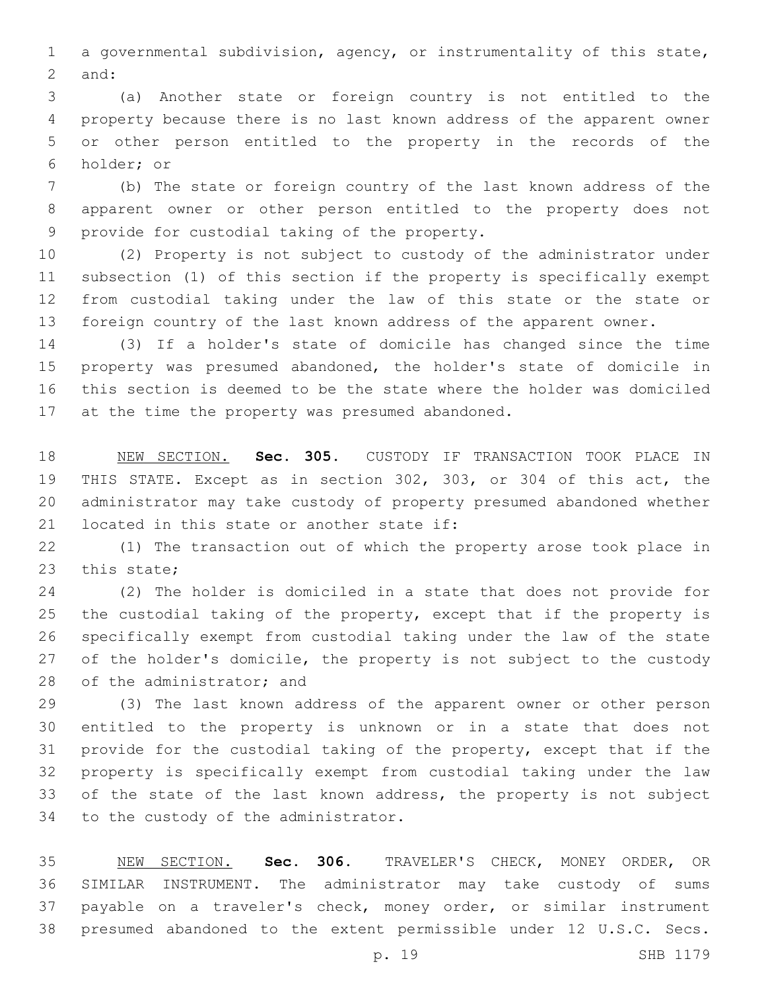a governmental subdivision, agency, or instrumentality of this state, 2 and:

 (a) Another state or foreign country is not entitled to the property because there is no last known address of the apparent owner or other person entitled to the property in the records of the 6 holder; or

 (b) The state or foreign country of the last known address of the apparent owner or other person entitled to the property does not 9 provide for custodial taking of the property.

 (2) Property is not subject to custody of the administrator under subsection (1) of this section if the property is specifically exempt from custodial taking under the law of this state or the state or foreign country of the last known address of the apparent owner.

 (3) If a holder's state of domicile has changed since the time property was presumed abandoned, the holder's state of domicile in this section is deemed to be the state where the holder was domiciled 17 at the time the property was presumed abandoned.

 NEW SECTION. **Sec. 305.** CUSTODY IF TRANSACTION TOOK PLACE IN THIS STATE. Except as in section 302, 303, or 304 of this act, the administrator may take custody of property presumed abandoned whether located in this state or another state if:

 (1) The transaction out of which the property arose took place in 23 this state;

 (2) The holder is domiciled in a state that does not provide for 25 the custodial taking of the property, except that if the property is specifically exempt from custodial taking under the law of the state 27 of the holder's domicile, the property is not subject to the custody 28 of the administrator; and

 (3) The last known address of the apparent owner or other person entitled to the property is unknown or in a state that does not provide for the custodial taking of the property, except that if the property is specifically exempt from custodial taking under the law 33 of the state of the last known address, the property is not subject 34 to the custody of the administrator.

 NEW SECTION. **Sec. 306.** TRAVELER'S CHECK, MONEY ORDER, OR SIMILAR INSTRUMENT. The administrator may take custody of sums payable on a traveler's check, money order, or similar instrument presumed abandoned to the extent permissible under 12 U.S.C. Secs.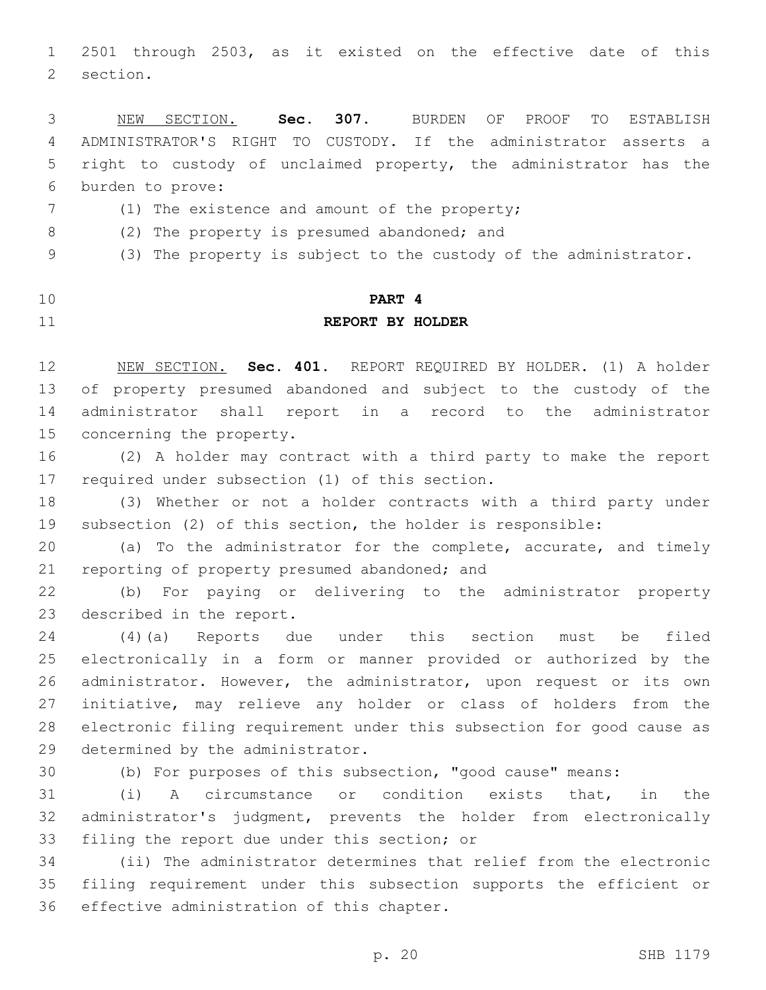2501 through 2503, as it existed on the effective date of this 2 section.

 NEW SECTION. **Sec. 307.** BURDEN OF PROOF TO ESTABLISH ADMINISTRATOR'S RIGHT TO CUSTODY. If the administrator asserts a right to custody of unclaimed property, the administrator has the burden to prove:

- 7 (1) The existence and amount of the property;
- 8 (2) The property is presumed abandoned; and

(3) The property is subject to the custody of the administrator.

# **PART 4 REPORT BY HOLDER**

 NEW SECTION. **Sec. 401.** REPORT REQUIRED BY HOLDER. (1) A holder of property presumed abandoned and subject to the custody of the administrator shall report in a record to the administrator concerning the property.

 (2) A holder may contract with a third party to make the report 17 required under subsection (1) of this section.

 (3) Whether or not a holder contracts with a third party under subsection (2) of this section, the holder is responsible:

 (a) To the administrator for the complete, accurate, and timely 21 reporting of property presumed abandoned; and

 (b) For paying or delivering to the administrator property 23 described in the report.

 (4)(a) Reports due under this section must be filed electronically in a form or manner provided or authorized by the administrator. However, the administrator, upon request or its own initiative, may relieve any holder or class of holders from the electronic filing requirement under this subsection for good cause as 29 determined by the administrator.

(b) For purposes of this subsection, "good cause" means:

 (i) A circumstance or condition exists that, in the administrator's judgment, prevents the holder from electronically 33 filing the report due under this section; or

 (ii) The administrator determines that relief from the electronic filing requirement under this subsection supports the efficient or 36 effective administration of this chapter.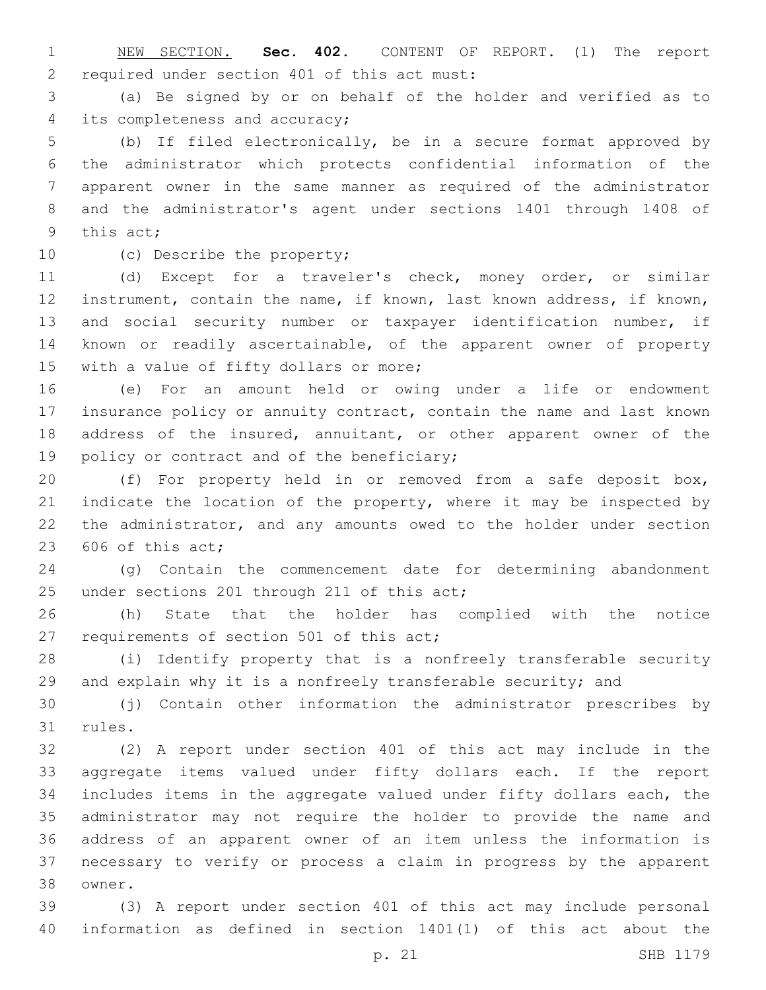NEW SECTION. **Sec. 402.** CONTENT OF REPORT. (1) The report required under section 401 of this act must:

 (a) Be signed by or on behalf of the holder and verified as to 4 its completeness and accuracy;

 (b) If filed electronically, be in a secure format approved by the administrator which protects confidential information of the apparent owner in the same manner as required of the administrator and the administrator's agent under sections 1401 through 1408 of 9 this act;

10 (c) Describe the property;

 (d) Except for a traveler's check, money order, or similar instrument, contain the name, if known, last known address, if known, and social security number or taxpayer identification number, if known or readily ascertainable, of the apparent owner of property 15 with a value of fifty dollars or more;

 (e) For an amount held or owing under a life or endowment insurance policy or annuity contract, contain the name and last known 18 address of the insured, annuitant, or other apparent owner of the 19 policy or contract and of the beneficiary;

 (f) For property held in or removed from a safe deposit box, 21 indicate the location of the property, where it may be inspected by the administrator, and any amounts owed to the holder under section of this act:

 (g) Contain the commencement date for determining abandonment 25 under sections 201 through 211 of this act;

 (h) State that the holder has complied with the notice 27 requirements of section 501 of this act;

 (i) Identify property that is a nonfreely transferable security and explain why it is a nonfreely transferable security; and

 (j) Contain other information the administrator prescribes by 31 rules.

 (2) A report under section 401 of this act may include in the aggregate items valued under fifty dollars each. If the report includes items in the aggregate valued under fifty dollars each, the administrator may not require the holder to provide the name and address of an apparent owner of an item unless the information is necessary to verify or process a claim in progress by the apparent 38 owner.

 (3) A report under section 401 of this act may include personal information as defined in section 1401(1) of this act about the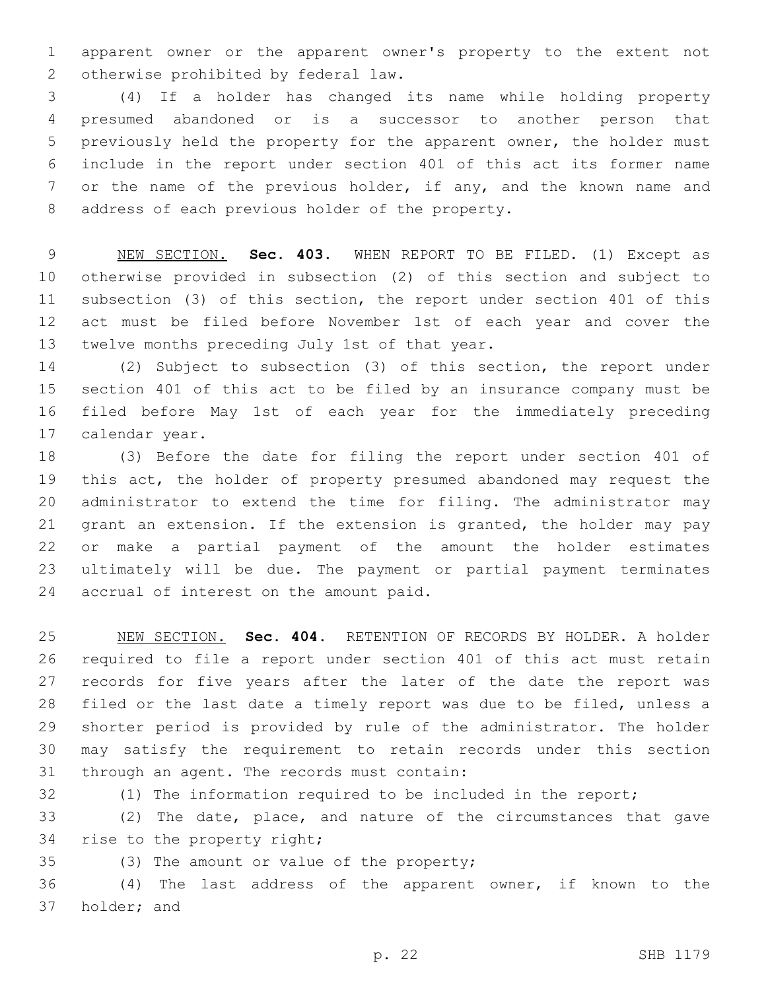apparent owner or the apparent owner's property to the extent not 2 otherwise prohibited by federal law.

 (4) If a holder has changed its name while holding property presumed abandoned or is a successor to another person that previously held the property for the apparent owner, the holder must include in the report under section 401 of this act its former name or the name of the previous holder, if any, and the known name and 8 address of each previous holder of the property.

 NEW SECTION. **Sec. 403.** WHEN REPORT TO BE FILED. (1) Except as otherwise provided in subsection (2) of this section and subject to subsection (3) of this section, the report under section 401 of this act must be filed before November 1st of each year and cover the twelve months preceding July 1st of that year.

 (2) Subject to subsection (3) of this section, the report under section 401 of this act to be filed by an insurance company must be filed before May 1st of each year for the immediately preceding 17 calendar year.

 (3) Before the date for filing the report under section 401 of this act, the holder of property presumed abandoned may request the administrator to extend the time for filing. The administrator may grant an extension. If the extension is granted, the holder may pay or make a partial payment of the amount the holder estimates ultimately will be due. The payment or partial payment terminates 24 accrual of interest on the amount paid.

 NEW SECTION. **Sec. 404.** RETENTION OF RECORDS BY HOLDER. A holder required to file a report under section 401 of this act must retain records for five years after the later of the date the report was filed or the last date a timely report was due to be filed, unless a shorter period is provided by rule of the administrator. The holder may satisfy the requirement to retain records under this section through an agent. The records must contain:

 (1) The information required to be included in the report; (2) The date, place, and nature of the circumstances that gave 34 rise to the property right;

35 (3) The amount or value of the property;

 (4) The last address of the apparent owner, if known to the 37 holder; and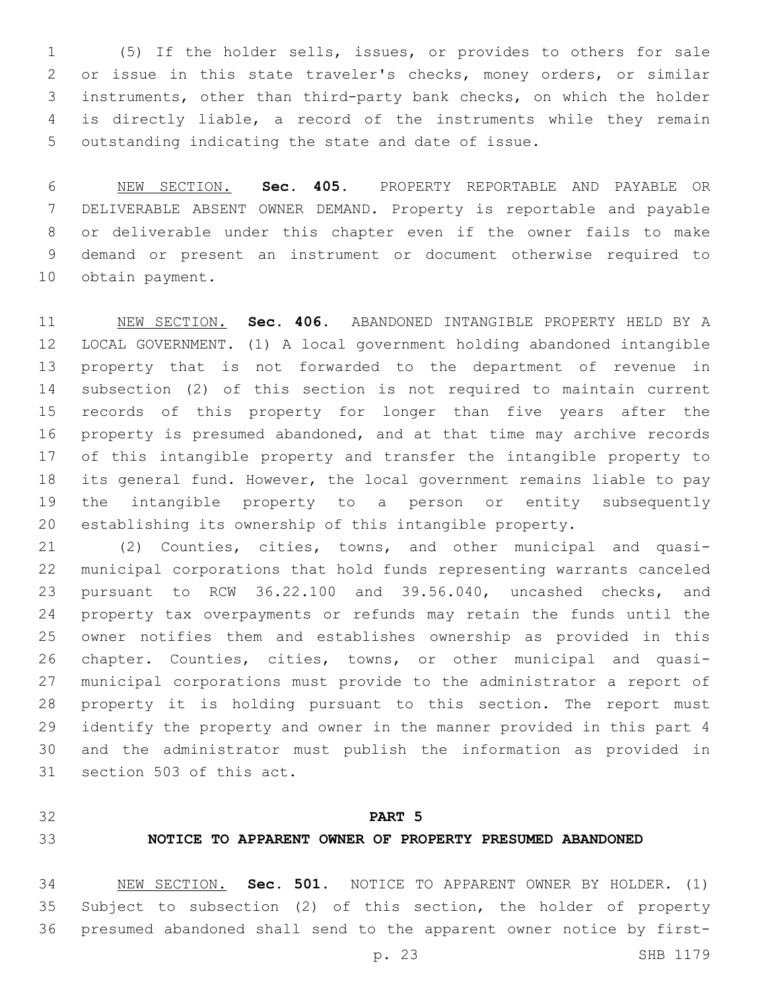(5) If the holder sells, issues, or provides to others for sale or issue in this state traveler's checks, money orders, or similar instruments, other than third-party bank checks, on which the holder is directly liable, a record of the instruments while they remain outstanding indicating the state and date of issue.

 NEW SECTION. **Sec. 405.** PROPERTY REPORTABLE AND PAYABLE OR DELIVERABLE ABSENT OWNER DEMAND. Property is reportable and payable or deliverable under this chapter even if the owner fails to make demand or present an instrument or document otherwise required to obtain payment.

 NEW SECTION. **Sec. 406.** ABANDONED INTANGIBLE PROPERTY HELD BY A LOCAL GOVERNMENT. (1) A local government holding abandoned intangible property that is not forwarded to the department of revenue in subsection (2) of this section is not required to maintain current records of this property for longer than five years after the property is presumed abandoned, and at that time may archive records of this intangible property and transfer the intangible property to its general fund. However, the local government remains liable to pay the intangible property to a person or entity subsequently establishing its ownership of this intangible property.

 (2) Counties, cities, towns, and other municipal and quasi- municipal corporations that hold funds representing warrants canceled pursuant to RCW 36.22.100 and 39.56.040, uncashed checks, and property tax overpayments or refunds may retain the funds until the owner notifies them and establishes ownership as provided in this chapter. Counties, cities, towns, or other municipal and quasi- municipal corporations must provide to the administrator a report of property it is holding pursuant to this section. The report must identify the property and owner in the manner provided in this part 4 and the administrator must publish the information as provided in 31 section 503 of this act.

#### **PART 5**

## **NOTICE TO APPARENT OWNER OF PROPERTY PRESUMED ABANDONED**

 NEW SECTION. **Sec. 501.** NOTICE TO APPARENT OWNER BY HOLDER. (1) Subject to subsection (2) of this section, the holder of property presumed abandoned shall send to the apparent owner notice by first-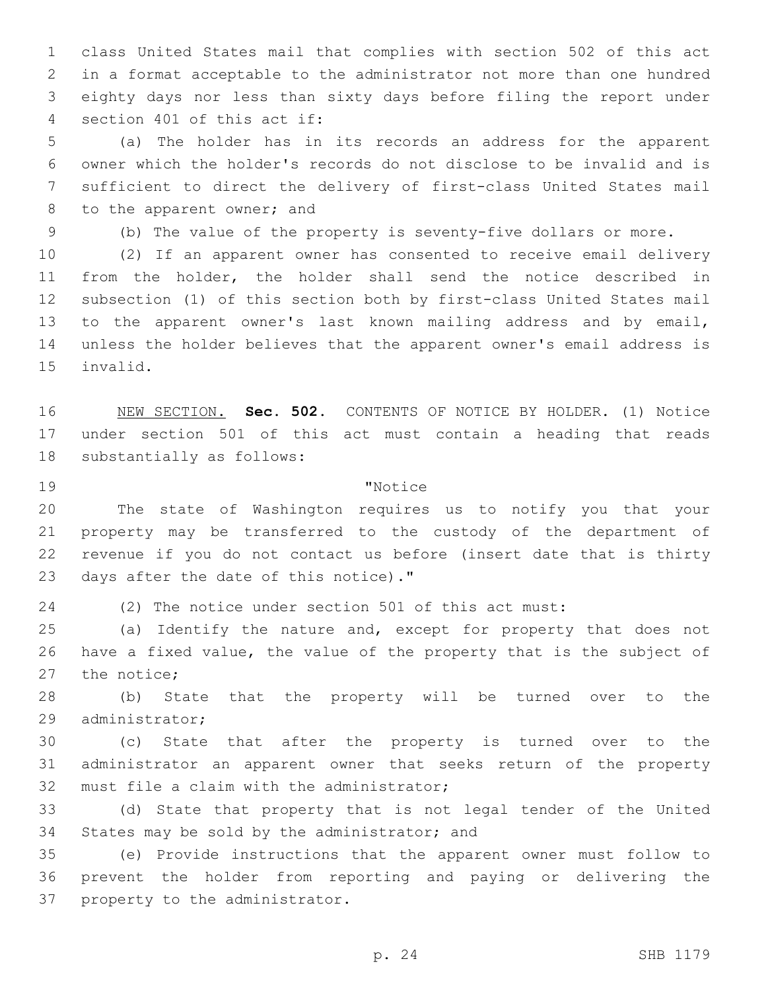class United States mail that complies with section 502 of this act in a format acceptable to the administrator not more than one hundred eighty days nor less than sixty days before filing the report under 4 section 401 of this act if:

 (a) The holder has in its records an address for the apparent owner which the holder's records do not disclose to be invalid and is sufficient to direct the delivery of first-class United States mail 8 to the apparent owner; and

(b) The value of the property is seventy-five dollars or more.

 (2) If an apparent owner has consented to receive email delivery from the holder, the holder shall send the notice described in subsection (1) of this section both by first-class United States mail to the apparent owner's last known mailing address and by email, unless the holder believes that the apparent owner's email address is 15 invalid.

 NEW SECTION. **Sec. 502.** CONTENTS OF NOTICE BY HOLDER. (1) Notice under section 501 of this act must contain a heading that reads substantially as follows:

## 19 The Terms of The Terms of Terms and Terms of Terms and Terms and Terms and Terms and Terms and Terms and Te

 The state of Washington requires us to notify you that your property may be transferred to the custody of the department of revenue if you do not contact us before (insert date that is thirty 23 days after the date of this notice)."

(2) The notice under section 501 of this act must:

 (a) Identify the nature and, except for property that does not have a fixed value, the value of the property that is the subject of 27 the notice;

 (b) State that the property will be turned over to the 29 administrator;

 (c) State that after the property is turned over to the administrator an apparent owner that seeks return of the property 32 must file a claim with the administrator;

 (d) State that property that is not legal tender of the United 34 States may be sold by the administrator; and

 (e) Provide instructions that the apparent owner must follow to prevent the holder from reporting and paying or delivering the 37 property to the administrator.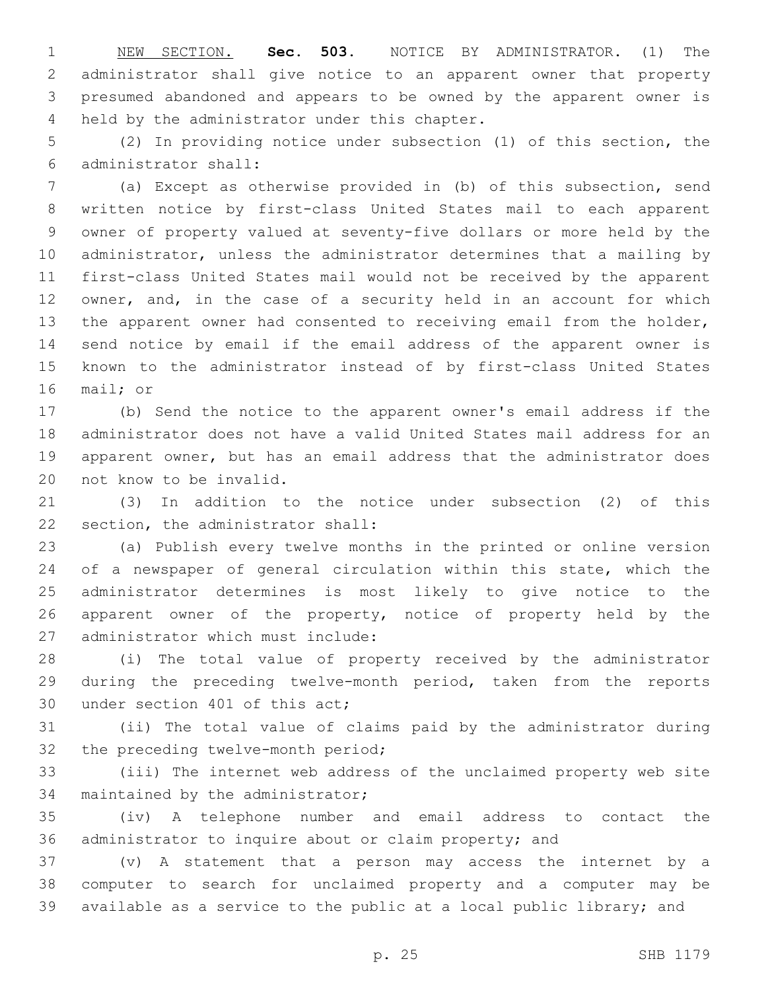NEW SECTION. **Sec. 503.** NOTICE BY ADMINISTRATOR. (1) The administrator shall give notice to an apparent owner that property presumed abandoned and appears to be owned by the apparent owner is held by the administrator under this chapter.

 (2) In providing notice under subsection (1) of this section, the administrator shall:6

 (a) Except as otherwise provided in (b) of this subsection, send written notice by first-class United States mail to each apparent owner of property valued at seventy-five dollars or more held by the administrator, unless the administrator determines that a mailing by first-class United States mail would not be received by the apparent 12 owner, and, in the case of a security held in an account for which the apparent owner had consented to receiving email from the holder, send notice by email if the email address of the apparent owner is known to the administrator instead of by first-class United States 16 mail; or

 (b) Send the notice to the apparent owner's email address if the administrator does not have a valid United States mail address for an apparent owner, but has an email address that the administrator does 20 not know to be invalid.

 (3) In addition to the notice under subsection (2) of this 22 section, the administrator shall:

 (a) Publish every twelve months in the printed or online version 24 of a newspaper of general circulation within this state, which the administrator determines is most likely to give notice to the apparent owner of the property, notice of property held by the 27 administrator which must include:

 (i) The total value of property received by the administrator during the preceding twelve-month period, taken from the reports 30 under section 401 of this act;

 (ii) The total value of claims paid by the administrator during 32 the preceding twelve-month period;

 (iii) The internet web address of the unclaimed property web site 34 maintained by the administrator;

 (iv) A telephone number and email address to contact the administrator to inquire about or claim property; and

 (v) A statement that a person may access the internet by a computer to search for unclaimed property and a computer may be available as a service to the public at a local public library; and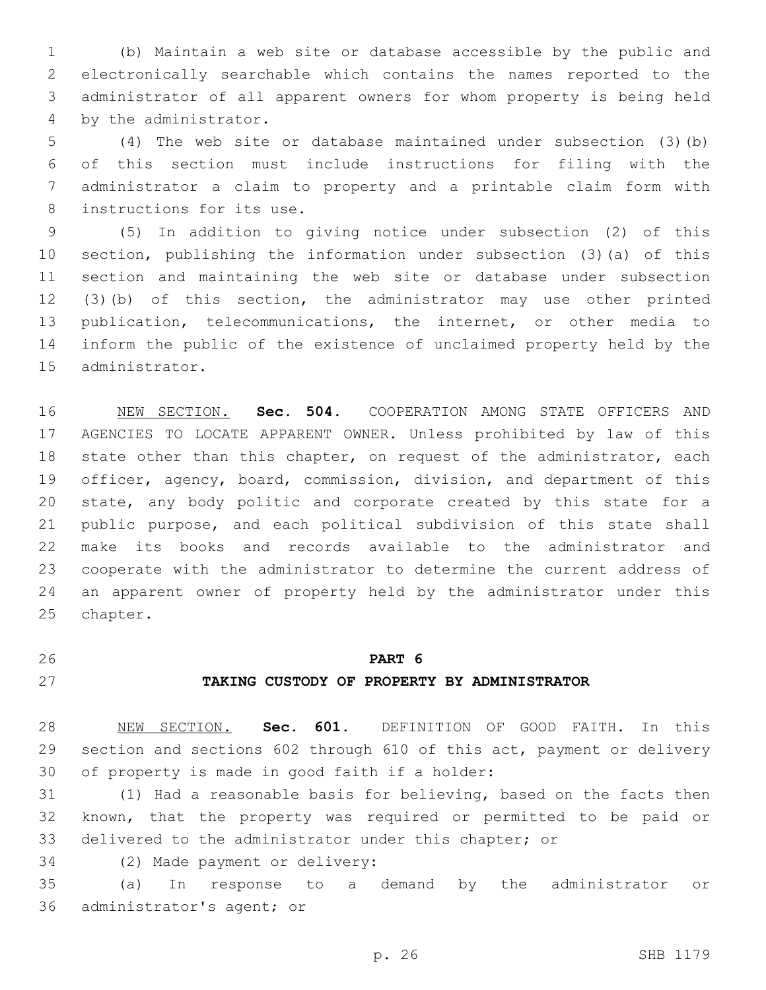(b) Maintain a web site or database accessible by the public and electronically searchable which contains the names reported to the administrator of all apparent owners for whom property is being held 4 by the administrator.

 (4) The web site or database maintained under subsection (3)(b) of this section must include instructions for filing with the administrator a claim to property and a printable claim form with 8 instructions for its use.

 (5) In addition to giving notice under subsection (2) of this section, publishing the information under subsection (3)(a) of this section and maintaining the web site or database under subsection (3)(b) of this section, the administrator may use other printed publication, telecommunications, the internet, or other media to inform the public of the existence of unclaimed property held by the 15 administrator.

 NEW SECTION. **Sec. 504.** COOPERATION AMONG STATE OFFICERS AND AGENCIES TO LOCATE APPARENT OWNER. Unless prohibited by law of this 18 state other than this chapter, on request of the administrator, each officer, agency, board, commission, division, and department of this 20 state, any body politic and corporate created by this state for a public purpose, and each political subdivision of this state shall make its books and records available to the administrator and cooperate with the administrator to determine the current address of an apparent owner of property held by the administrator under this chapter.

#### **PART 6**

# **TAKING CUSTODY OF PROPERTY BY ADMINISTRATOR**

 NEW SECTION. **Sec. 601.** DEFINITION OF GOOD FAITH. In this section and sections 602 through 610 of this act, payment or delivery of property is made in good faith if a holder:

 (1) Had a reasonable basis for believing, based on the facts then known, that the property was required or permitted to be paid or delivered to the administrator under this chapter; or

34 (2) Made payment or delivery:

 (a) In response to a demand by the administrator or 36 administrator's agent; or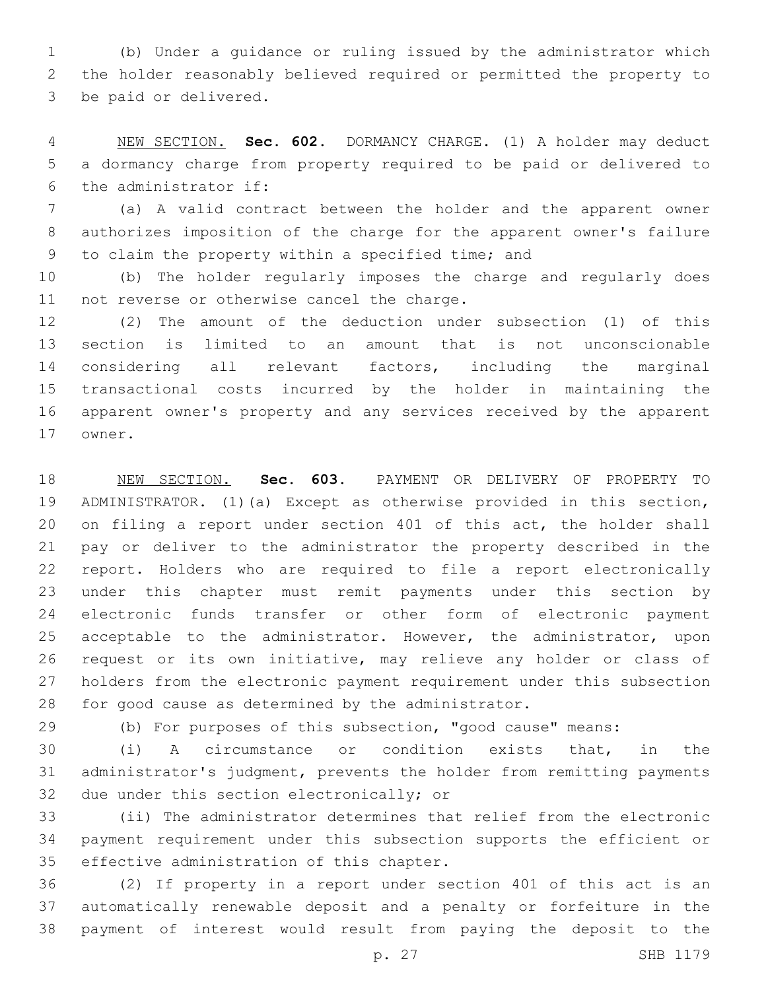(b) Under a guidance or ruling issued by the administrator which the holder reasonably believed required or permitted the property to 3 be paid or delivered.

 NEW SECTION. **Sec. 602.** DORMANCY CHARGE. (1) A holder may deduct a dormancy charge from property required to be paid or delivered to the administrator if:

 (a) A valid contract between the holder and the apparent owner authorizes imposition of the charge for the apparent owner's failure 9 to claim the property within a specified time; and

 (b) The holder regularly imposes the charge and regularly does 11 not reverse or otherwise cancel the charge.

 (2) The amount of the deduction under subsection (1) of this section is limited to an amount that is not unconscionable considering all relevant factors, including the marginal transactional costs incurred by the holder in maintaining the apparent owner's property and any services received by the apparent 17 owner.

 NEW SECTION. **Sec. 603.** PAYMENT OR DELIVERY OF PROPERTY TO ADMINISTRATOR. (1)(a) Except as otherwise provided in this section, on filing a report under section 401 of this act, the holder shall pay or deliver to the administrator the property described in the report. Holders who are required to file a report electronically under this chapter must remit payments under this section by electronic funds transfer or other form of electronic payment acceptable to the administrator. However, the administrator, upon request or its own initiative, may relieve any holder or class of holders from the electronic payment requirement under this subsection for good cause as determined by the administrator.

(b) For purposes of this subsection, "good cause" means:

 (i) A circumstance or condition exists that, in the administrator's judgment, prevents the holder from remitting payments 32 due under this section electronically; or

 (ii) The administrator determines that relief from the electronic payment requirement under this subsection supports the efficient or 35 effective administration of this chapter.

 (2) If property in a report under section 401 of this act is an automatically renewable deposit and a penalty or forfeiture in the payment of interest would result from paying the deposit to the

p. 27 SHB 1179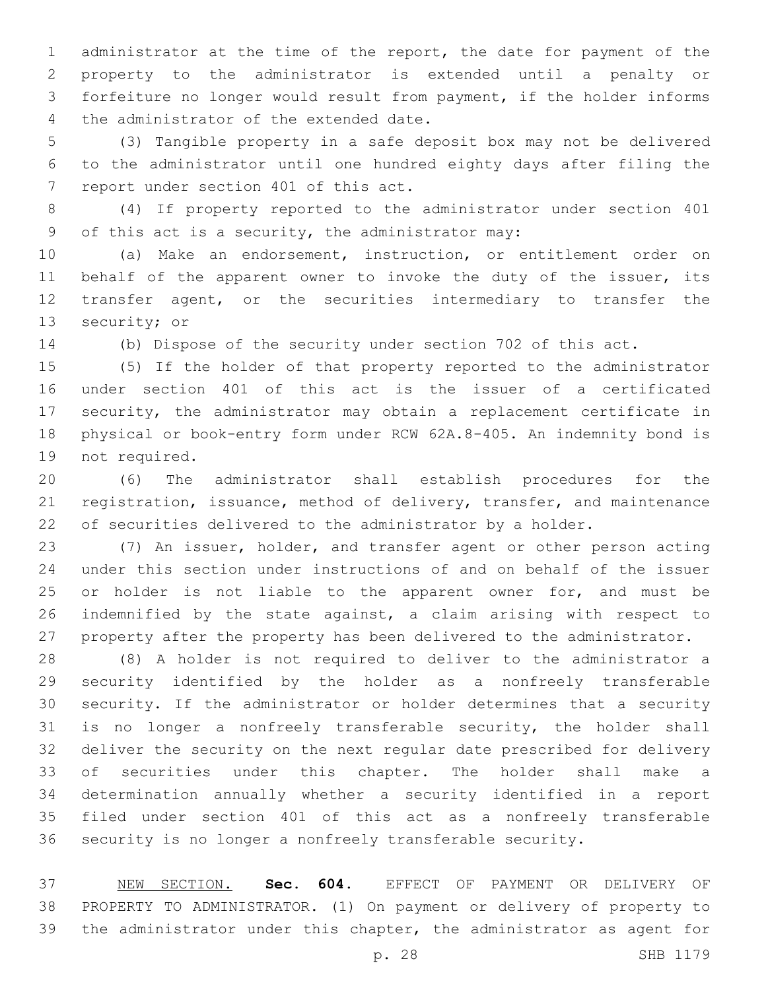administrator at the time of the report, the date for payment of the property to the administrator is extended until a penalty or forfeiture no longer would result from payment, if the holder informs 4 the administrator of the extended date.

 (3) Tangible property in a safe deposit box may not be delivered to the administrator until one hundred eighty days after filing the 7 report under section 401 of this act.

 (4) If property reported to the administrator under section 401 of this act is a security, the administrator may:9

 (a) Make an endorsement, instruction, or entitlement order on 11 behalf of the apparent owner to invoke the duty of the issuer, its transfer agent, or the securities intermediary to transfer the 13 security; or

(b) Dispose of the security under section 702 of this act.

 (5) If the holder of that property reported to the administrator under section 401 of this act is the issuer of a certificated security, the administrator may obtain a replacement certificate in physical or book-entry form under RCW 62A.8-405. An indemnity bond is 19 not required.

 (6) The administrator shall establish procedures for the registration, issuance, method of delivery, transfer, and maintenance of securities delivered to the administrator by a holder.

 (7) An issuer, holder, and transfer agent or other person acting under this section under instructions of and on behalf of the issuer 25 or holder is not liable to the apparent owner for, and must be indemnified by the state against, a claim arising with respect to property after the property has been delivered to the administrator.

 (8) A holder is not required to deliver to the administrator a security identified by the holder as a nonfreely transferable security. If the administrator or holder determines that a security is no longer a nonfreely transferable security, the holder shall deliver the security on the next regular date prescribed for delivery of securities under this chapter. The holder shall make a determination annually whether a security identified in a report filed under section 401 of this act as a nonfreely transferable security is no longer a nonfreely transferable security.

 NEW SECTION. **Sec. 604.** EFFECT OF PAYMENT OR DELIVERY OF PROPERTY TO ADMINISTRATOR. (1) On payment or delivery of property to the administrator under this chapter, the administrator as agent for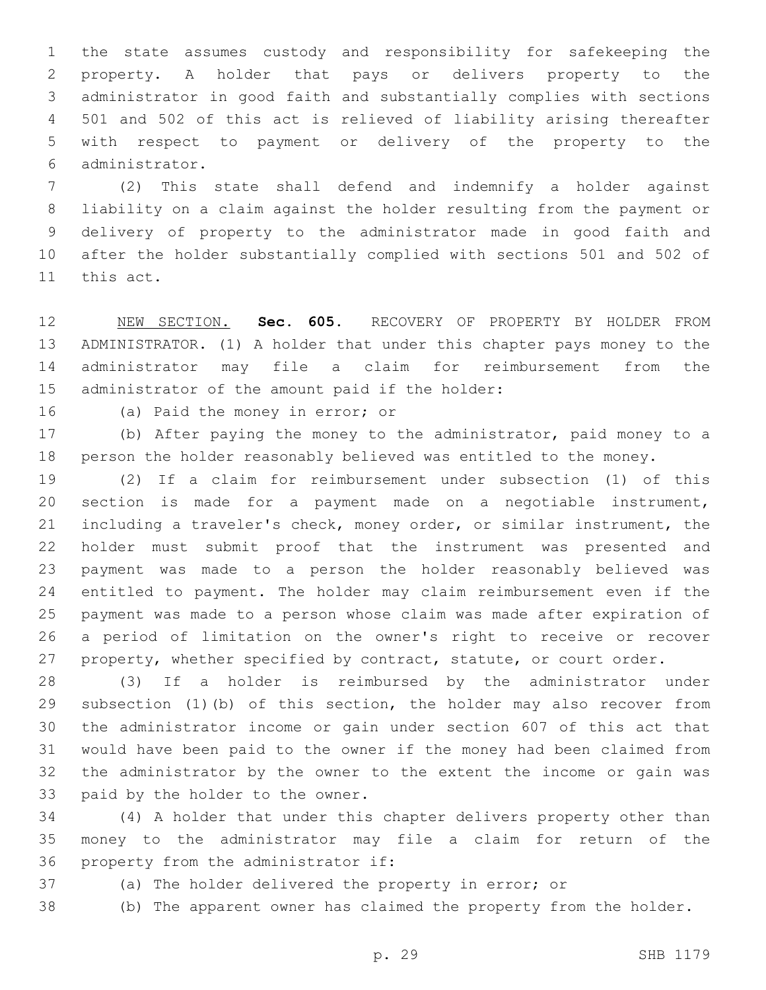the state assumes custody and responsibility for safekeeping the property. A holder that pays or delivers property to the administrator in good faith and substantially complies with sections 501 and 502 of this act is relieved of liability arising thereafter with respect to payment or delivery of the property to the administrator.6

 (2) This state shall defend and indemnify a holder against liability on a claim against the holder resulting from the payment or delivery of property to the administrator made in good faith and after the holder substantially complied with sections 501 and 502 of 11 this act.

 NEW SECTION. **Sec. 605.** RECOVERY OF PROPERTY BY HOLDER FROM ADMINISTRATOR. (1) A holder that under this chapter pays money to the administrator may file a claim for reimbursement from the administrator of the amount paid if the holder:

16 (a) Paid the money in error; or

 (b) After paying the money to the administrator, paid money to a person the holder reasonably believed was entitled to the money.

 (2) If a claim for reimbursement under subsection (1) of this section is made for a payment made on a negotiable instrument, including a traveler's check, money order, or similar instrument, the holder must submit proof that the instrument was presented and payment was made to a person the holder reasonably believed was entitled to payment. The holder may claim reimbursement even if the payment was made to a person whose claim was made after expiration of a period of limitation on the owner's right to receive or recover 27 property, whether specified by contract, statute, or court order.

 (3) If a holder is reimbursed by the administrator under subsection (1)(b) of this section, the holder may also recover from the administrator income or gain under section 607 of this act that would have been paid to the owner if the money had been claimed from the administrator by the owner to the extent the income or gain was 33 paid by the holder to the owner.

 (4) A holder that under this chapter delivers property other than money to the administrator may file a claim for return of the 36 property from the administrator if:

(a) The holder delivered the property in error; or

(b) The apparent owner has claimed the property from the holder.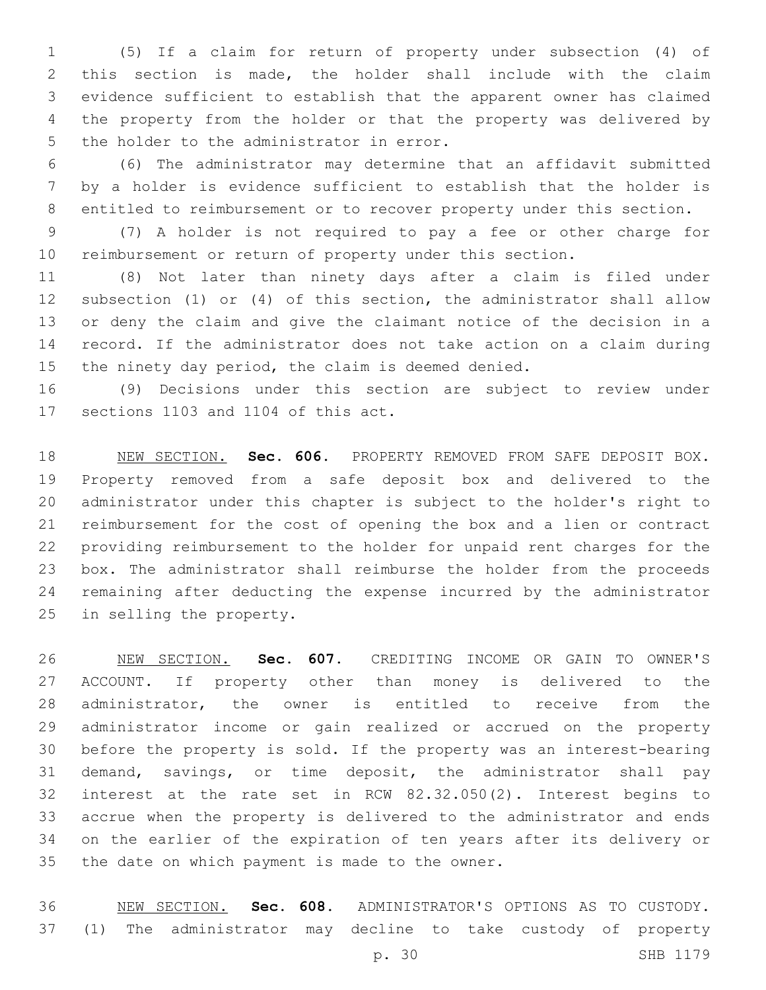(5) If a claim for return of property under subsection (4) of this section is made, the holder shall include with the claim evidence sufficient to establish that the apparent owner has claimed the property from the holder or that the property was delivered by 5 the holder to the administrator in error.

 (6) The administrator may determine that an affidavit submitted by a holder is evidence sufficient to establish that the holder is entitled to reimbursement or to recover property under this section.

 (7) A holder is not required to pay a fee or other charge for reimbursement or return of property under this section.

 (8) Not later than ninety days after a claim is filed under subsection (1) or (4) of this section, the administrator shall allow or deny the claim and give the claimant notice of the decision in a record. If the administrator does not take action on a claim during the ninety day period, the claim is deemed denied.

 (9) Decisions under this section are subject to review under 17 sections 1103 and 1104 of this act.

 NEW SECTION. **Sec. 606.** PROPERTY REMOVED FROM SAFE DEPOSIT BOX. Property removed from a safe deposit box and delivered to the administrator under this chapter is subject to the holder's right to reimbursement for the cost of opening the box and a lien or contract providing reimbursement to the holder for unpaid rent charges for the box. The administrator shall reimburse the holder from the proceeds remaining after deducting the expense incurred by the administrator in selling the property.

 NEW SECTION. **Sec. 607.** CREDITING INCOME OR GAIN TO OWNER'S ACCOUNT. If property other than money is delivered to the administrator, the owner is entitled to receive from the administrator income or gain realized or accrued on the property before the property is sold. If the property was an interest-bearing demand, savings, or time deposit, the administrator shall pay interest at the rate set in RCW 82.32.050(2). Interest begins to accrue when the property is delivered to the administrator and ends on the earlier of the expiration of ten years after its delivery or the date on which payment is made to the owner.

 NEW SECTION. **Sec. 608.** ADMINISTRATOR'S OPTIONS AS TO CUSTODY. (1) The administrator may decline to take custody of property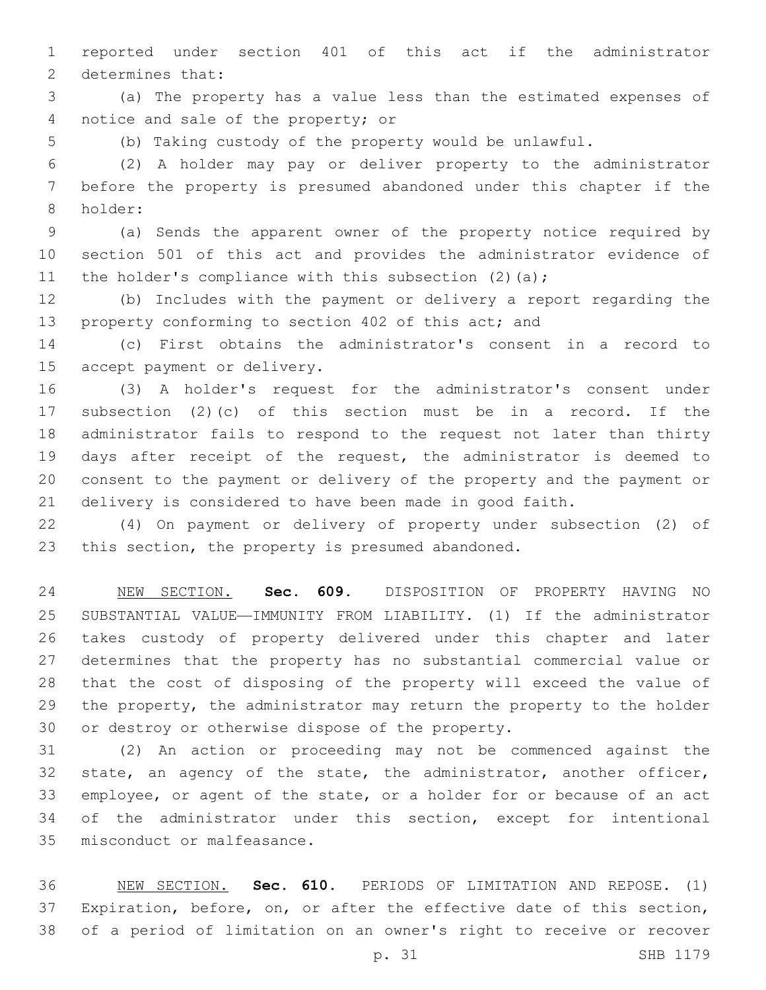reported under section 401 of this act if the administrator 2 determines that:

 (a) The property has a value less than the estimated expenses of 4 notice and sale of the property; or

(b) Taking custody of the property would be unlawful.

 (2) A holder may pay or deliver property to the administrator before the property is presumed abandoned under this chapter if the 8 holder:

 (a) Sends the apparent owner of the property notice required by section 501 of this act and provides the administrator evidence of 11 the holder's compliance with this subsection  $(2)$   $(a)$ ;

 (b) Includes with the payment or delivery a report regarding the 13 property conforming to section 402 of this act; and

 (c) First obtains the administrator's consent in a record to 15 accept payment or delivery.

 (3) A holder's request for the administrator's consent under subsection (2)(c) of this section must be in a record. If the administrator fails to respond to the request not later than thirty days after receipt of the request, the administrator is deemed to consent to the payment or delivery of the property and the payment or delivery is considered to have been made in good faith.

 (4) On payment or delivery of property under subsection (2) of 23 this section, the property is presumed abandoned.

 NEW SECTION. **Sec. 609.** DISPOSITION OF PROPERTY HAVING NO SUBSTANTIAL VALUE—IMMUNITY FROM LIABILITY. (1) If the administrator takes custody of property delivered under this chapter and later determines that the property has no substantial commercial value or that the cost of disposing of the property will exceed the value of the property, the administrator may return the property to the holder or destroy or otherwise dispose of the property.

 (2) An action or proceeding may not be commenced against the 32 state, an agency of the state, the administrator, another officer, employee, or agent of the state, or a holder for or because of an act of the administrator under this section, except for intentional 35 misconduct or malfeasance.

 NEW SECTION. **Sec. 610.** PERIODS OF LIMITATION AND REPOSE. (1) Expiration, before, on, or after the effective date of this section, of a period of limitation on an owner's right to receive or recover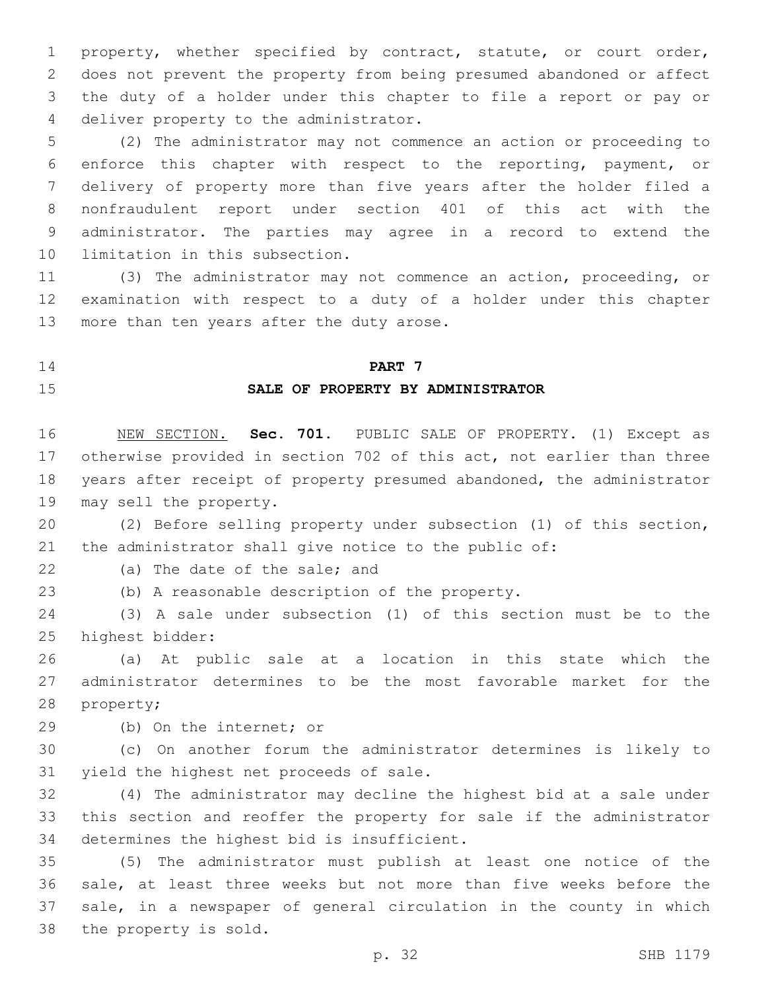property, whether specified by contract, statute, or court order, does not prevent the property from being presumed abandoned or affect the duty of a holder under this chapter to file a report or pay or 4 deliver property to the administrator.

 (2) The administrator may not commence an action or proceeding to enforce this chapter with respect to the reporting, payment, or delivery of property more than five years after the holder filed a nonfraudulent report under section 401 of this act with the administrator. The parties may agree in a record to extend the 10 limitation in this subsection.

 (3) The administrator may not commence an action, proceeding, or examination with respect to a duty of a holder under this chapter 13 more than ten years after the duty arose.

#### **PART 7**

#### **SALE OF PROPERTY BY ADMINISTRATOR**

 NEW SECTION. **Sec. 701.** PUBLIC SALE OF PROPERTY. (1) Except as otherwise provided in section 702 of this act, not earlier than three years after receipt of property presumed abandoned, the administrator may sell the property.

 (2) Before selling property under subsection (1) of this section, the administrator shall give notice to the public of:

22 (a) The date of the sale; and

(b) A reasonable description of the property.

 (3) A sale under subsection (1) of this section must be to the 25 highest bidder:

 (a) At public sale at a location in this state which the administrator determines to be the most favorable market for the 28 property;

29 (b) On the internet; or

 (c) On another forum the administrator determines is likely to 31 yield the highest net proceeds of sale.

 (4) The administrator may decline the highest bid at a sale under this section and reoffer the property for sale if the administrator 34 determines the highest bid is insufficient.

 (5) The administrator must publish at least one notice of the sale, at least three weeks but not more than five weeks before the sale, in a newspaper of general circulation in the county in which 38 the property is sold.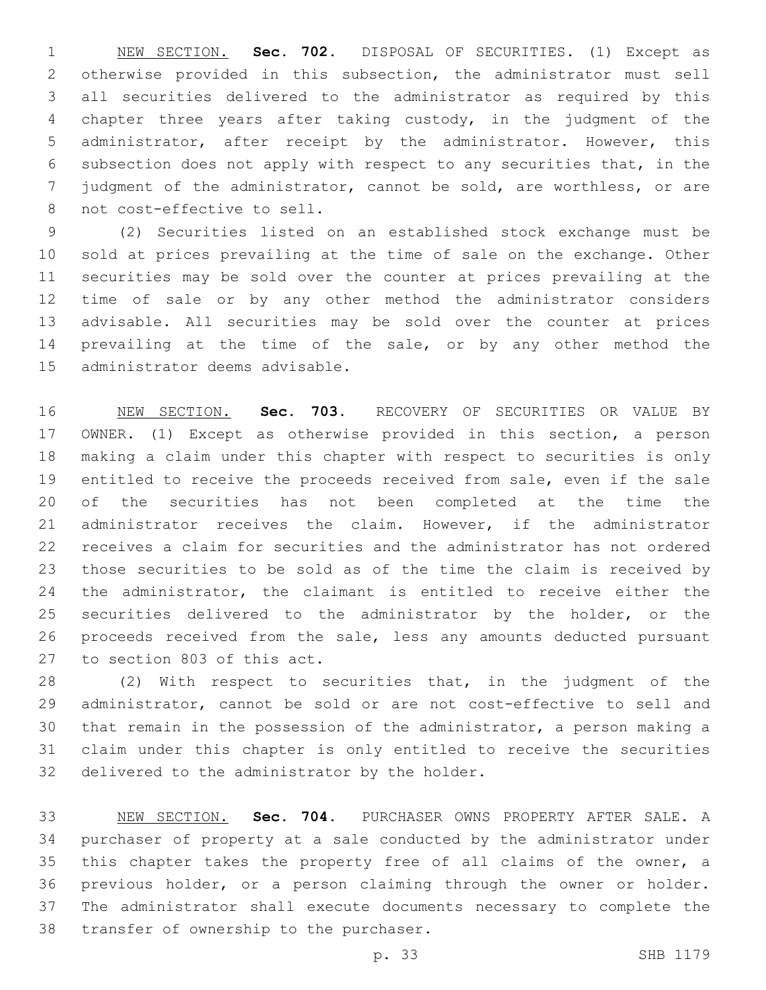NEW SECTION. **Sec. 702.** DISPOSAL OF SECURITIES. (1) Except as otherwise provided in this subsection, the administrator must sell all securities delivered to the administrator as required by this chapter three years after taking custody, in the judgment of the administrator, after receipt by the administrator. However, this subsection does not apply with respect to any securities that, in the judgment of the administrator, cannot be sold, are worthless, or are not cost-effective to sell.

 (2) Securities listed on an established stock exchange must be sold at prices prevailing at the time of sale on the exchange. Other securities may be sold over the counter at prices prevailing at the time of sale or by any other method the administrator considers advisable. All securities may be sold over the counter at prices prevailing at the time of the sale, or by any other method the 15 administrator deems advisable.

 NEW SECTION. **Sec. 703.** RECOVERY OF SECURITIES OR VALUE BY OWNER. (1) Except as otherwise provided in this section, a person making a claim under this chapter with respect to securities is only entitled to receive the proceeds received from sale, even if the sale of the securities has not been completed at the time the administrator receives the claim. However, if the administrator receives a claim for securities and the administrator has not ordered those securities to be sold as of the time the claim is received by the administrator, the claimant is entitled to receive either the securities delivered to the administrator by the holder, or the proceeds received from the sale, less any amounts deducted pursuant to section 803 of this act.

 (2) With respect to securities that, in the judgment of the administrator, cannot be sold or are not cost-effective to sell and that remain in the possession of the administrator, a person making a claim under this chapter is only entitled to receive the securities 32 delivered to the administrator by the holder.

 NEW SECTION. **Sec. 704.** PURCHASER OWNS PROPERTY AFTER SALE. A purchaser of property at a sale conducted by the administrator under this chapter takes the property free of all claims of the owner, a previous holder, or a person claiming through the owner or holder. The administrator shall execute documents necessary to complete the transfer of ownership to the purchaser.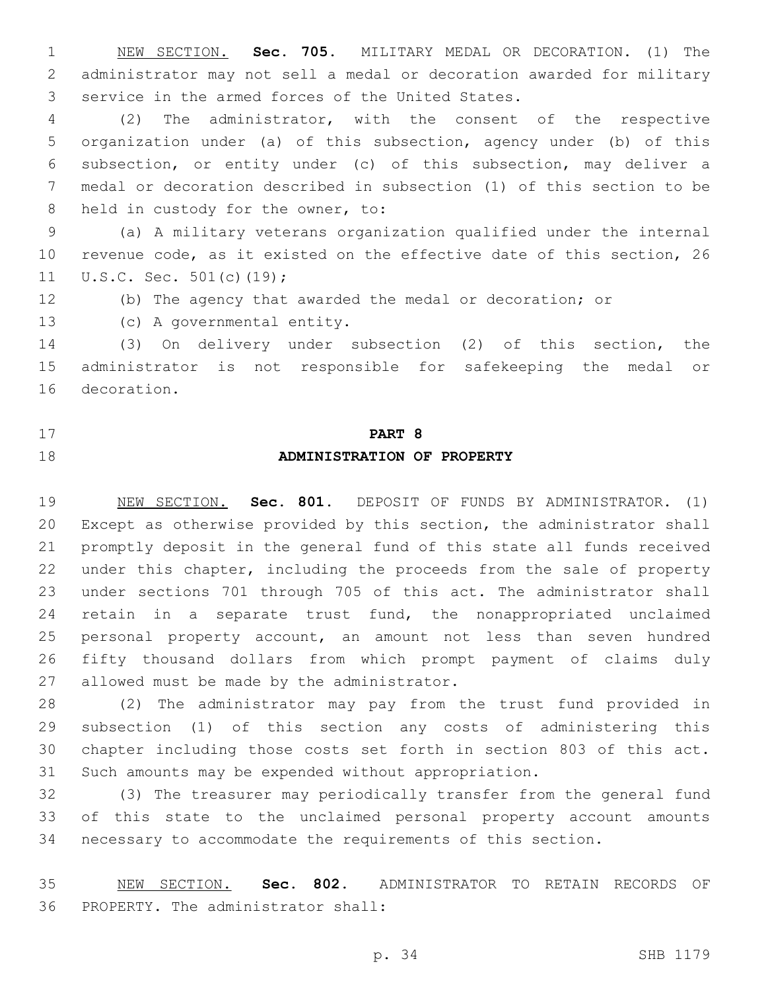NEW SECTION. **Sec. 705.** MILITARY MEDAL OR DECORATION. (1) The administrator may not sell a medal or decoration awarded for military service in the armed forces of the United States.

 (2) The administrator, with the consent of the respective organization under (a) of this subsection, agency under (b) of this subsection, or entity under (c) of this subsection, may deliver a medal or decoration described in subsection (1) of this section to be 8 held in custody for the owner, to:

 (a) A military veterans organization qualified under the internal revenue code, as it existed on the effective date of this section, 26 11 U.S.C. Sec. 501(c)(19);

(b) The agency that awarded the medal or decoration; or

13 (c) A governmental entity.

 (3) On delivery under subsection (2) of this section, the administrator is not responsible for safekeeping the medal or 16 decoration.

# **PART 8 ADMINISTRATION OF PROPERTY**

 NEW SECTION. **Sec. 801.** DEPOSIT OF FUNDS BY ADMINISTRATOR. (1) Except as otherwise provided by this section, the administrator shall promptly deposit in the general fund of this state all funds received under this chapter, including the proceeds from the sale of property under sections 701 through 705 of this act. The administrator shall retain in a separate trust fund, the nonappropriated unclaimed personal property account, an amount not less than seven hundred fifty thousand dollars from which prompt payment of claims duly 27 allowed must be made by the administrator.

 (2) The administrator may pay from the trust fund provided in subsection (1) of this section any costs of administering this chapter including those costs set forth in section 803 of this act. Such amounts may be expended without appropriation.

 (3) The treasurer may periodically transfer from the general fund of this state to the unclaimed personal property account amounts necessary to accommodate the requirements of this section.

 NEW SECTION. **Sec. 802.** ADMINISTRATOR TO RETAIN RECORDS OF PROPERTY. The administrator shall: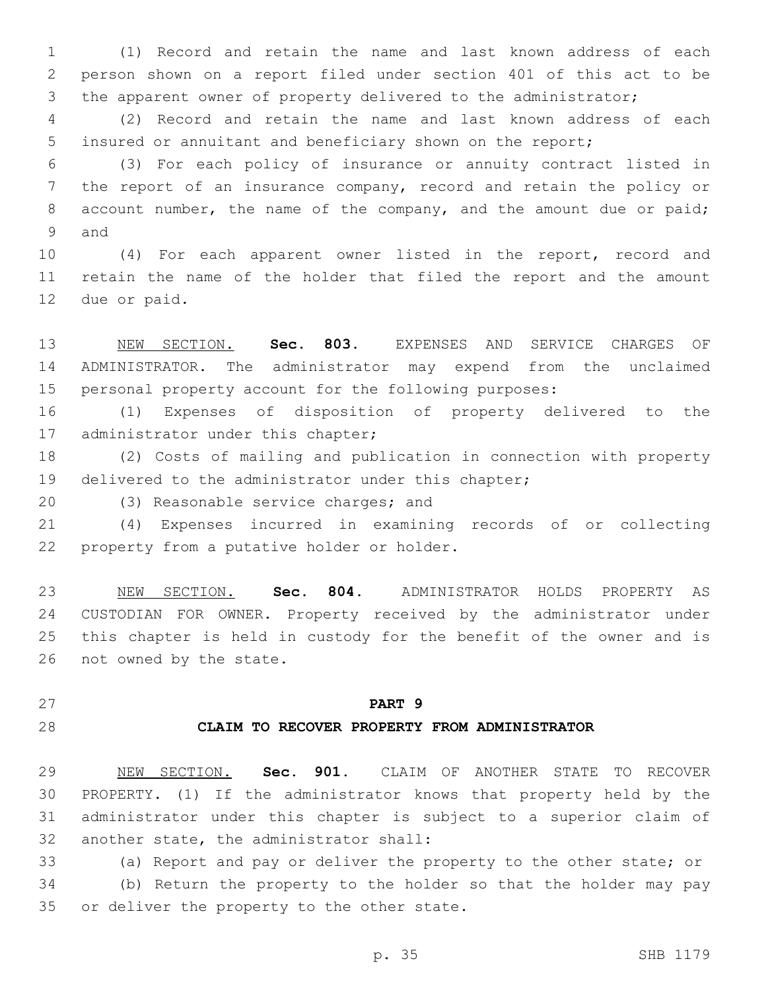(1) Record and retain the name and last known address of each person shown on a report filed under section 401 of this act to be the apparent owner of property delivered to the administrator;

 (2) Record and retain the name and last known address of each insured or annuitant and beneficiary shown on the report;

 (3) For each policy of insurance or annuity contract listed in the report of an insurance company, record and retain the policy or 8 account number, the name of the company, and the amount due or paid; 9 and

 (4) For each apparent owner listed in the report, record and retain the name of the holder that filed the report and the amount 12 due or paid.

 NEW SECTION. **Sec. 803.** EXPENSES AND SERVICE CHARGES OF ADMINISTRATOR. The administrator may expend from the unclaimed personal property account for the following purposes:

 (1) Expenses of disposition of property delivered to the 17 administrator under this chapter;

 (2) Costs of mailing and publication in connection with property delivered to the administrator under this chapter;

20 (3) Reasonable service charges; and

 (4) Expenses incurred in examining records of or collecting 22 property from a putative holder or holder.

 NEW SECTION. **Sec. 804.** ADMINISTRATOR HOLDS PROPERTY AS CUSTODIAN FOR OWNER. Property received by the administrator under this chapter is held in custody for the benefit of the owner and is not owned by the state.

## **PART 9**

#### **CLAIM TO RECOVER PROPERTY FROM ADMINISTRATOR**

 NEW SECTION. **Sec. 901.** CLAIM OF ANOTHER STATE TO RECOVER PROPERTY. (1) If the administrator knows that property held by the administrator under this chapter is subject to a superior claim of another state, the administrator shall:

 (a) Report and pay or deliver the property to the other state; or (b) Return the property to the holder so that the holder may pay

35 or deliver the property to the other state.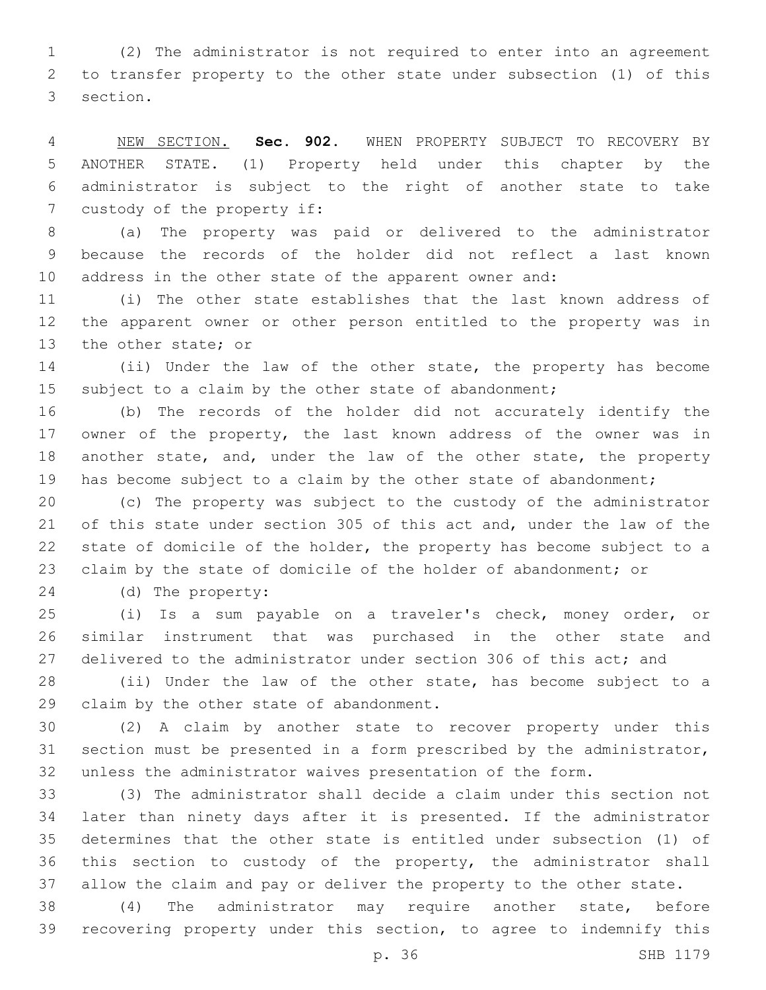(2) The administrator is not required to enter into an agreement to transfer property to the other state under subsection (1) of this 3 section.

 NEW SECTION. **Sec. 902.** WHEN PROPERTY SUBJECT TO RECOVERY BY ANOTHER STATE. (1) Property held under this chapter by the administrator is subject to the right of another state to take custody of the property if:

 (a) The property was paid or delivered to the administrator because the records of the holder did not reflect a last known address in the other state of the apparent owner and:

 (i) The other state establishes that the last known address of the apparent owner or other person entitled to the property was in 13 the other state; or

 (ii) Under the law of the other state, the property has become subject to a claim by the other state of abandonment;

 (b) The records of the holder did not accurately identify the 17 owner of the property, the last known address of the owner was in 18 another state, and, under the law of the other state, the property 19 has become subject to a claim by the other state of abandonment;

 (c) The property was subject to the custody of the administrator of this state under section 305 of this act and, under the law of the state of domicile of the holder, the property has become subject to a claim by the state of domicile of the holder of abandonment; or

(d) The property:24

 (i) Is a sum payable on a traveler's check, money order, or similar instrument that was purchased in the other state and 27 delivered to the administrator under section 306 of this act; and

 (ii) Under the law of the other state, has become subject to a 29 claim by the other state of abandonment.

 (2) A claim by another state to recover property under this section must be presented in a form prescribed by the administrator, unless the administrator waives presentation of the form.

 (3) The administrator shall decide a claim under this section not later than ninety days after it is presented. If the administrator determines that the other state is entitled under subsection (1) of this section to custody of the property, the administrator shall allow the claim and pay or deliver the property to the other state.

 (4) The administrator may require another state, before recovering property under this section, to agree to indemnify this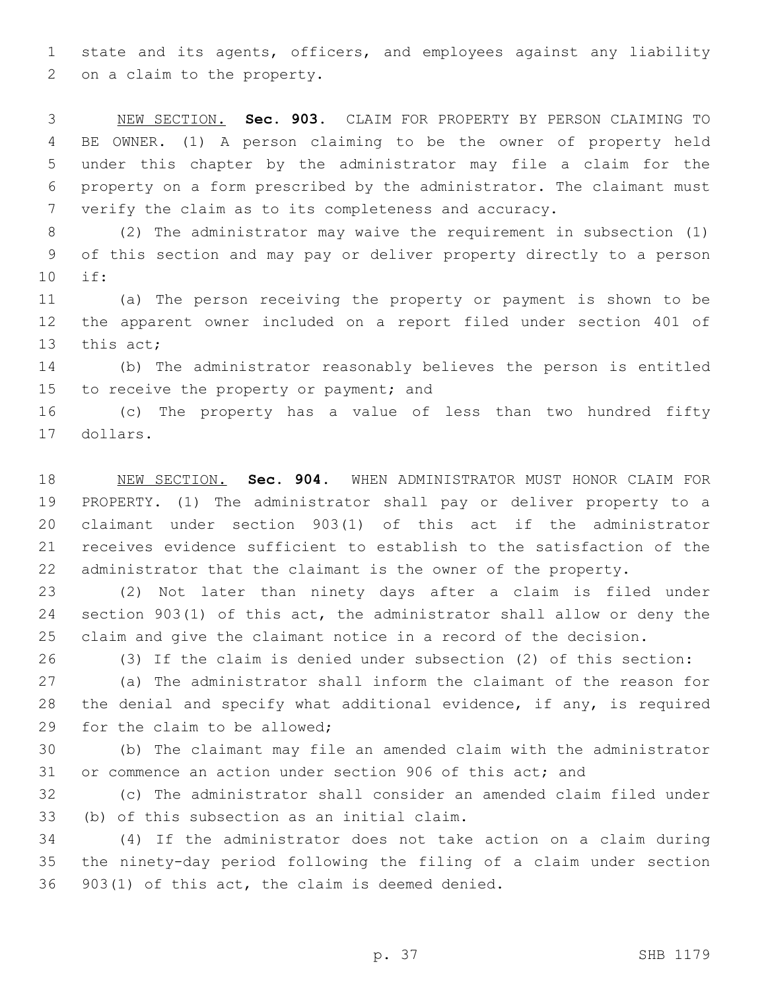state and its agents, officers, and employees against any liability 2 on a claim to the property.

 NEW SECTION. **Sec. 903.** CLAIM FOR PROPERTY BY PERSON CLAIMING TO BE OWNER. (1) A person claiming to be the owner of property held under this chapter by the administrator may file a claim for the property on a form prescribed by the administrator. The claimant must verify the claim as to its completeness and accuracy.

 (2) The administrator may waive the requirement in subsection (1) of this section and may pay or deliver property directly to a person if:10

 (a) The person receiving the property or payment is shown to be the apparent owner included on a report filed under section 401 of 13 this act;

 (b) The administrator reasonably believes the person is entitled 15 to receive the property or payment; and

 (c) The property has a value of less than two hundred fifty 17 dollars.

 NEW SECTION. **Sec. 904.** WHEN ADMINISTRATOR MUST HONOR CLAIM FOR PROPERTY. (1) The administrator shall pay or deliver property to a claimant under section 903(1) of this act if the administrator receives evidence sufficient to establish to the satisfaction of the administrator that the claimant is the owner of the property.

 (2) Not later than ninety days after a claim is filed under section 903(1) of this act, the administrator shall allow or deny the claim and give the claimant notice in a record of the decision.

(3) If the claim is denied under subsection (2) of this section:

 (a) The administrator shall inform the claimant of the reason for the denial and specify what additional evidence, if any, is required 29 for the claim to be allowed;

 (b) The claimant may file an amended claim with the administrator or commence an action under section 906 of this act; and

 (c) The administrator shall consider an amended claim filed under 33 (b) of this subsection as an initial claim.

 (4) If the administrator does not take action on a claim during the ninety-day period following the filing of a claim under section  $903(1)$  of this act, the claim is deemed denied.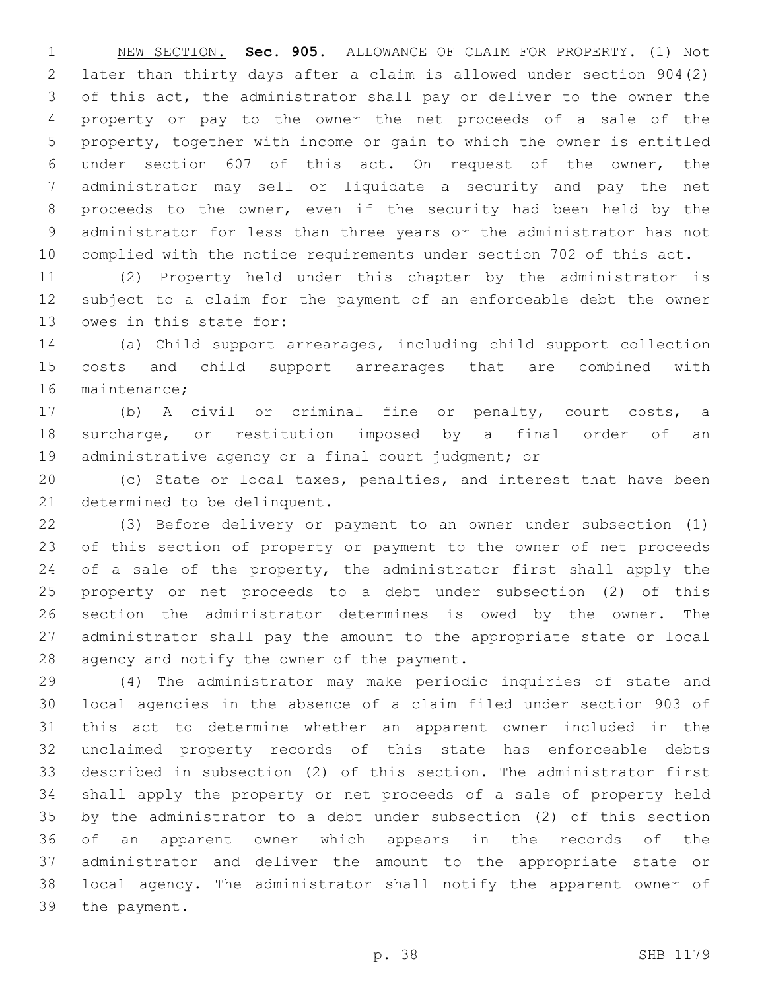NEW SECTION. **Sec. 905.** ALLOWANCE OF CLAIM FOR PROPERTY. (1) Not later than thirty days after a claim is allowed under section 904(2) of this act, the administrator shall pay or deliver to the owner the property or pay to the owner the net proceeds of a sale of the property, together with income or gain to which the owner is entitled under section 607 of this act. On request of the owner, the administrator may sell or liquidate a security and pay the net proceeds to the owner, even if the security had been held by the administrator for less than three years or the administrator has not complied with the notice requirements under section 702 of this act.

 (2) Property held under this chapter by the administrator is subject to a claim for the payment of an enforceable debt the owner 13 owes in this state for:

 (a) Child support arrearages, including child support collection costs and child support arrearages that are combined with 16 maintenance;

 (b) A civil or criminal fine or penalty, court costs, a surcharge, or restitution imposed by a final order of an administrative agency or a final court judgment; or

 (c) State or local taxes, penalties, and interest that have been 21 determined to be delinquent.

 (3) Before delivery or payment to an owner under subsection (1) of this section of property or payment to the owner of net proceeds 24 of a sale of the property, the administrator first shall apply the property or net proceeds to a debt under subsection (2) of this section the administrator determines is owed by the owner. The administrator shall pay the amount to the appropriate state or local 28 agency and notify the owner of the payment.

 (4) The administrator may make periodic inquiries of state and local agencies in the absence of a claim filed under section 903 of this act to determine whether an apparent owner included in the unclaimed property records of this state has enforceable debts described in subsection (2) of this section. The administrator first shall apply the property or net proceeds of a sale of property held by the administrator to a debt under subsection (2) of this section of an apparent owner which appears in the records of the administrator and deliver the amount to the appropriate state or local agency. The administrator shall notify the apparent owner of 39 the payment.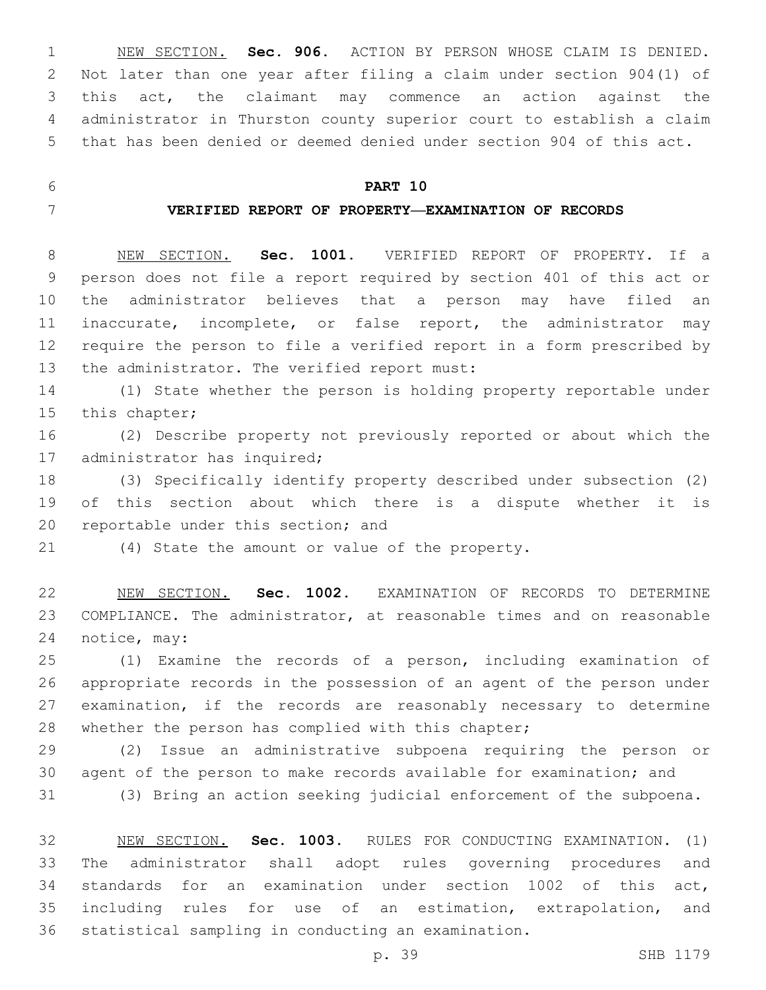NEW SECTION. **Sec. 906.** ACTION BY PERSON WHOSE CLAIM IS DENIED. Not later than one year after filing a claim under section 904(1) of this act, the claimant may commence an action against the administrator in Thurston county superior court to establish a claim that has been denied or deemed denied under section 904 of this act.

### **PART 10**

#### **VERIFIED REPORT OF PROPERTY—EXAMINATION OF RECORDS**

 NEW SECTION. **Sec. 1001.** VERIFIED REPORT OF PROPERTY. If a person does not file a report required by section 401 of this act or the administrator believes that a person may have filed an inaccurate, incomplete, or false report, the administrator may require the person to file a verified report in a form prescribed by the administrator. The verified report must:

 (1) State whether the person is holding property reportable under 15 this chapter;

 (2) Describe property not previously reported or about which the 17 administrator has inquired;

 (3) Specifically identify property described under subsection (2) of this section about which there is a dispute whether it is 20 reportable under this section; and

(4) State the amount or value of the property.

 NEW SECTION. **Sec. 1002.** EXAMINATION OF RECORDS TO DETERMINE COMPLIANCE. The administrator, at reasonable times and on reasonable notice, may:

 (1) Examine the records of a person, including examination of appropriate records in the possession of an agent of the person under examination, if the records are reasonably necessary to determine whether the person has complied with this chapter;

 (2) Issue an administrative subpoena requiring the person or agent of the person to make records available for examination; and (3) Bring an action seeking judicial enforcement of the subpoena.

 NEW SECTION. **Sec. 1003.** RULES FOR CONDUCTING EXAMINATION. (1) The administrator shall adopt rules governing procedures and standards for an examination under section 1002 of this act, including rules for use of an estimation, extrapolation, and statistical sampling in conducting an examination.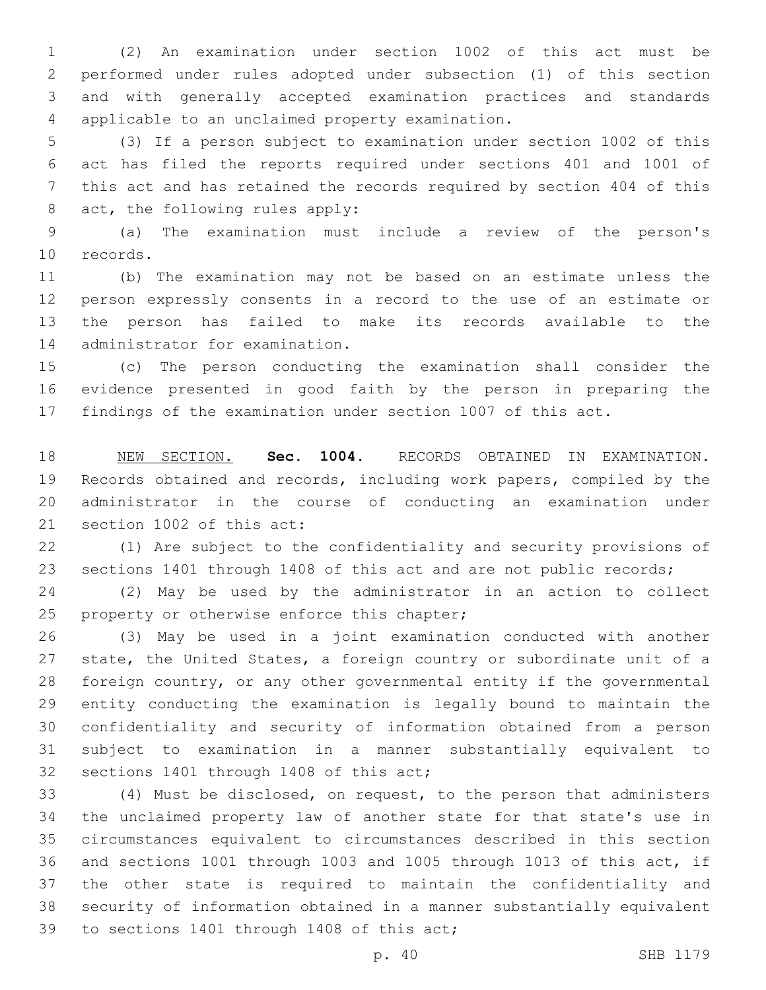(2) An examination under section 1002 of this act must be performed under rules adopted under subsection (1) of this section and with generally accepted examination practices and standards 4 applicable to an unclaimed property examination.

 (3) If a person subject to examination under section 1002 of this act has filed the reports required under sections 401 and 1001 of this act and has retained the records required by section 404 of this 8 act, the following rules apply:

 (a) The examination must include a review of the person's 10 records.

 (b) The examination may not be based on an estimate unless the person expressly consents in a record to the use of an estimate or the person has failed to make its records available to the 14 administrator for examination.

 (c) The person conducting the examination shall consider the evidence presented in good faith by the person in preparing the findings of the examination under section 1007 of this act.

 NEW SECTION. **Sec. 1004.** RECORDS OBTAINED IN EXAMINATION. Records obtained and records, including work papers, compiled by the administrator in the course of conducting an examination under section 1002 of this act:

 (1) Are subject to the confidentiality and security provisions of sections 1401 through 1408 of this act and are not public records;

 (2) May be used by the administrator in an action to collect 25 property or otherwise enforce this chapter;

 (3) May be used in a joint examination conducted with another state, the United States, a foreign country or subordinate unit of a foreign country, or any other governmental entity if the governmental entity conducting the examination is legally bound to maintain the confidentiality and security of information obtained from a person subject to examination in a manner substantially equivalent to 32 sections 1401 through 1408 of this act;

 (4) Must be disclosed, on request, to the person that administers the unclaimed property law of another state for that state's use in circumstances equivalent to circumstances described in this section and sections 1001 through 1003 and 1005 through 1013 of this act, if the other state is required to maintain the confidentiality and security of information obtained in a manner substantially equivalent 39 to sections 1401 through 1408 of this act;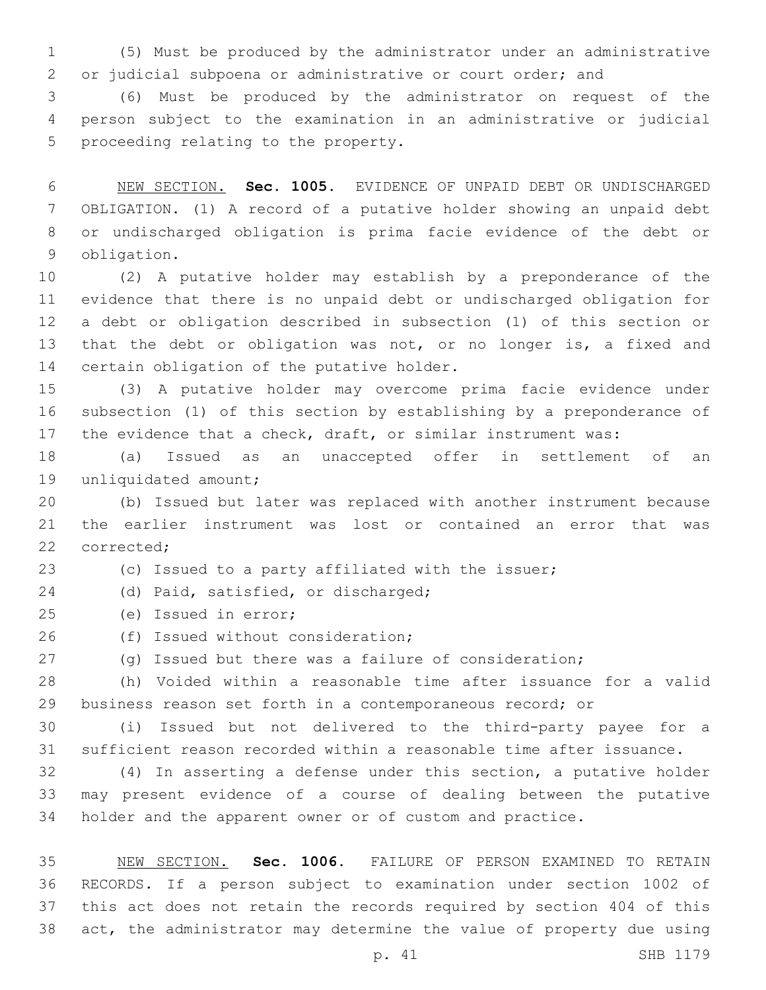(5) Must be produced by the administrator under an administrative or judicial subpoena or administrative or court order; and

 (6) Must be produced by the administrator on request of the person subject to the examination in an administrative or judicial 5 proceeding relating to the property.

 NEW SECTION. **Sec. 1005.** EVIDENCE OF UNPAID DEBT OR UNDISCHARGED OBLIGATION. (1) A record of a putative holder showing an unpaid debt or undischarged obligation is prima facie evidence of the debt or obligation.

 (2) A putative holder may establish by a preponderance of the evidence that there is no unpaid debt or undischarged obligation for a debt or obligation described in subsection (1) of this section or 13 that the debt or obligation was not, or no longer is, a fixed and 14 certain obligation of the putative holder.

 (3) A putative holder may overcome prima facie evidence under subsection (1) of this section by establishing by a preponderance of 17 the evidence that a check, draft, or similar instrument was:

 (a) Issued as an unaccepted offer in settlement of an 19 unliquidated amount;

 (b) Issued but later was replaced with another instrument because the earlier instrument was lost or contained an error that was 22 corrected:

(c) Issued to a party affiliated with the issuer;

24 (d) Paid, satisfied, or discharged;

25 (e) Issued in error;

26 (f) Issued without consideration;

(g) Issued but there was a failure of consideration;

 (h) Voided within a reasonable time after issuance for a valid business reason set forth in a contemporaneous record; or

 (i) Issued but not delivered to the third-party payee for a sufficient reason recorded within a reasonable time after issuance.

 (4) In asserting a defense under this section, a putative holder may present evidence of a course of dealing between the putative holder and the apparent owner or of custom and practice.

 NEW SECTION. **Sec. 1006.** FAILURE OF PERSON EXAMINED TO RETAIN RECORDS. If a person subject to examination under section 1002 of this act does not retain the records required by section 404 of this act, the administrator may determine the value of property due using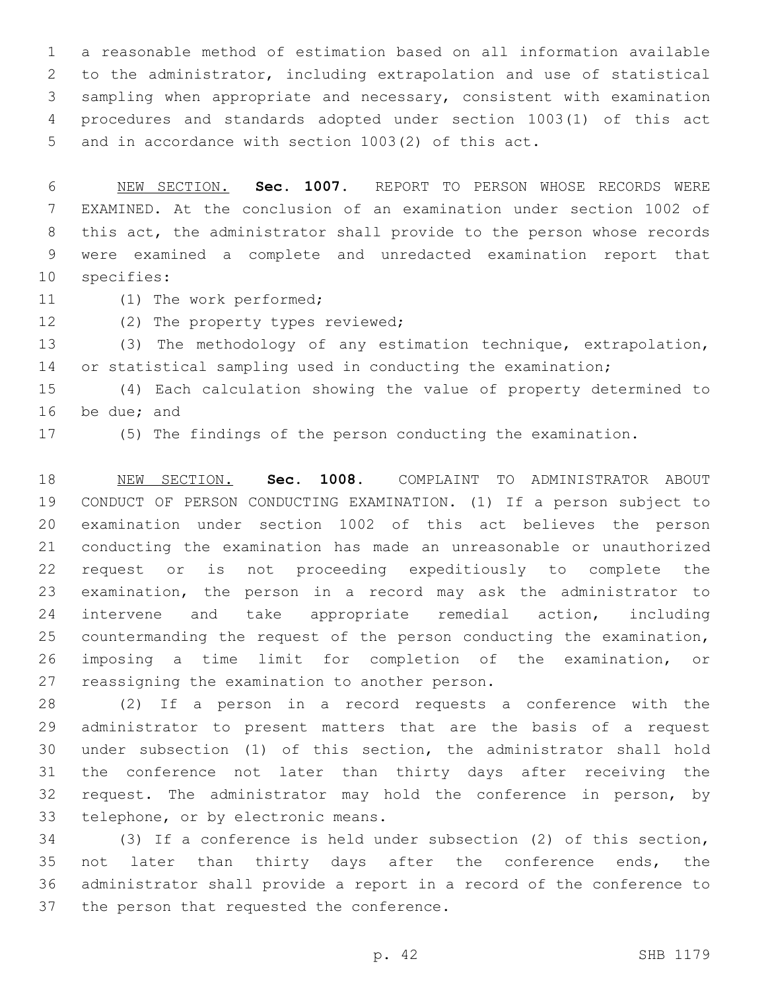a reasonable method of estimation based on all information available to the administrator, including extrapolation and use of statistical sampling when appropriate and necessary, consistent with examination procedures and standards adopted under section 1003(1) of this act and in accordance with section 1003(2) of this act.

 NEW SECTION. **Sec. 1007.** REPORT TO PERSON WHOSE RECORDS WERE EXAMINED. At the conclusion of an examination under section 1002 of this act, the administrator shall provide to the person whose records were examined a complete and unredacted examination report that specifies:

11 (1) The work performed;

12 (2) The property types reviewed;

 (3) The methodology of any estimation technique, extrapolation, 14 or statistical sampling used in conducting the examination;

 (4) Each calculation showing the value of property determined to 16 be due; and

(5) The findings of the person conducting the examination.

 NEW SECTION. **Sec. 1008.** COMPLAINT TO ADMINISTRATOR ABOUT CONDUCT OF PERSON CONDUCTING EXAMINATION. (1) If a person subject to examination under section 1002 of this act believes the person conducting the examination has made an unreasonable or unauthorized request or is not proceeding expeditiously to complete the examination, the person in a record may ask the administrator to intervene and take appropriate remedial action, including countermanding the request of the person conducting the examination, imposing a time limit for completion of the examination, or reassigning the examination to another person.

 (2) If a person in a record requests a conference with the administrator to present matters that are the basis of a request under subsection (1) of this section, the administrator shall hold the conference not later than thirty days after receiving the request. The administrator may hold the conference in person, by 33 telephone, or by electronic means.

 (3) If a conference is held under subsection (2) of this section, not later than thirty days after the conference ends, the administrator shall provide a report in a record of the conference to 37 the person that requested the conference.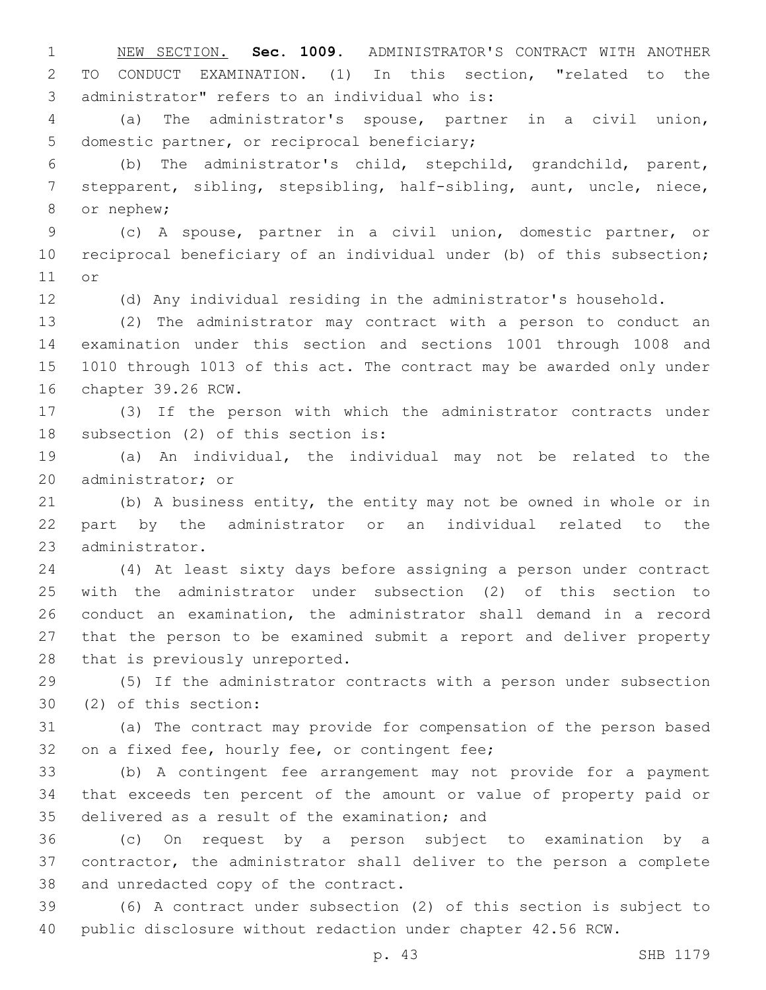NEW SECTION. **Sec. 1009.** ADMINISTRATOR'S CONTRACT WITH ANOTHER TO CONDUCT EXAMINATION. (1) In this section, "related to the administrator" refers to an individual who is:

 (a) The administrator's spouse, partner in a civil union, 5 domestic partner, or reciprocal beneficiary;

 (b) The administrator's child, stepchild, grandchild, parent, stepparent, sibling, stepsibling, half-sibling, aunt, uncle, niece, 8 or nephew;

 (c) A spouse, partner in a civil union, domestic partner, or reciprocal beneficiary of an individual under (b) of this subsection; 11 or

(d) Any individual residing in the administrator's household.

 (2) The administrator may contract with a person to conduct an examination under this section and sections 1001 through 1008 and 1010 through 1013 of this act. The contract may be awarded only under 16 chapter 39.26 RCW.

 (3) If the person with which the administrator contracts under 18 subsection (2) of this section is:

 (a) An individual, the individual may not be related to the 20 administrator; or

 (b) A business entity, the entity may not be owned in whole or in part by the administrator or an individual related to the 23 administrator.

 (4) At least sixty days before assigning a person under contract with the administrator under subsection (2) of this section to conduct an examination, the administrator shall demand in a record that the person to be examined submit a report and deliver property 28 that is previously unreported.

 (5) If the administrator contracts with a person under subsection (2) of this section:30

 (a) The contract may provide for compensation of the person based 32 on a fixed fee, hourly fee, or contingent fee;

 (b) A contingent fee arrangement may not provide for a payment that exceeds ten percent of the amount or value of property paid or 35 delivered as a result of the examination; and

 (c) On request by a person subject to examination by a contractor, the administrator shall deliver to the person a complete 38 and unredacted copy of the contract.

 (6) A contract under subsection (2) of this section is subject to public disclosure without redaction under chapter 42.56 RCW.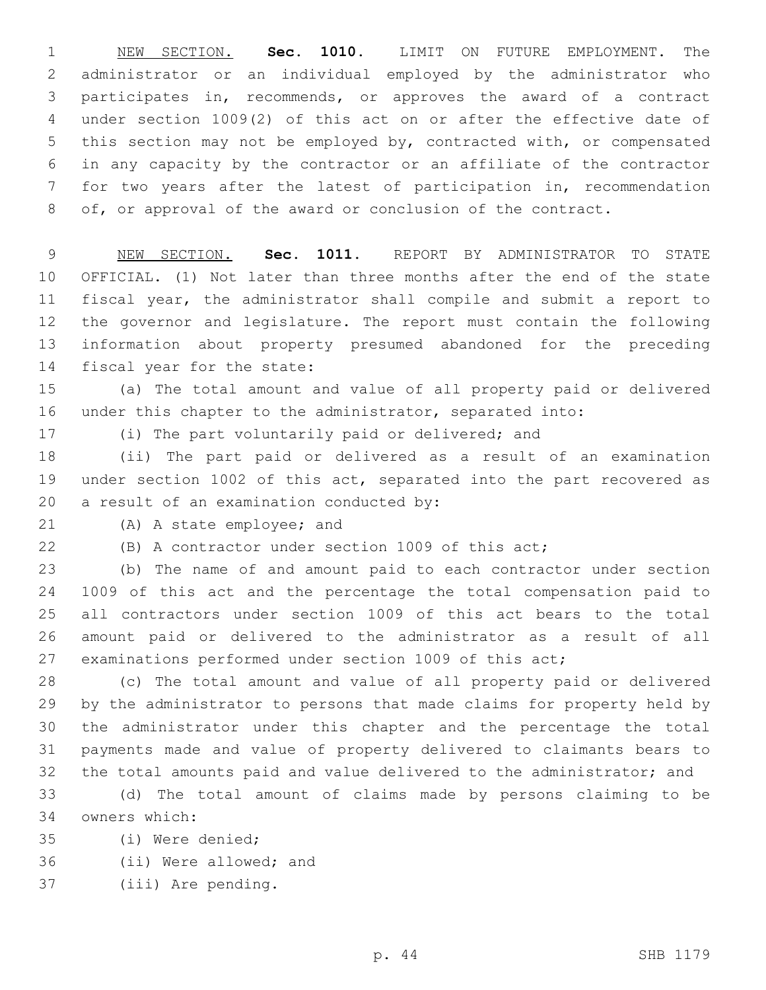NEW SECTION. **Sec. 1010.** LIMIT ON FUTURE EMPLOYMENT. The administrator or an individual employed by the administrator who participates in, recommends, or approves the award of a contract under section 1009(2) of this act on or after the effective date of this section may not be employed by, contracted with, or compensated in any capacity by the contractor or an affiliate of the contractor for two years after the latest of participation in, recommendation of, or approval of the award or conclusion of the contract.

 NEW SECTION. **Sec. 1011.** REPORT BY ADMINISTRATOR TO STATE OFFICIAL. (1) Not later than three months after the end of the state fiscal year, the administrator shall compile and submit a report to the governor and legislature. The report must contain the following information about property presumed abandoned for the preceding fiscal year for the state:

 (a) The total amount and value of all property paid or delivered under this chapter to the administrator, separated into:

(i) The part voluntarily paid or delivered; and

 (ii) The part paid or delivered as a result of an examination under section 1002 of this act, separated into the part recovered as 20 a result of an examination conducted by:

21 (A) A state employee; and

(B) A contractor under section 1009 of this act;

 (b) The name of and amount paid to each contractor under section 1009 of this act and the percentage the total compensation paid to all contractors under section 1009 of this act bears to the total amount paid or delivered to the administrator as a result of all examinations performed under section 1009 of this act;

 (c) The total amount and value of all property paid or delivered by the administrator to persons that made claims for property held by the administrator under this chapter and the percentage the total payments made and value of property delivered to claimants bears to the total amounts paid and value delivered to the administrator; and

 (d) The total amount of claims made by persons claiming to be 34 owners which:

(i) Were denied;35

36 (ii) Were allowed; and

37 (iii) Are pending.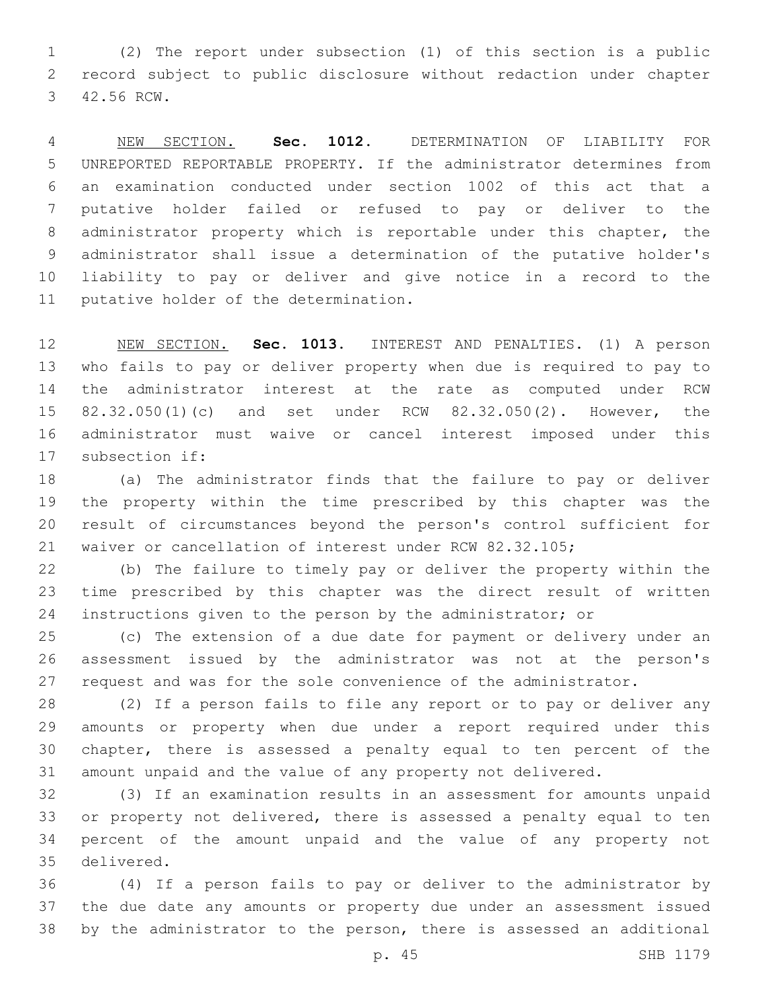(2) The report under subsection (1) of this section is a public record subject to public disclosure without redaction under chapter 3 42.56 RCW.

 NEW SECTION. **Sec. 1012.** DETERMINATION OF LIABILITY FOR UNREPORTED REPORTABLE PROPERTY. If the administrator determines from an examination conducted under section 1002 of this act that a putative holder failed or refused to pay or deliver to the administrator property which is reportable under this chapter, the administrator shall issue a determination of the putative holder's liability to pay or deliver and give notice in a record to the putative holder of the determination.

 NEW SECTION. **Sec. 1013.** INTEREST AND PENALTIES. (1) A person who fails to pay or deliver property when due is required to pay to the administrator interest at the rate as computed under RCW 82.32.050(1)(c) and set under RCW 82.32.050(2). However, the administrator must waive or cancel interest imposed under this subsection if:

 (a) The administrator finds that the failure to pay or deliver the property within the time prescribed by this chapter was the result of circumstances beyond the person's control sufficient for waiver or cancellation of interest under RCW 82.32.105;

 (b) The failure to timely pay or deliver the property within the time prescribed by this chapter was the direct result of written instructions given to the person by the administrator; or

 (c) The extension of a due date for payment or delivery under an assessment issued by the administrator was not at the person's request and was for the sole convenience of the administrator.

 (2) If a person fails to file any report or to pay or deliver any amounts or property when due under a report required under this chapter, there is assessed a penalty equal to ten percent of the amount unpaid and the value of any property not delivered.

 (3) If an examination results in an assessment for amounts unpaid or property not delivered, there is assessed a penalty equal to ten percent of the amount unpaid and the value of any property not delivered.35

 (4) If a person fails to pay or deliver to the administrator by the due date any amounts or property due under an assessment issued by the administrator to the person, there is assessed an additional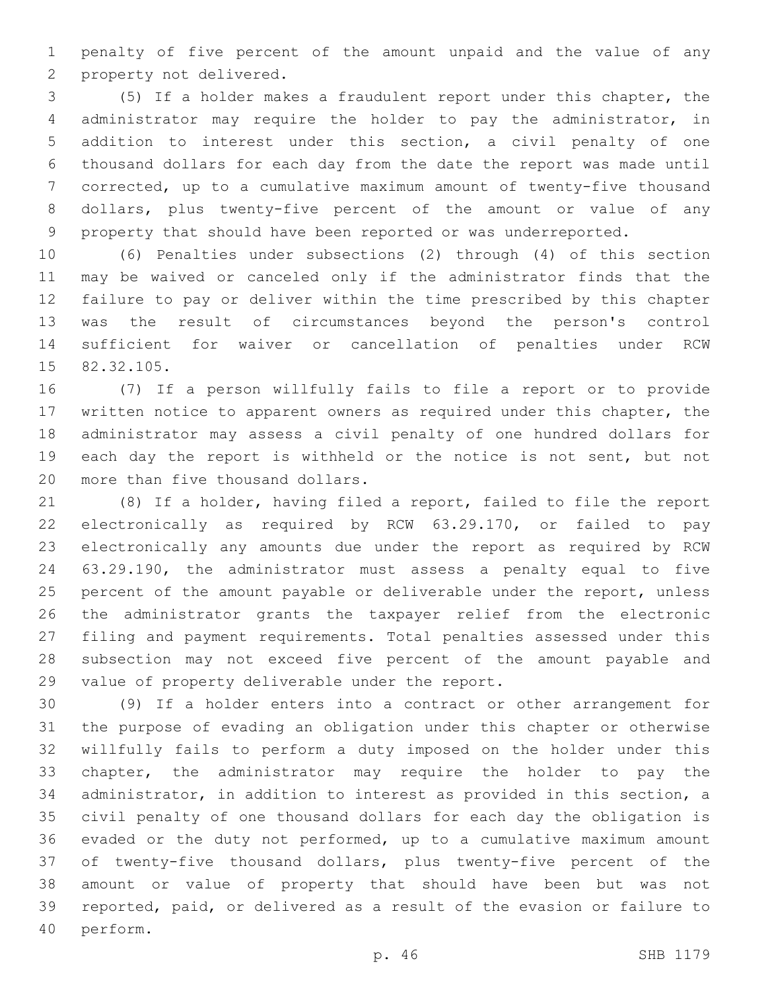penalty of five percent of the amount unpaid and the value of any 2 property not delivered.

 (5) If a holder makes a fraudulent report under this chapter, the administrator may require the holder to pay the administrator, in addition to interest under this section, a civil penalty of one thousand dollars for each day from the date the report was made until corrected, up to a cumulative maximum amount of twenty-five thousand dollars, plus twenty-five percent of the amount or value of any property that should have been reported or was underreported.

 (6) Penalties under subsections (2) through (4) of this section may be waived or canceled only if the administrator finds that the failure to pay or deliver within the time prescribed by this chapter was the result of circumstances beyond the person's control sufficient for waiver or cancellation of penalties under RCW 15 82.32.105.

 (7) If a person willfully fails to file a report or to provide written notice to apparent owners as required under this chapter, the administrator may assess a civil penalty of one hundred dollars for 19 each day the report is withheld or the notice is not sent, but not 20 more than five thousand dollars.

 (8) If a holder, having filed a report, failed to file the report electronically as required by RCW 63.29.170, or failed to pay electronically any amounts due under the report as required by RCW 63.29.190, the administrator must assess a penalty equal to five 25 percent of the amount payable or deliverable under the report, unless the administrator grants the taxpayer relief from the electronic filing and payment requirements. Total penalties assessed under this subsection may not exceed five percent of the amount payable and 29 value of property deliverable under the report.

 (9) If a holder enters into a contract or other arrangement for the purpose of evading an obligation under this chapter or otherwise willfully fails to perform a duty imposed on the holder under this chapter, the administrator may require the holder to pay the administrator, in addition to interest as provided in this section, a civil penalty of one thousand dollars for each day the obligation is evaded or the duty not performed, up to a cumulative maximum amount of twenty-five thousand dollars, plus twenty-five percent of the amount or value of property that should have been but was not reported, paid, or delivered as a result of the evasion or failure to 40 perform.

p. 46 SHB 1179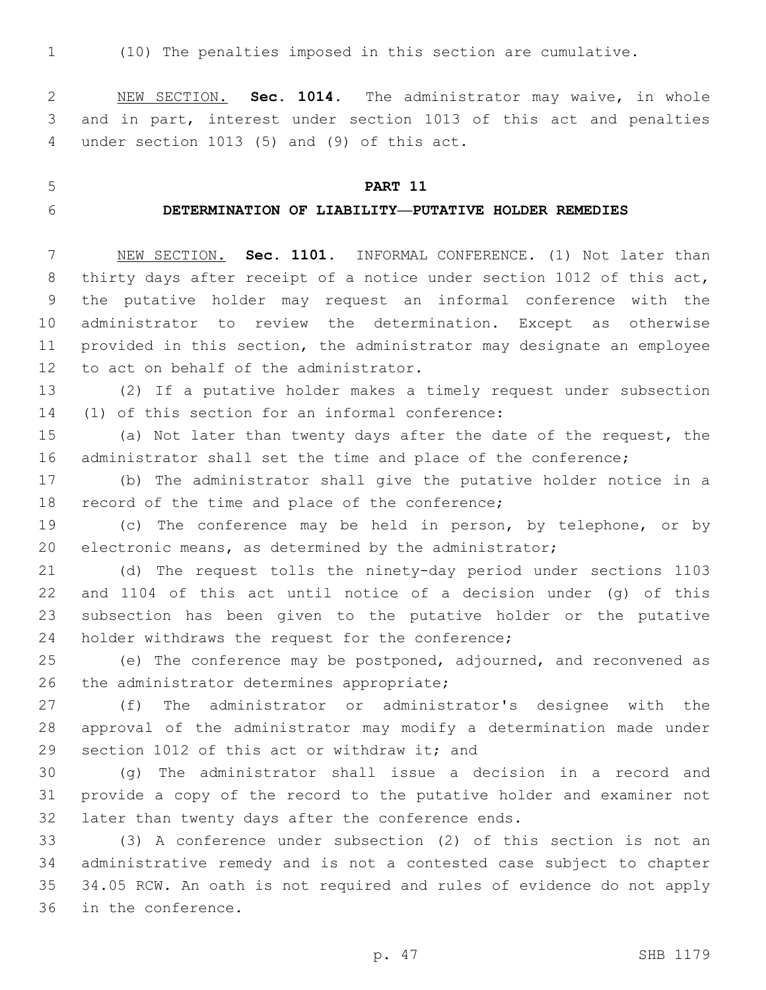(10) The penalties imposed in this section are cumulative.

 NEW SECTION. **Sec. 1014.** The administrator may waive, in whole and in part, interest under section 1013 of this act and penalties under section 1013 (5) and (9) of this act.

### **PART 11**

#### **DETERMINATION OF LIABILITY—PUTATIVE HOLDER REMEDIES**

 NEW SECTION. **Sec. 1101.** INFORMAL CONFERENCE. (1) Not later than thirty days after receipt of a notice under section 1012 of this act, the putative holder may request an informal conference with the administrator to review the determination. Except as otherwise provided in this section, the administrator may designate an employee 12 to act on behalf of the administrator.

 (2) If a putative holder makes a timely request under subsection 14 (1) of this section for an informal conference:

 (a) Not later than twenty days after the date of the request, the administrator shall set the time and place of the conference;

 (b) The administrator shall give the putative holder notice in a 18 record of the time and place of the conference;

 (c) The conference may be held in person, by telephone, or by electronic means, as determined by the administrator;

 (d) The request tolls the ninety-day period under sections 1103 and 1104 of this act until notice of a decision under (g) of this subsection has been given to the putative holder or the putative 24 holder withdraws the request for the conference;

 (e) The conference may be postponed, adjourned, and reconvened as 26 the administrator determines appropriate;

 (f) The administrator or administrator's designee with the approval of the administrator may modify a determination made under 29 section 1012 of this act or withdraw it; and

 (g) The administrator shall issue a decision in a record and provide a copy of the record to the putative holder and examiner not 32 later than twenty days after the conference ends.

 (3) A conference under subsection (2) of this section is not an administrative remedy and is not a contested case subject to chapter 34.05 RCW. An oath is not required and rules of evidence do not apply 36 in the conference.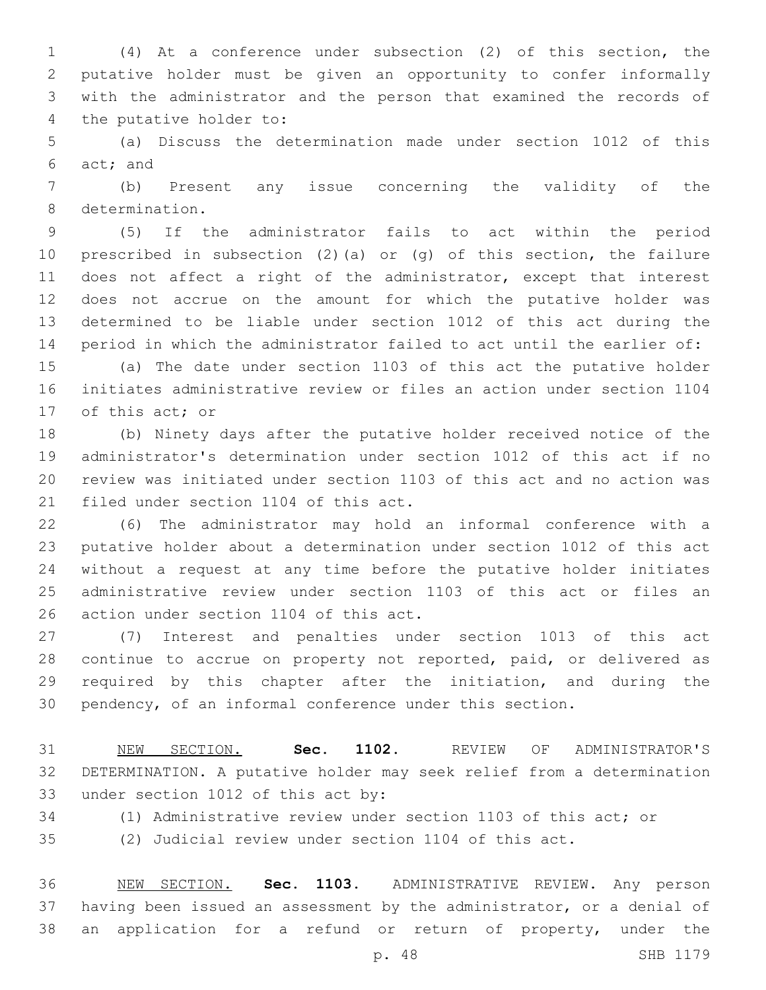(4) At a conference under subsection (2) of this section, the putative holder must be given an opportunity to confer informally with the administrator and the person that examined the records of 4 the putative holder to:

 (a) Discuss the determination made under section 1012 of this 6 act; and

 (b) Present any issue concerning the validity of the 8 determination.

 (5) If the administrator fails to act within the period prescribed in subsection (2)(a) or (g) of this section, the failure 11 does not affect a right of the administrator, except that interest does not accrue on the amount for which the putative holder was determined to be liable under section 1012 of this act during the period in which the administrator failed to act until the earlier of:

 (a) The date under section 1103 of this act the putative holder initiates administrative review or files an action under section 1104 17 of this act; or

 (b) Ninety days after the putative holder received notice of the administrator's determination under section 1012 of this act if no review was initiated under section 1103 of this act and no action was 21 filed under section 1104 of this act.

 (6) The administrator may hold an informal conference with a putative holder about a determination under section 1012 of this act without a request at any time before the putative holder initiates administrative review under section 1103 of this act or files an 26 action under section 1104 of this act.

 (7) Interest and penalties under section 1013 of this act continue to accrue on property not reported, paid, or delivered as required by this chapter after the initiation, and during the pendency, of an informal conference under this section.

 NEW SECTION. **Sec. 1102.** REVIEW OF ADMINISTRATOR'S DETERMINATION. A putative holder may seek relief from a determination under section 1012 of this act by:

(1) Administrative review under section 1103 of this act; or

(2) Judicial review under section 1104 of this act.

 NEW SECTION. **Sec. 1103.** ADMINISTRATIVE REVIEW. Any person having been issued an assessment by the administrator, or a denial of 38 an application for a refund or return of property, under the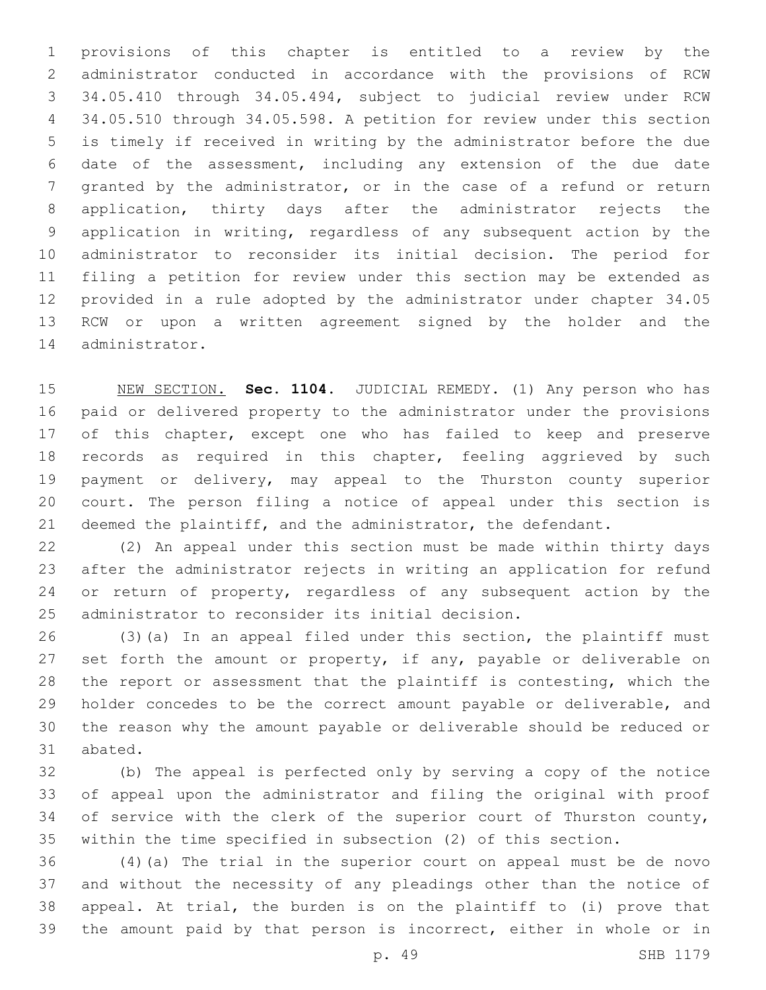provisions of this chapter is entitled to a review by the administrator conducted in accordance with the provisions of RCW 34.05.410 through 34.05.494, subject to judicial review under RCW 34.05.510 through 34.05.598. A petition for review under this section is timely if received in writing by the administrator before the due date of the assessment, including any extension of the due date granted by the administrator, or in the case of a refund or return application, thirty days after the administrator rejects the application in writing, regardless of any subsequent action by the administrator to reconsider its initial decision. The period for filing a petition for review under this section may be extended as provided in a rule adopted by the administrator under chapter 34.05 RCW or upon a written agreement signed by the holder and the 14 administrator.

 NEW SECTION. **Sec. 1104.** JUDICIAL REMEDY. (1) Any person who has paid or delivered property to the administrator under the provisions 17 of this chapter, except one who has failed to keep and preserve records as required in this chapter, feeling aggrieved by such payment or delivery, may appeal to the Thurston county superior court. The person filing a notice of appeal under this section is deemed the plaintiff, and the administrator, the defendant.

 (2) An appeal under this section must be made within thirty days after the administrator rejects in writing an application for refund 24 or return of property, regardless of any subsequent action by the 25 administrator to reconsider its initial decision.

 (3)(a) In an appeal filed under this section, the plaintiff must 27 set forth the amount or property, if any, payable or deliverable on the report or assessment that the plaintiff is contesting, which the holder concedes to be the correct amount payable or deliverable, and the reason why the amount payable or deliverable should be reduced or 31 abated.

 (b) The appeal is perfected only by serving a copy of the notice of appeal upon the administrator and filing the original with proof 34 of service with the clerk of the superior court of Thurston county, within the time specified in subsection (2) of this section.

 (4)(a) The trial in the superior court on appeal must be de novo and without the necessity of any pleadings other than the notice of appeal. At trial, the burden is on the plaintiff to (i) prove that the amount paid by that person is incorrect, either in whole or in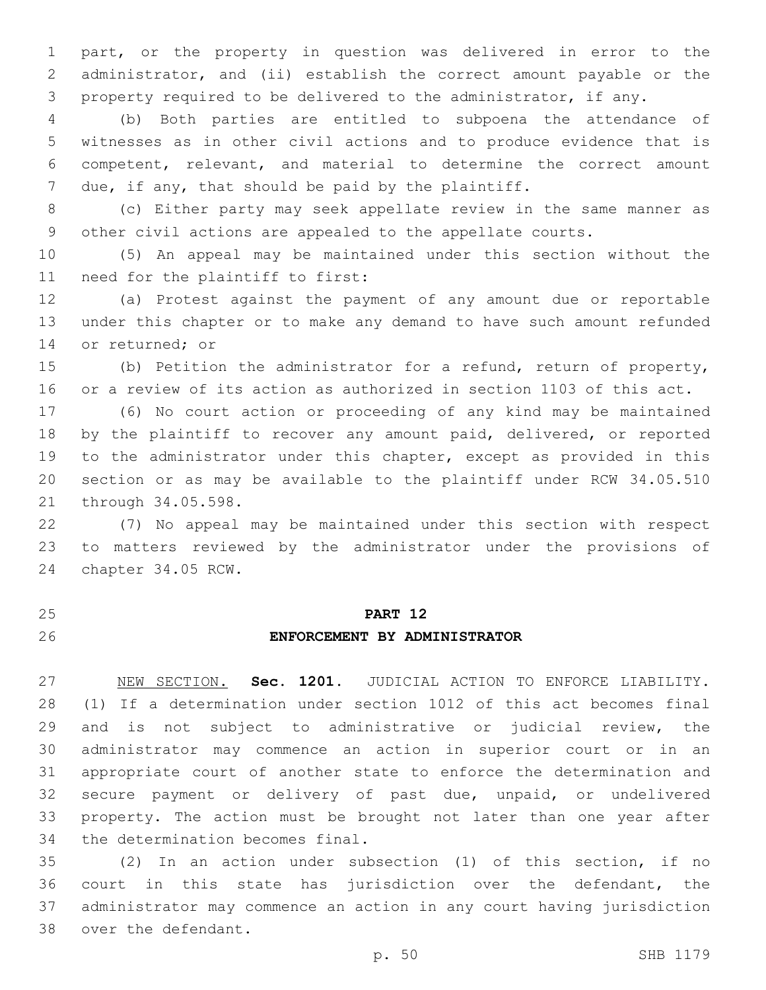part, or the property in question was delivered in error to the administrator, and (ii) establish the correct amount payable or the property required to be delivered to the administrator, if any.

 (b) Both parties are entitled to subpoena the attendance of witnesses as in other civil actions and to produce evidence that is competent, relevant, and material to determine the correct amount 7 due, if any, that should be paid by the plaintiff.

 (c) Either party may seek appellate review in the same manner as other civil actions are appealed to the appellate courts.

 (5) An appeal may be maintained under this section without the 11 need for the plaintiff to first:

 (a) Protest against the payment of any amount due or reportable under this chapter or to make any demand to have such amount refunded 14 or returned; or

 (b) Petition the administrator for a refund, return of property, or a review of its action as authorized in section 1103 of this act.

 (6) No court action or proceeding of any kind may be maintained by the plaintiff to recover any amount paid, delivered, or reported to the administrator under this chapter, except as provided in this section or as may be available to the plaintiff under RCW 34.05.510 21 through 34.05.598.

 (7) No appeal may be maintained under this section with respect to matters reviewed by the administrator under the provisions of 24 chapter 34.05 RCW.

#### **PART 12**

#### **ENFORCEMENT BY ADMINISTRATOR**

 NEW SECTION. **Sec. 1201.** JUDICIAL ACTION TO ENFORCE LIABILITY. (1) If a determination under section 1012 of this act becomes final and is not subject to administrative or judicial review, the administrator may commence an action in superior court or in an appropriate court of another state to enforce the determination and secure payment or delivery of past due, unpaid, or undelivered property. The action must be brought not later than one year after the determination becomes final.

 (2) In an action under subsection (1) of this section, if no court in this state has jurisdiction over the defendant, the administrator may commence an action in any court having jurisdiction 38 over the defendant.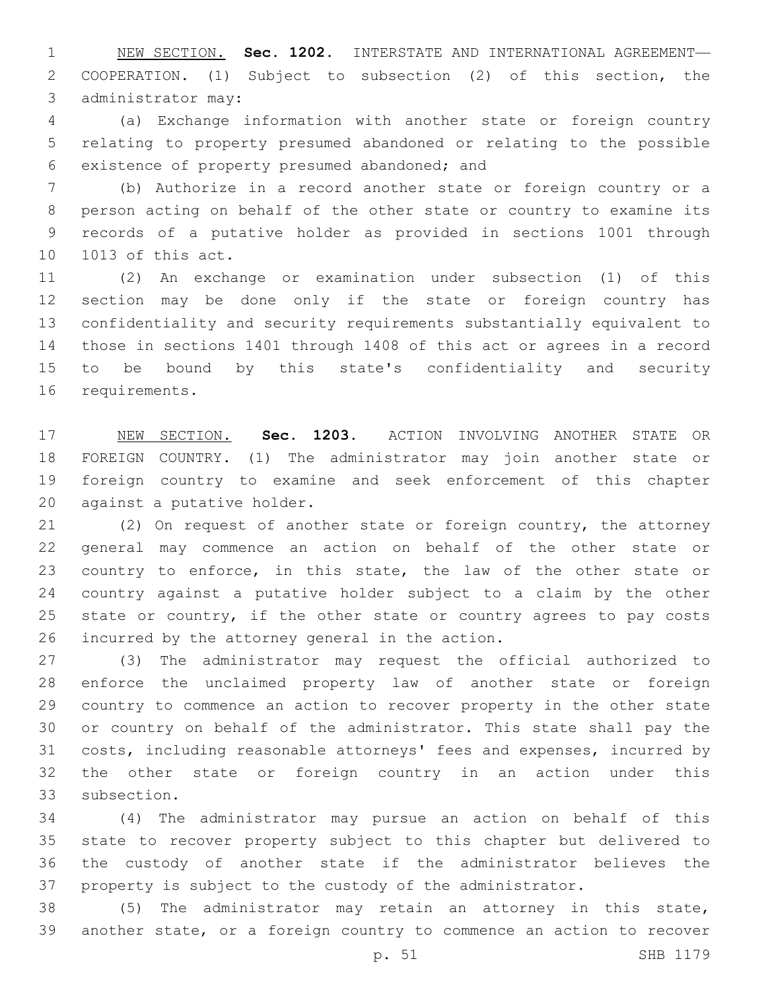NEW SECTION. **Sec. 1202.** INTERSTATE AND INTERNATIONAL AGREEMENT— COOPERATION. (1) Subject to subsection (2) of this section, the administrator may:

 (a) Exchange information with another state or foreign country relating to property presumed abandoned or relating to the possible 6 existence of property presumed abandoned; and

 (b) Authorize in a record another state or foreign country or a person acting on behalf of the other state or country to examine its records of a putative holder as provided in sections 1001 through 10 1013 of this act.

 (2) An exchange or examination under subsection (1) of this section may be done only if the state or foreign country has confidentiality and security requirements substantially equivalent to those in sections 1401 through 1408 of this act or agrees in a record to be bound by this state's confidentiality and security 16 requirements.

 NEW SECTION. **Sec. 1203.** ACTION INVOLVING ANOTHER STATE OR FOREIGN COUNTRY. (1) The administrator may join another state or foreign country to examine and seek enforcement of this chapter against a putative holder.

 (2) On request of another state or foreign country, the attorney general may commence an action on behalf of the other state or country to enforce, in this state, the law of the other state or country against a putative holder subject to a claim by the other state or country, if the other state or country agrees to pay costs 26 incurred by the attorney general in the action.

 (3) The administrator may request the official authorized to enforce the unclaimed property law of another state or foreign country to commence an action to recover property in the other state or country on behalf of the administrator. This state shall pay the costs, including reasonable attorneys' fees and expenses, incurred by the other state or foreign country in an action under this 33 subsection.

 (4) The administrator may pursue an action on behalf of this state to recover property subject to this chapter but delivered to the custody of another state if the administrator believes the property is subject to the custody of the administrator.

 (5) The administrator may retain an attorney in this state, another state, or a foreign country to commence an action to recover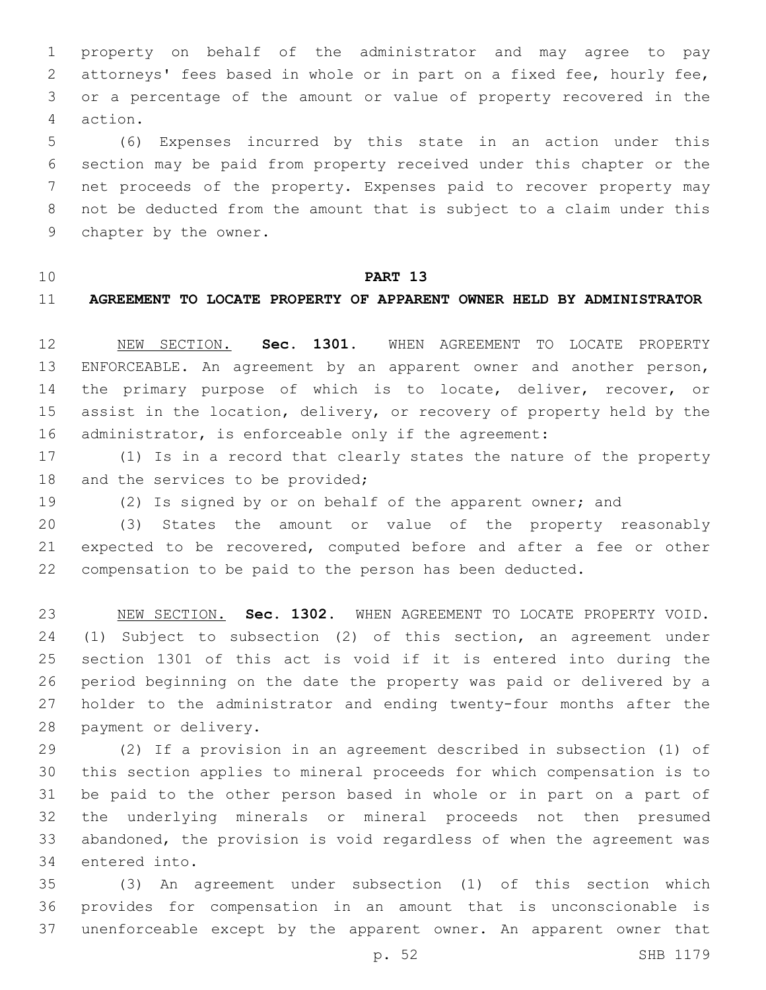property on behalf of the administrator and may agree to pay attorneys' fees based in whole or in part on a fixed fee, hourly fee, or a percentage of the amount or value of property recovered in the action.4

 (6) Expenses incurred by this state in an action under this section may be paid from property received under this chapter or the net proceeds of the property. Expenses paid to recover property may not be deducted from the amount that is subject to a claim under this 9 chapter by the owner.

# **PART 13**

# **AGREEMENT TO LOCATE PROPERTY OF APPARENT OWNER HELD BY ADMINISTRATOR**

 NEW SECTION. **Sec. 1301.** WHEN AGREEMENT TO LOCATE PROPERTY ENFORCEABLE. An agreement by an apparent owner and another person, 14 the primary purpose of which is to locate, deliver, recover, or assist in the location, delivery, or recovery of property held by the 16 administrator, is enforceable only if the agreement:

 (1) Is in a record that clearly states the nature of the property 18 and the services to be provided;

(2) Is signed by or on behalf of the apparent owner; and

 (3) States the amount or value of the property reasonably expected to be recovered, computed before and after a fee or other compensation to be paid to the person has been deducted.

 NEW SECTION. **Sec. 1302.** WHEN AGREEMENT TO LOCATE PROPERTY VOID. (1) Subject to subsection (2) of this section, an agreement under section 1301 of this act is void if it is entered into during the period beginning on the date the property was paid or delivered by a holder to the administrator and ending twenty-four months after the payment or delivery.

 (2) If a provision in an agreement described in subsection (1) of this section applies to mineral proceeds for which compensation is to be paid to the other person based in whole or in part on a part of the underlying minerals or mineral proceeds not then presumed abandoned, the provision is void regardless of when the agreement was 34 entered into.

 (3) An agreement under subsection (1) of this section which provides for compensation in an amount that is unconscionable is unenforceable except by the apparent owner. An apparent owner that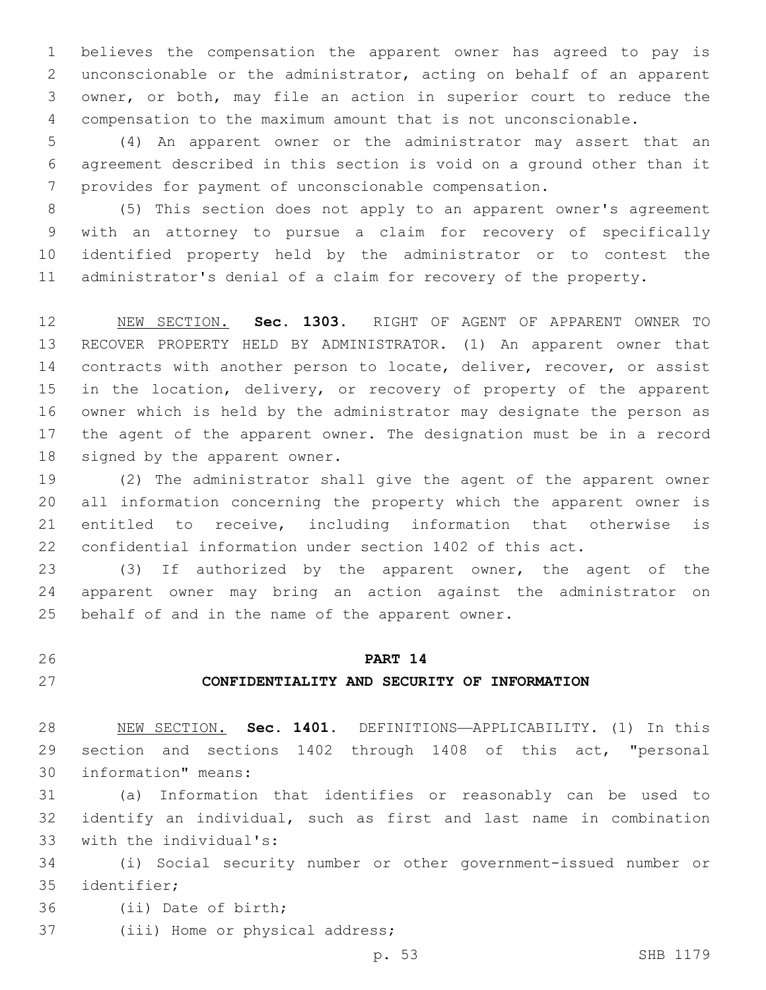believes the compensation the apparent owner has agreed to pay is unconscionable or the administrator, acting on behalf of an apparent owner, or both, may file an action in superior court to reduce the compensation to the maximum amount that is not unconscionable.

 (4) An apparent owner or the administrator may assert that an agreement described in this section is void on a ground other than it provides for payment of unconscionable compensation.

 (5) This section does not apply to an apparent owner's agreement with an attorney to pursue a claim for recovery of specifically identified property held by the administrator or to contest the administrator's denial of a claim for recovery of the property.

 NEW SECTION. **Sec. 1303.** RIGHT OF AGENT OF APPARENT OWNER TO RECOVER PROPERTY HELD BY ADMINISTRATOR. (1) An apparent owner that 14 contracts with another person to locate, deliver, recover, or assist 15 in the location, delivery, or recovery of property of the apparent owner which is held by the administrator may designate the person as the agent of the apparent owner. The designation must be in a record signed by the apparent owner.

 (2) The administrator shall give the agent of the apparent owner all information concerning the property which the apparent owner is entitled to receive, including information that otherwise is confidential information under section 1402 of this act.

 (3) If authorized by the apparent owner, the agent of the apparent owner may bring an action against the administrator on 25 behalf of and in the name of the apparent owner.

# **PART 14**

# **CONFIDENTIALITY AND SECURITY OF INFORMATION**

 NEW SECTION. **Sec. 1401.** DEFINITIONS—APPLICABILITY. (1) In this section and sections 1402 through 1408 of this act, "personal information" means:

 (a) Information that identifies or reasonably can be used to identify an individual, such as first and last name in combination 33 with the individual's:

 (i) Social security number or other government-issued number or 35 identifier;

36 (ii) Date of birth;

37 (iii) Home or physical address;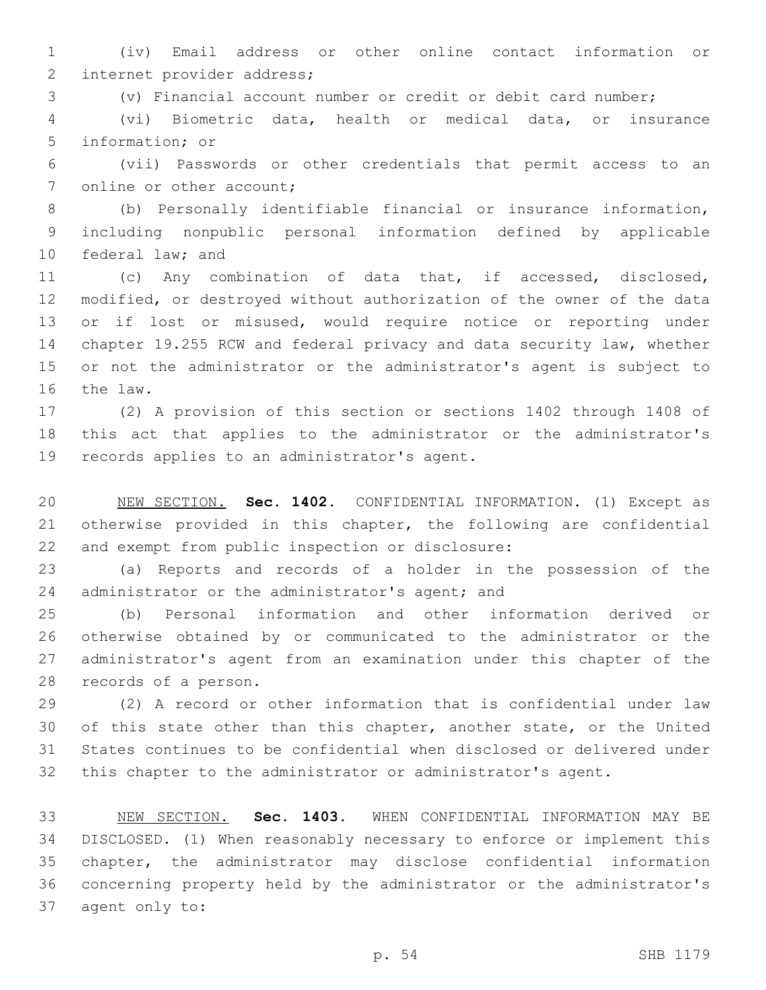(iv) Email address or other online contact information or 2 internet provider address;

(v) Financial account number or credit or debit card number;

 (vi) Biometric data, health or medical data, or insurance 5 information; or

 (vii) Passwords or other credentials that permit access to an 7 online or other account;

 (b) Personally identifiable financial or insurance information, including nonpublic personal information defined by applicable 10 federal law; and

 (c) Any combination of data that, if accessed, disclosed, modified, or destroyed without authorization of the owner of the data or if lost or misused, would require notice or reporting under chapter 19.255 RCW and federal privacy and data security law, whether or not the administrator or the administrator's agent is subject to 16 the law.

 (2) A provision of this section or sections 1402 through 1408 of this act that applies to the administrator or the administrator's 19 records applies to an administrator's agent.

 NEW SECTION. **Sec. 1402.** CONFIDENTIAL INFORMATION. (1) Except as otherwise provided in this chapter, the following are confidential and exempt from public inspection or disclosure:

 (a) Reports and records of a holder in the possession of the 24 administrator or the administrator's agent; and

 (b) Personal information and other information derived or otherwise obtained by or communicated to the administrator or the administrator's agent from an examination under this chapter of the 28 records of a person.

 (2) A record or other information that is confidential under law of this state other than this chapter, another state, or the United States continues to be confidential when disclosed or delivered under this chapter to the administrator or administrator's agent.

 NEW SECTION. **Sec. 1403.** WHEN CONFIDENTIAL INFORMATION MAY BE DISCLOSED. (1) When reasonably necessary to enforce or implement this chapter, the administrator may disclose confidential information concerning property held by the administrator or the administrator's agent only to: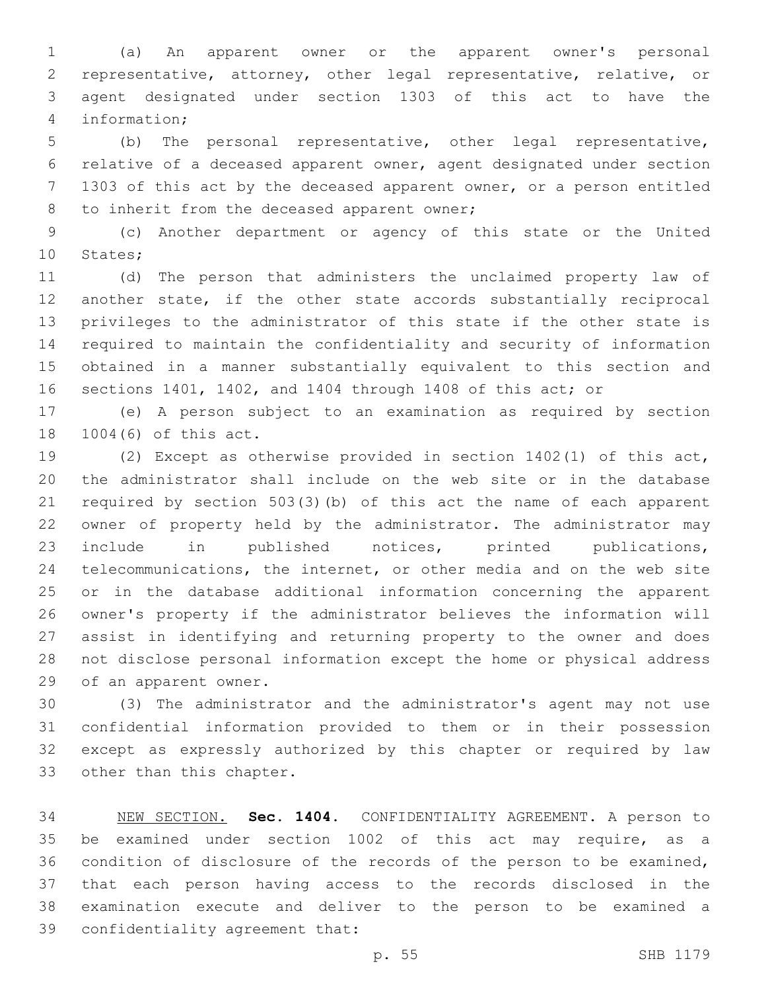(a) An apparent owner or the apparent owner's personal representative, attorney, other legal representative, relative, or agent designated under section 1303 of this act to have the information;4

 (b) The personal representative, other legal representative, relative of a deceased apparent owner, agent designated under section 1303 of this act by the deceased apparent owner, or a person entitled 8 to inherit from the deceased apparent owner;

 (c) Another department or agency of this state or the United 10 States;

 (d) The person that administers the unclaimed property law of another state, if the other state accords substantially reciprocal privileges to the administrator of this state if the other state is required to maintain the confidentiality and security of information obtained in a manner substantially equivalent to this section and sections 1401, 1402, and 1404 through 1408 of this act; or

 (e) A person subject to an examination as required by section 18 1004(6) of this act.

 (2) Except as otherwise provided in section 1402(1) of this act, the administrator shall include on the web site or in the database required by section 503(3)(b) of this act the name of each apparent owner of property held by the administrator. The administrator may include in published notices, printed publications, telecommunications, the internet, or other media and on the web site or in the database additional information concerning the apparent owner's property if the administrator believes the information will assist in identifying and returning property to the owner and does not disclose personal information except the home or physical address 29 of an apparent owner.

 (3) The administrator and the administrator's agent may not use confidential information provided to them or in their possession except as expressly authorized by this chapter or required by law 33 other than this chapter.

 NEW SECTION. **Sec. 1404.** CONFIDENTIALITY AGREEMENT. A person to be examined under section 1002 of this act may require, as a condition of disclosure of the records of the person to be examined, that each person having access to the records disclosed in the examination execute and deliver to the person to be examined a confidentiality agreement that: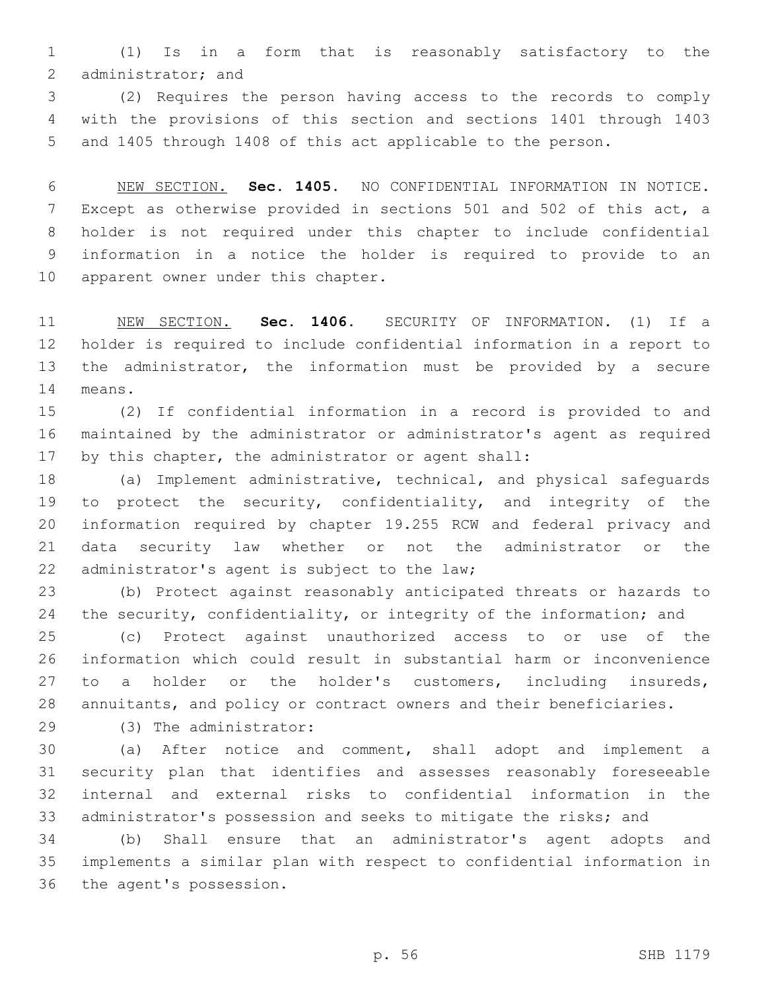(1) Is in a form that is reasonably satisfactory to the 2 administrator; and

 (2) Requires the person having access to the records to comply with the provisions of this section and sections 1401 through 1403 and 1405 through 1408 of this act applicable to the person.

 NEW SECTION. **Sec. 1405.** NO CONFIDENTIAL INFORMATION IN NOTICE. Except as otherwise provided in sections 501 and 502 of this act, a holder is not required under this chapter to include confidential information in a notice the holder is required to provide to an apparent owner under this chapter.

 NEW SECTION. **Sec. 1406.** SECURITY OF INFORMATION. (1) If a holder is required to include confidential information in a report to the administrator, the information must be provided by a secure means.

 (2) If confidential information in a record is provided to and maintained by the administrator or administrator's agent as required by this chapter, the administrator or agent shall:

 (a) Implement administrative, technical, and physical safeguards to protect the security, confidentiality, and integrity of the information required by chapter 19.255 RCW and federal privacy and data security law whether or not the administrator or the 22 administrator's agent is subject to the law;

 (b) Protect against reasonably anticipated threats or hazards to 24 the security, confidentiality, or integrity of the information; and

 (c) Protect against unauthorized access to or use of the information which could result in substantial harm or inconvenience to a holder or the holder's customers, including insureds, annuitants, and policy or contract owners and their beneficiaries.

(3) The administrator:29

 (a) After notice and comment, shall adopt and implement a security plan that identifies and assesses reasonably foreseeable internal and external risks to confidential information in the administrator's possession and seeks to mitigate the risks; and

 (b) Shall ensure that an administrator's agent adopts and implements a similar plan with respect to confidential information in 36 the agent's possession.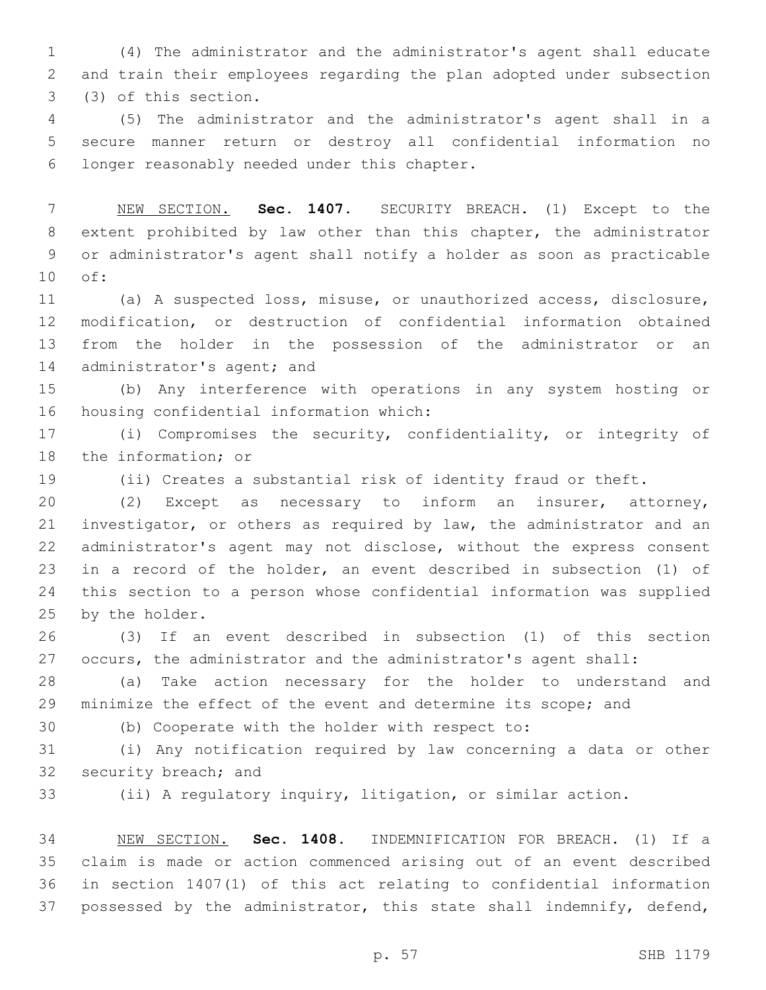(4) The administrator and the administrator's agent shall educate and train their employees regarding the plan adopted under subsection 3 (3) of this section.

 (5) The administrator and the administrator's agent shall in a secure manner return or destroy all confidential information no longer reasonably needed under this chapter.6

 NEW SECTION. **Sec. 1407.** SECURITY BREACH. (1) Except to the extent prohibited by law other than this chapter, the administrator or administrator's agent shall notify a holder as soon as practicable of:

 (a) A suspected loss, misuse, or unauthorized access, disclosure, modification, or destruction of confidential information obtained from the holder in the possession of the administrator or an 14 administrator's agent; and

 (b) Any interference with operations in any system hosting or 16 housing confidential information which:

 (i) Compromises the security, confidentiality, or integrity of 18 the information; or

(ii) Creates a substantial risk of identity fraud or theft.

 (2) Except as necessary to inform an insurer, attorney, investigator, or others as required by law, the administrator and an administrator's agent may not disclose, without the express consent in a record of the holder, an event described in subsection (1) of this section to a person whose confidential information was supplied 25 by the holder.

 (3) If an event described in subsection (1) of this section occurs, the administrator and the administrator's agent shall:

 (a) Take action necessary for the holder to understand and minimize the effect of the event and determine its scope; and

(b) Cooperate with the holder with respect to:

 (i) Any notification required by law concerning a data or other 32 security breach; and

(ii) A regulatory inquiry, litigation, or similar action.

 NEW SECTION. **Sec. 1408.** INDEMNIFICATION FOR BREACH. (1) If a claim is made or action commenced arising out of an event described in section 1407(1) of this act relating to confidential information possessed by the administrator, this state shall indemnify, defend,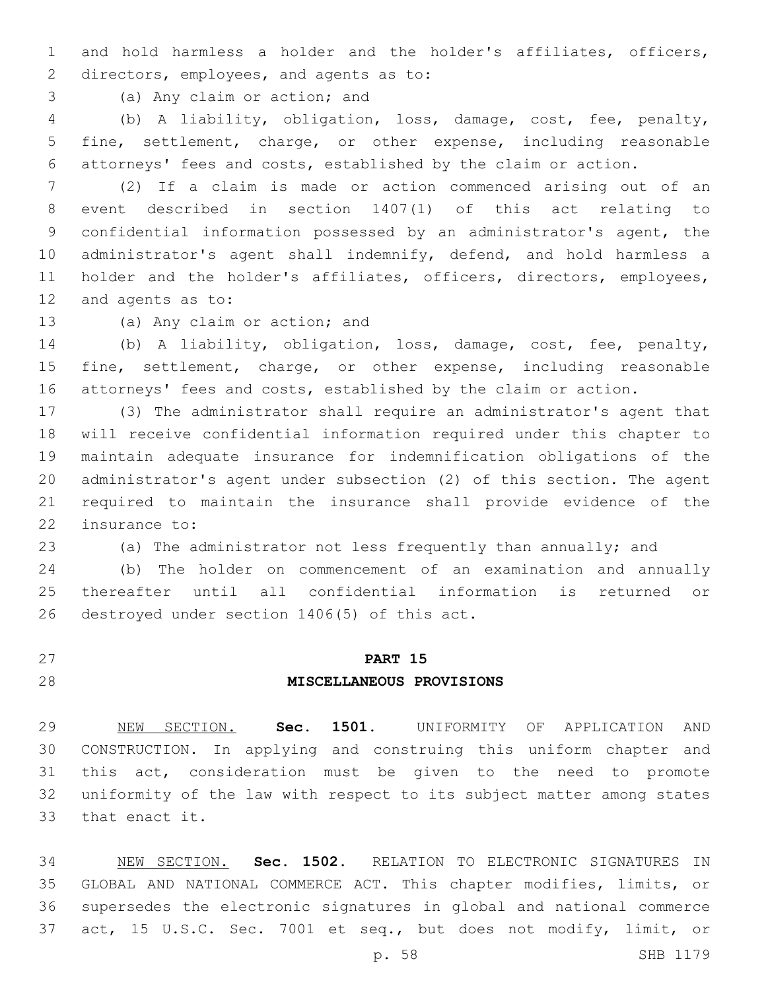and hold harmless a holder and the holder's affiliates, officers, 2 directors, employees, and agents as to:

3 (a) Any claim or action; and

 (b) A liability, obligation, loss, damage, cost, fee, penalty, fine, settlement, charge, or other expense, including reasonable attorneys' fees and costs, established by the claim or action.

 (2) If a claim is made or action commenced arising out of an event described in section 1407(1) of this act relating to confidential information possessed by an administrator's agent, the administrator's agent shall indemnify, defend, and hold harmless a 11 holder and the holder's affiliates, officers, directors, employees, 12 and agents as to:

13 (a) Any claim or action; and

 (b) A liability, obligation, loss, damage, cost, fee, penalty, 15 fine, settlement, charge, or other expense, including reasonable attorneys' fees and costs, established by the claim or action.

 (3) The administrator shall require an administrator's agent that will receive confidential information required under this chapter to maintain adequate insurance for indemnification obligations of the administrator's agent under subsection (2) of this section. The agent required to maintain the insurance shall provide evidence of the 22 insurance to:

(a) The administrator not less frequently than annually; and

 (b) The holder on commencement of an examination and annually thereafter until all confidential information is returned or 26 destroyed under section 1406(5) of this act.

# **PART 15**

## **MISCELLANEOUS PROVISIONS**

 NEW SECTION. **Sec. 1501.** UNIFORMITY OF APPLICATION AND CONSTRUCTION. In applying and construing this uniform chapter and this act, consideration must be given to the need to promote uniformity of the law with respect to its subject matter among states that enact it.

 NEW SECTION. **Sec. 1502.** RELATION TO ELECTRONIC SIGNATURES IN GLOBAL AND NATIONAL COMMERCE ACT. This chapter modifies, limits, or supersedes the electronic signatures in global and national commerce act, 15 U.S.C. Sec. 7001 et seq., but does not modify, limit, or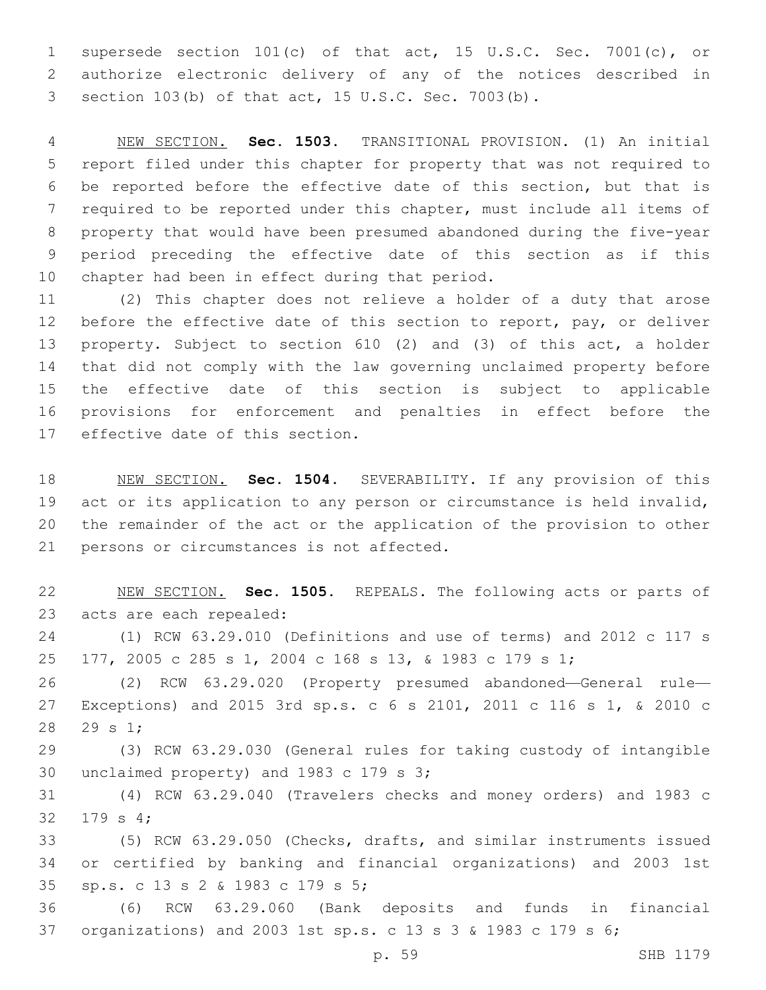supersede section 101(c) of that act, 15 U.S.C. Sec. 7001(c), or authorize electronic delivery of any of the notices described in section 103(b) of that act, 15 U.S.C. Sec. 7003(b).

 NEW SECTION. **Sec. 1503.** TRANSITIONAL PROVISION. (1) An initial report filed under this chapter for property that was not required to be reported before the effective date of this section, but that is required to be reported under this chapter, must include all items of property that would have been presumed abandoned during the five-year period preceding the effective date of this section as if this chapter had been in effect during that period.

 (2) This chapter does not relieve a holder of a duty that arose 12 before the effective date of this section to report, pay, or deliver property. Subject to section 610 (2) and (3) of this act, a holder that did not comply with the law governing unclaimed property before the effective date of this section is subject to applicable provisions for enforcement and penalties in effect before the 17 effective date of this section.

 NEW SECTION. **Sec. 1504.** SEVERABILITY. If any provision of this act or its application to any person or circumstance is held invalid, the remainder of the act or the application of the provision to other persons or circumstances is not affected.

 NEW SECTION. **Sec. 1505.** REPEALS. The following acts or parts of acts are each repealed:

 (1) RCW 63.29.010 (Definitions and use of terms) and 2012 c 117 s 177, 2005 c 285 s 1, 2004 c 168 s 13, & 1983 c 179 s 1;

 (2) RCW 63.29.020 (Property presumed abandoned—General rule— Exceptions) and 2015 3rd sp.s. c 6 s 2101, 2011 c 116 s 1, & 2010 c 28 29 s 1;

 (3) RCW 63.29.030 (General rules for taking custody of intangible 30 unclaimed property) and c  $179$  s  $3;$ 

 (4) RCW 63.29.040 (Travelers checks and money orders) and 1983 c 32 179 s 4;

 (5) RCW 63.29.050 (Checks, drafts, and similar instruments issued or certified by banking and financial organizations) and 2003 1st sp.s. c 13 s 2 & 1983 c 179 s 5;35

 (6) RCW 63.29.060 (Bank deposits and funds in financial organizations) and 2003 1st sp.s. c 13 s 3 & 1983 c 179 s 6;

p. 59 SHB 1179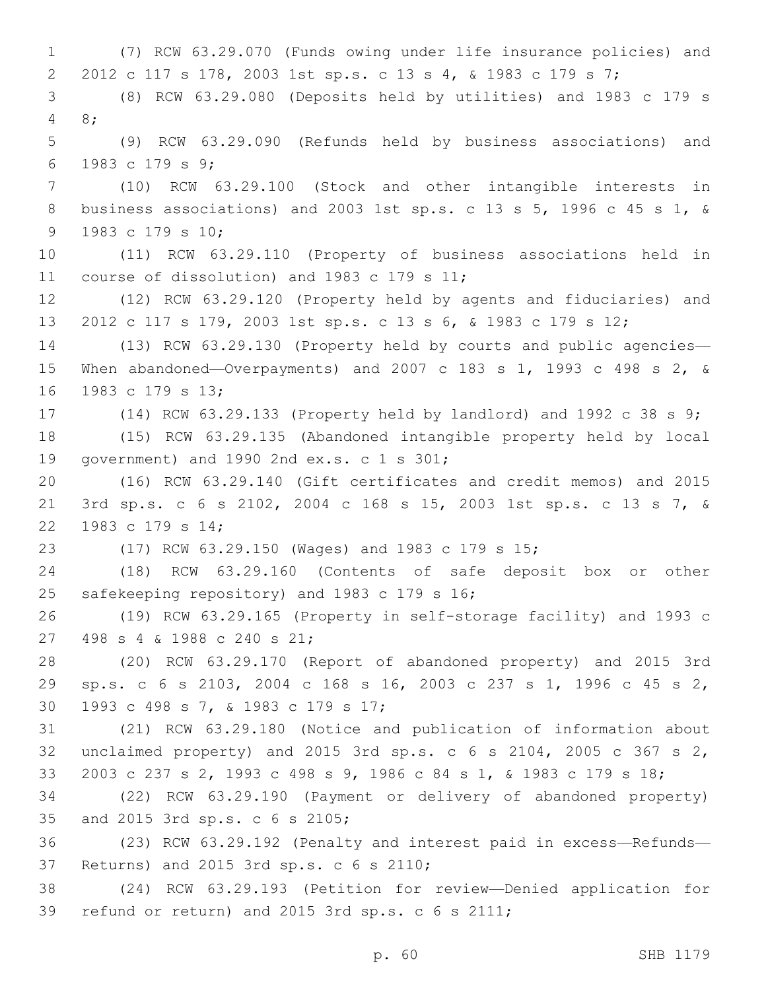(7) RCW 63.29.070 (Funds owing under life insurance policies) and 2012 c 117 s 178, 2003 1st sp.s. c 13 s 4, & 1983 c 179 s 7; (8) RCW 63.29.080 (Deposits held by utilities) and 1983 c 179 s 8;4 (9) RCW 63.29.090 (Refunds held by business associations) and 1983 c 179 s 9;6 (10) RCW 63.29.100 (Stock and other intangible interests in business associations) and 2003 1st sp.s. c 13 s 5, 1996 c 45 s 1, & 9 1983 c 179 s 10; (11) RCW 63.29.110 (Property of business associations held in 11 course of dissolution) and 1983 c 179 s 11; (12) RCW 63.29.120 (Property held by agents and fiduciaries) and 2012 c 117 s 179, 2003 1st sp.s. c 13 s 6, & 1983 c 179 s 12; (13) RCW 63.29.130 (Property held by courts and public agencies— When abandoned—Overpayments) and 2007 c 183 s 1, 1993 c 498 s 2, & 16 1983 c 179 s 13; (14) RCW 63.29.133 (Property held by landlord) and 1992 c 38 s 9; (15) RCW 63.29.135 (Abandoned intangible property held by local 19 qovernment) and 1990 2nd  $ex.s. c 1 s 301;$  (16) RCW 63.29.140 (Gift certificates and credit memos) and 2015 3rd sp.s. c 6 s 2102, 2004 c 168 s 15, 2003 1st sp.s. c 13 s 7, & 22 1983 c 179 s 14; (17) RCW 63.29.150 (Wages) and 1983 c 179 s 15; (18) RCW 63.29.160 (Contents of safe deposit box or other 25 safekeeping repository) and 1983 c 179 s 16; (19) RCW 63.29.165 (Property in self-storage facility) and 1993 c 27 498 s 4 & 1988 c 240 s 21; (20) RCW 63.29.170 (Report of abandoned property) and 2015 3rd sp.s. c 6 s 2103, 2004 c 168 s 16, 2003 c 237 s 1, 1996 c 45 s 2, 30 1993 c 498 s 7, & 1983 c 179 s 17; (21) RCW 63.29.180 (Notice and publication of information about unclaimed property) and 2015 3rd sp.s. c 6 s 2104, 2005 c 367 s 2, 2003 c 237 s 2, 1993 c 498 s 9, 1986 c 84 s 1, & 1983 c 179 s 18; (22) RCW 63.29.190 (Payment or delivery of abandoned property) 35 and 2015 3rd sp.s. c 6 s 2105; (23) RCW 63.29.192 (Penalty and interest paid in excess—Refunds— 37 Returns) and 2015 3rd sp.s. c 6 s 2110; (24) RCW 63.29.193 (Petition for review—Denied application for 39 refund or return) and 2015 3rd sp.s.  $c$  6 s 2111;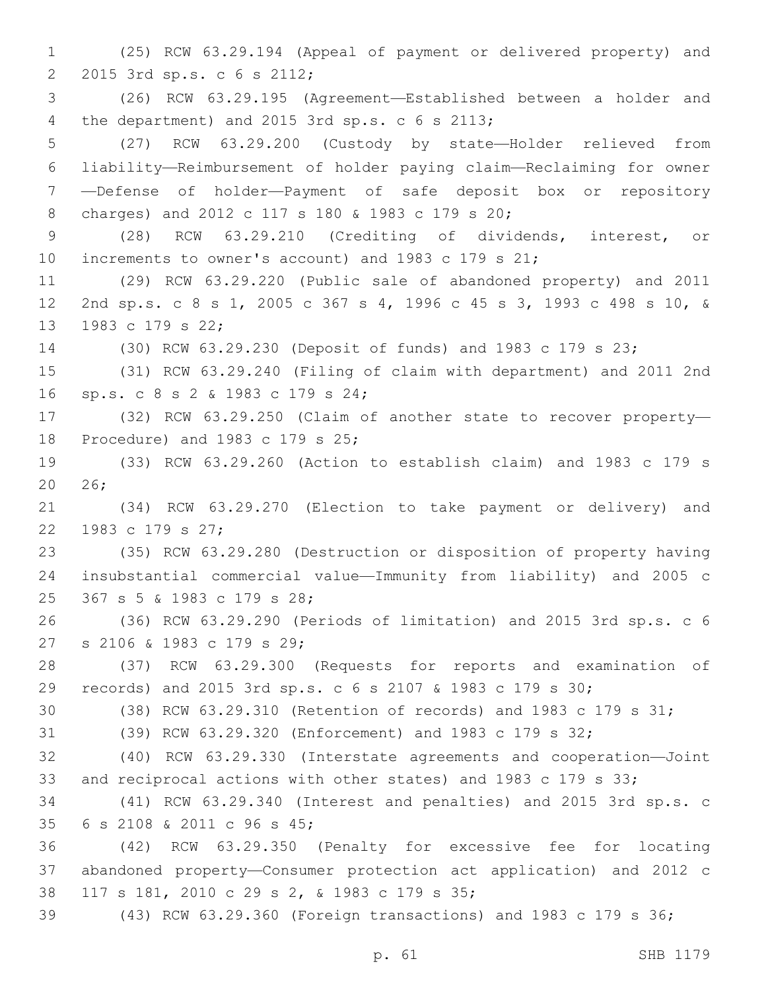(25) RCW 63.29.194 (Appeal of payment or delivered property) and 2 2015 3rd sp.s. c 6 s 2112; (26) RCW 63.29.195 (Agreement—Established between a holder and 4 the department) and 2015 3rd sp.s. c 6 s 2113; (27) RCW 63.29.200 (Custody by state—Holder relieved from liability—Reimbursement of holder paying claim—Reclaiming for owner —Defense of holder—Payment of safe deposit box or repository charges) and 2012 c 117 s 180 & 1983 c 179 s 20;8 (28) RCW 63.29.210 (Crediting of dividends, interest, or increments to owner's account) and 1983 c 179 s 21; (29) RCW 63.29.220 (Public sale of abandoned property) and 2011 2nd sp.s. c 8 s 1, 2005 c 367 s 4, 1996 c 45 s 3, 1993 c 498 s 10, & 13 1983 c 179 s 22; (30) RCW 63.29.230 (Deposit of funds) and 1983 c 179 s 23; (31) RCW 63.29.240 (Filing of claim with department) and 2011 2nd sp.s. c 8 s 2 & 1983 c 179 s 24;16 (32) RCW 63.29.250 (Claim of another state to recover property— 18 Procedure) and 1983 c 179 s 25; (33) RCW 63.29.260 (Action to establish claim) and 1983 c 179 s 20 26; (34) RCW 63.29.270 (Election to take payment or delivery) and 22 1983 c 179 s 27; (35) RCW 63.29.280 (Destruction or disposition of property having insubstantial commercial value—Immunity from liability) and 2005 c 25 367 s 5 & 1983 c 179 s 28; (36) RCW 63.29.290 (Periods of limitation) and 2015 3rd sp.s. c 6 s 2106 & 1983 c 179 s 29;27 (37) RCW 63.29.300 (Requests for reports and examination of records) and 2015 3rd sp.s. c 6 s 2107 & 1983 c 179 s 30; (38) RCW 63.29.310 (Retention of records) and 1983 c 179 s 31; (39) RCW 63.29.320 (Enforcement) and 1983 c 179 s 32; (40) RCW 63.29.330 (Interstate agreements and cooperation—Joint and reciprocal actions with other states) and 1983 c 179 s 33; (41) RCW 63.29.340 (Interest and penalties) and 2015 3rd sp.s. c 6 s 2108 & 2011 c 96 s 45;35 (42) RCW 63.29.350 (Penalty for excessive fee for locating abandoned property—Consumer protection act application) and 2012 c 38 117 s 181, 2010 c 29 s 2, & 1983 c 179 s 35; (43) RCW 63.29.360 (Foreign transactions) and 1983 c 179 s 36;

p. 61 SHB 1179